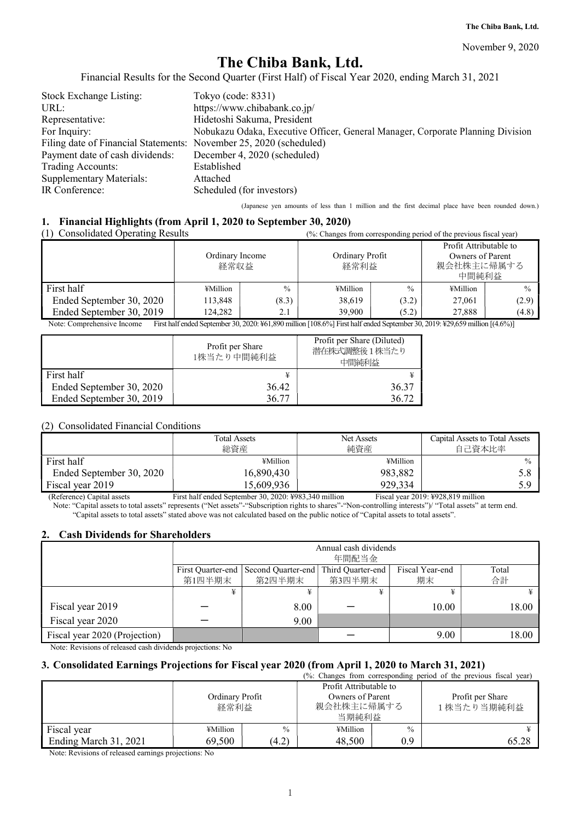November 9, 2020

### **The Chiba Bank, Ltd.**

Financial Results for the Second Quarter (First Half) of Fiscal Year 2020, ending March 31, 2021

| Stock Exchange Listing:                                            | Tokyo (code: 8331)                                                              |
|--------------------------------------------------------------------|---------------------------------------------------------------------------------|
| URL:                                                               | https://www.chibabank.co.jp/                                                    |
| Representative:                                                    | Hidetoshi Sakuma, President                                                     |
| For Inquiry:                                                       | Nobukazu Odaka, Executive Officer, General Manager, Corporate Planning Division |
| Filing date of Financial Statements: November 25, 2020 (scheduled) |                                                                                 |
| Payment date of cash dividends:                                    | December 4, 2020 (scheduled)                                                    |
| Trading Accounts:                                                  | Established                                                                     |
| <b>Supplementary Materials:</b>                                    | Attached                                                                        |
| IR Conference:                                                     | Scheduled (for investors)                                                       |

(Japanese yen amounts of less than 1 million and the first decimal place have been rounded down.)

### **1. Financial Highlights (from April 1, 2020 to September 30, 2020)**

| <b>Consolidated Operating Results</b><br>(1) | (%: Changes from corresponding period of the previous fiscal year) |               |                         |               |                                                                   |               |
|----------------------------------------------|--------------------------------------------------------------------|---------------|-------------------------|---------------|-------------------------------------------------------------------|---------------|
|                                              | Ordinary Income<br>経常収益                                            |               | Ordinary Profit<br>経常利益 |               | Profit Attributable to<br>Owners of Parent<br>親会社株主に帰属する<br>中間純利益 |               |
| First half                                   | ¥Million                                                           | $\frac{0}{0}$ | ¥Million                | $\frac{0}{0}$ | ¥Million                                                          | $\frac{0}{0}$ |
| Ended September 30, 2020                     | 113,848                                                            | (8.3)         | 38,619                  | (3.2)         | 27,061                                                            | (2.9)         |
| Ended September 30, 2019                     | 124.282                                                            | 2.1           | 39.900                  | (5.2)         | 27,888                                                            | (4.8)         |

Note: Comprehensive Income First half ended September 30, 2020: ¥61,890 million [108.6%] First half ended September 30, 2019: ¥29,659 million [(4.6%)]

|                          | Profit per Share<br>1株当たり中間純利益 | Profit per Share (Diluted)<br>潜在株式調整後1株当たり<br>中間純利益 |
|--------------------------|--------------------------------|-----------------------------------------------------|
| First half               | ¥                              |                                                     |
| Ended September 30, 2020 | 36.42                          | 36.37                                               |
| Ended September 30, 2019 | 36.77                          | 36.72                                               |

### (2) Consolidated Financial Conditions

|                          | <b>Total Assets</b><br>総資産 | Net Assets<br>純資産 | Capital Assets to Total Assets<br>自己資本比率 |
|--------------------------|----------------------------|-------------------|------------------------------------------|
| First half               | ¥Million                   | ¥Million          | $\frac{0}{0}$                            |
| Ended September 30, 2020 | 16,890,430                 | 983,882           |                                          |
| Fiscal year 2019         | 15,609,936                 | 929,334           | 5 Q                                      |

(Reference) Capital assets First half ended September 30, 2020: ¥983,340 million Fiscal year 2019: ¥928,819 million Note: "Capital assets to total assets" represents ("Net assets"-"Subscription rights to shares"-"Non-controlling interests")/ "Total assets" at term end. "Capital assets to total assets" stated above was not calculated based on the public notice of "Capital assets to total assets".

### **2. Cash Dividends for Shareholders**

|                               |                             | Annual cash dividends<br>年間配当金                                                                      |  |       |       |  |  |  |  |
|-------------------------------|-----------------------------|-----------------------------------------------------------------------------------------------------|--|-------|-------|--|--|--|--|
|                               | First Quarter-end<br>第1四半期末 | Third Quarter-end<br>Fiscal Year-end<br>Second Quarter-end<br>Total<br>合計<br>第2四半期末<br>第3四半期末<br>期末 |  |       |       |  |  |  |  |
|                               |                             | ¥                                                                                                   |  |       |       |  |  |  |  |
| Fiscal year 2019              |                             | 8.00                                                                                                |  | 10.00 | 18.00 |  |  |  |  |
| Fiscal year 2020              |                             | 9.00                                                                                                |  |       |       |  |  |  |  |
| Fiscal year 2020 (Projection) |                             |                                                                                                     |  | 9.00  | 18.00 |  |  |  |  |

Note: Revisions of released cash dividends projections: No

### **3. Consolidated Earnings Projections for Fiscal year 2020 (from April 1, 2020 to March 31, 2021)**

|                       |                         |               |                                                                   |               | (%: Changes from corresponding period of the previous fiscal year) |
|-----------------------|-------------------------|---------------|-------------------------------------------------------------------|---------------|--------------------------------------------------------------------|
|                       | Ordinary Profit<br>経常利益 |               | Profit Attributable to<br>Owners of Parent<br>親会社株主に帰属する<br>当期純利益 |               | Profit per Share<br>1株当たり当期純利益                                     |
| Fiscal year           | ¥Million                | $\frac{0}{0}$ | ¥Million                                                          | $\frac{0}{0}$ |                                                                    |
| Ending March 31, 2021 | 69,500                  | (4.2)         | 48,500                                                            | 0.9           | 65.28                                                              |

Note: Revisions of released earnings projections: No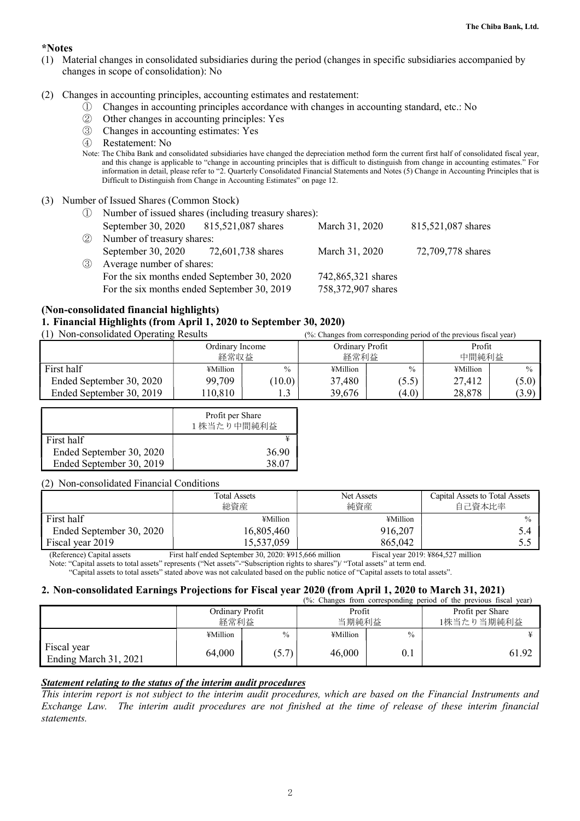### **\*Notes**

- (1) Material changes in consolidated subsidiaries during the period (changes in specific subsidiaries accompanied by changes in scope of consolidation): No
- (2) Changes in accounting principles, accounting estimates and restatement:
	- ① Changes in accounting principles accordance with changes in accounting standard, etc.: No
	- ② Other changes in accounting principles: Yes
	- ③ Changes in accounting estimates: Yes
	- ④ Restatement: No
	- Note: The Chiba Bank and consolidated subsidiaries have changed the depreciation method form the current first half of consolidated fiscal year, and this change is applicable to "change in accounting principles that is difficult to distinguish from change in accounting estimates." For information in detail, please refer to "2. Quarterly Consolidated Financial Statements and Notes (5) Change in Accounting Principles that is Difficult to Distinguish from Change in Accounting Estimates" on page 12.
- (3) Number of Issued Shares (Common Stock)
	- ① Number of issued shares (including treasury shares): September 30, 2020 815,521,087 shares March 31, 2020 815,521,087 shares ② Number of treasury shares: September 30, 2020 72, 601,738 shares March 31, 2020 72,709,778 shares ③ Average number of shares: For the six months ended September 30, 2020 742,865,321 shares For the six months ended September 30, 2019 758,372,907 shares

### **(Non-consolidated financial highlights)**

### **1. Financial Highlights (from April 1, 2020 to September 30, 2020)**

(1) Non-consolidated Operating Results (%: Changes from corresponding period of the previous fiscal year)

|                          | Ordinary Income<br>経常収益 |               | Ordinary Profit<br>経常利益 |       | Profit<br>中間純利益 |               |
|--------------------------|-------------------------|---------------|-------------------------|-------|-----------------|---------------|
| First half               | ¥Million                | $\frac{0}{0}$ | ¥Million                | $\%$  | ¥Million        | $\frac{0}{0}$ |
| Ended September 30, 2020 | 99,709                  | 10.0)         | 37,480                  | (5.5) | 27,412          | $(5.0)$       |
| Ended September 30, 2019 | 10,810                  | ن. 1          | 39,676                  | (4.0) | 28,878          | (3.9)         |

|                          | Profit per Share<br>1株当たり中間純利益 |
|--------------------------|--------------------------------|
| First half               |                                |
| Ended September 30, 2020 | 36.90                          |
| Ended September 30, 2019 | 38.O                           |

#### (2) Non-consolidated Financial Conditions

|                          | <b>Total Assets</b><br>総資産 | Net Assets<br>純資産 | Capital Assets to Total Assets<br>自己資本比率 |
|--------------------------|----------------------------|-------------------|------------------------------------------|
| First half               | ¥Million                   | ¥Million          | $\frac{0}{0}$                            |
| Ended September 30, 2020 | 16,805,460                 | 916,207           |                                          |
| Fiscal year 2019         | 15,537,059                 | 865,042           |                                          |
| .                        | _ _ _ _ _ _ _ _ _          |                   |                                          |

(Reference) Capital assets First half ended September 30, 2020: ¥915,666 million Fiscal year 2019: ¥864,527 million

Note: "Capital assets to total assets" represents ("Net assets"-"Subscription rights to shares")/ "Total assets" at term end.

### "Capital assets to total assets" stated above was not calculated based on the public notice of "Capital assets to total assets".

### **2. Non-consolidated Earnings Projections for Fiscal year 2020 (from April 1, 2020 to March 31, 2021)**

|                                      |                 |               |          |               | (%: Changes from corresponding period of the previous fiscal year) |  |
|--------------------------------------|-----------------|---------------|----------|---------------|--------------------------------------------------------------------|--|
|                                      | Ordinary Profit |               | Profit   |               | Profit per Share                                                   |  |
|                                      | 経常利益            |               |          | 当期純利益         | 1株当たり当期純利益                                                         |  |
|                                      | ¥Million        | $\frac{0}{0}$ | ¥Million | $\frac{0}{0}$ |                                                                    |  |
| Fiscal year<br>Ending March 31, 2021 | 64,000          | (5.7)         | 46,000   | $0_{\cdot}$   | 61.92                                                              |  |

### *Statement relating to the status of the interim audit procedures*

*This interim report is not subject to the interim audit procedures, which are based on the Financial Instruments and Exchange Law. The interim audit procedures are not finished at the time of release of these interim financial statements.*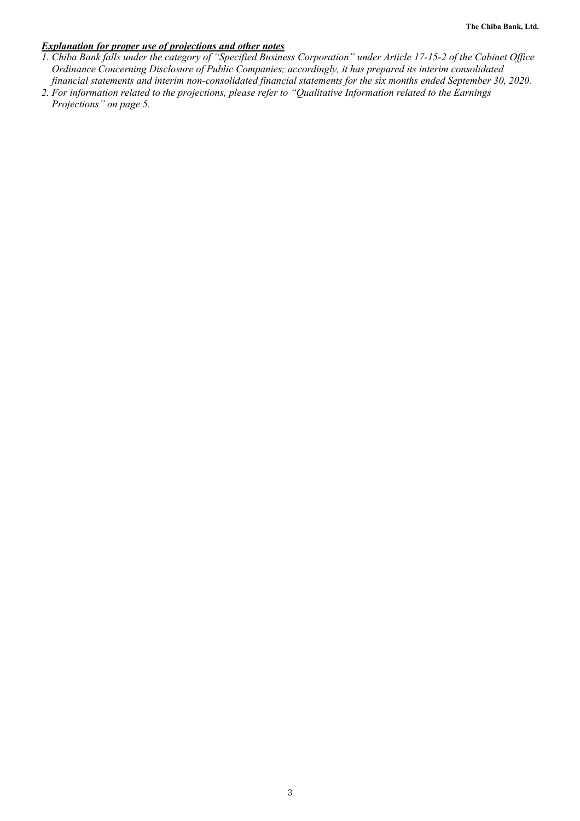### *Explanation for proper use of projections and other notes*

- *1. Chiba Bank falls under the category of "Specified Business Corporation" under Article 17-15-2 of the Cabinet Office Ordinance Concerning Disclosure of Public Companies; accordingly, it has prepared its interim consolidated financial statements and interim non-consolidated financial statements for the six months ended September 30, 2020.*
- *2. For information related to the projections, please refer to "Qualitative Information related to the Earnings Projections" on page 5.*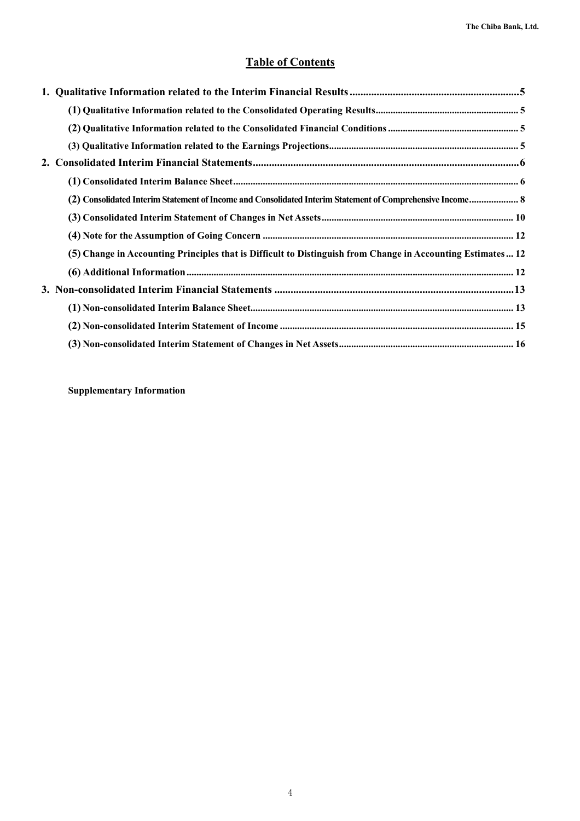### **Table of Contents**

| (2) Consolidated Interim Statement of Income and Consolidated Interim Statement of Comprehensive Income 8   |  |
|-------------------------------------------------------------------------------------------------------------|--|
|                                                                                                             |  |
|                                                                                                             |  |
| (5) Change in Accounting Principles that is Difficult to Distinguish from Change in Accounting Estimates 12 |  |
|                                                                                                             |  |
|                                                                                                             |  |
|                                                                                                             |  |
|                                                                                                             |  |
|                                                                                                             |  |

**Supplementary Information**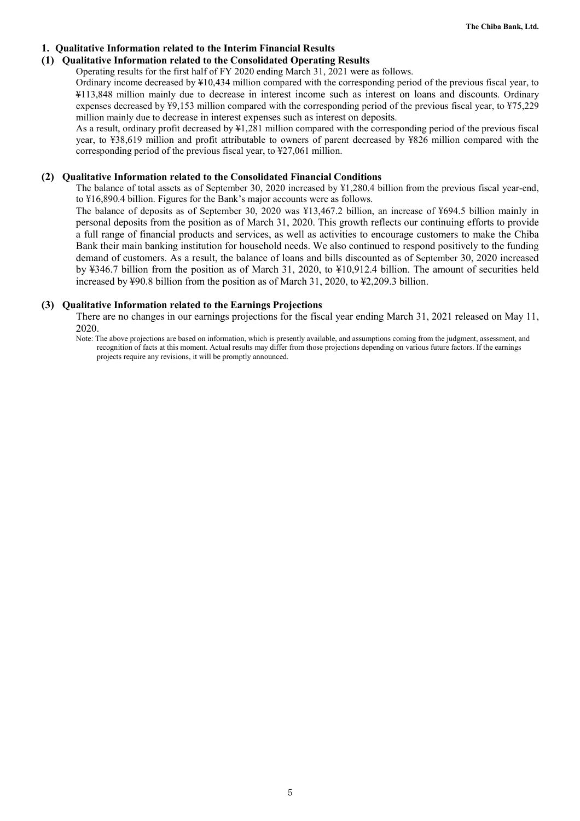### **1. Qualitative Information related to the Interim Financial Results**

### **(1) Qualitative Information related to the Consolidated Operating Results**

Operating results for the first half of FY 2020 ending March 31, 2021 were as follows.

Ordinary income decreased by ¥10,434 million compared with the corresponding period of the previous fiscal year, to ¥113,848 million mainly due to decrease in interest income such as interest on loans and discounts. Ordinary expenses decreased by ¥9,153 million compared with the corresponding period of the previous fiscal year, to ¥75,229 million mainly due to decrease in interest expenses such as interest on deposits.

As a result, ordinary profit decreased by ¥1,281 million compared with the corresponding period of the previous fiscal year, to ¥38,619 million and profit attributable to owners of parent decreased by ¥826 million compared with the corresponding period of the previous fiscal year, to ¥27,061 million.

### **(2) Qualitative Information related to the Consolidated Financial Conditions**

The balance of total assets as of September 30, 2020 increased by ¥1,280.4 billion from the previous fiscal year-end, to ¥16,890.4 billion. Figures for the Bank's major accounts were as follows.

The balance of deposits as of September 30, 2020 was ¥13,467.2 billion, an increase of ¥694.5 billion mainly in personal deposits from the position as of March 31, 2020. This growth reflects our continuing efforts to provide a full range of financial products and services, as well as activities to encourage customers to make the Chiba Bank their main banking institution for household needs. We also continued to respond positively to the funding demand of customers. As a result, the balance of loans and bills discounted as of September 30, 2020 increased by ¥346.7 billion from the position as of March 31, 2020, to ¥10,912.4 billion. The amount of securities held increased by ¥90.8 billion from the position as of March 31, 2020, to ¥2,209.3 billion.

### **(3) Qualitative Information related to the Earnings Projections**

There are no changes in our earnings projections for the fiscal year ending March 31, 2021 released on May 11, 2020.

Note: The above projections are based on information, which is presently available, and assumptions coming from the judgment, assessment, and recognition of facts at this moment. Actual results may differ from those projections depending on various future factors. If the earnings projects require any revisions, it will be promptly announced.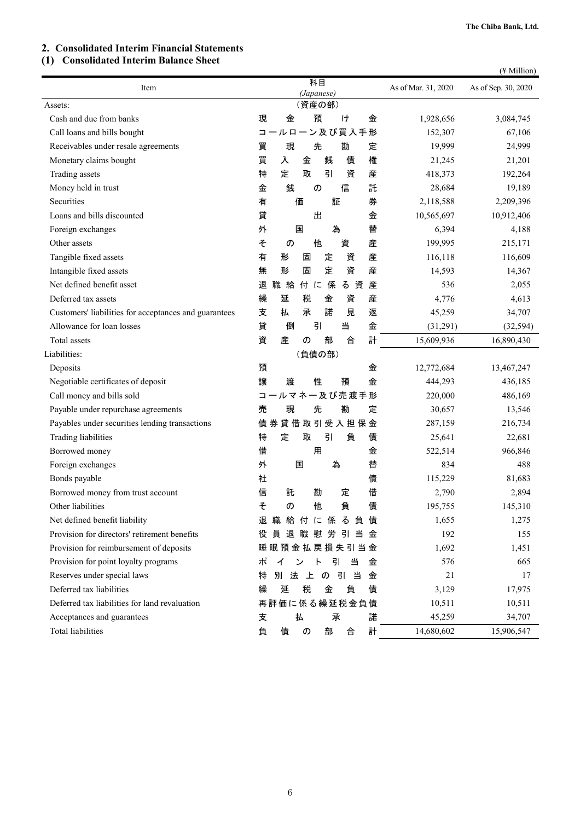### **2. Consolidated Interim Financial Statements**

### **(1) Consolidated Interim Balance Sheet**

|  | $(\frac{1}{2}$ Million) |
|--|-------------------------|
|  |                         |

| Item                                                  | 科目<br>(Japanese)                                                                                                   | As of Mar. 31, 2020 | As of Sep. 30, 2020 |
|-------------------------------------------------------|--------------------------------------------------------------------------------------------------------------------|---------------------|---------------------|
| Assets:                                               | (資産の部)                                                                                                             |                     |                     |
| Cash and due from banks                               | 預<br>現<br>金<br>H<br>金                                                                                              | 1,928,656           | 3,084,745           |
| Call loans and bills bought                           | 一ン及び買入手形<br>$-\mathrel{\mathop{\rule{.15pt}{0.5pt}}\nolimits\mathop{\mathop{\rule{.15pt}{0.5pt}}\nolimits}}$<br>L. | 152,307             | 67,106              |
| Receivables under resale agreements                   | 先<br>勘<br>定<br>買<br>現                                                                                              | 19,999              | 24,999              |
| Monetary claims bought                                | 買<br>銭<br>債<br>権<br>金<br>入                                                                                         | 21,245              | 21,201              |
| Trading assets                                        | 特<br>定<br>取<br>引<br>産<br>資                                                                                         | 418,373             | 192,264             |
| Money held in trust                                   | 銭<br>信<br>託<br>金<br>の                                                                                              | 28,684              | 19,189              |
| Securities                                            | 券<br>有<br>価<br>証                                                                                                   | 2,118,588           | 2,209,396           |
| Loans and bills discounted                            | 貸<br>出<br>金                                                                                                        | 10,565,697          | 10,912,406          |
| Foreign exchanges                                     | 為<br>外<br>替<br>国                                                                                                   | 6,394               | 4,188               |
| Other assets                                          | 他<br>産<br>そ<br>資<br>の                                                                                              | 199,995             | 215,171             |
| Tangible fixed assets                                 | 定<br>資<br>産<br>有<br>形<br>固                                                                                         | 116,118             | 116,609             |
| Intangible fixed assets                               | 定<br>資<br>産<br>形<br>固<br>無                                                                                         | 14,593              | 14,367              |
| Net defined benefit asset                             | 付に<br>係<br>産<br>退<br>職給<br>る資                                                                                      | 536                 | 2,055               |
| Deferred tax assets                                   | 産<br>繰<br>延<br>税<br>金<br>資                                                                                         | 4,776               | 4,613               |
| Customers' liabilities for acceptances and guarantees | 払<br>承<br>諾<br>見<br>返<br>支                                                                                         | 45,259              | 34,707              |
| Allowance for loan losses                             | 貸<br>引<br>当<br>金<br>倒                                                                                              | (31,291)            | (32, 594)           |
| Total assets                                          | 部<br>計<br>資<br>産<br>合<br>の                                                                                         | 15,609,936          | 16,890,430          |
| Liabilities:                                          | (負債の部)                                                                                                             |                     |                     |
| Deposits                                              | 預<br>金                                                                                                             | 12,772,684          | 13,467,247          |
| Negotiable certificates of deposit                    | 譲<br>渡<br>性<br>金<br>預                                                                                              | 444,293             | 436,185             |
| Call money and bills sold                             | コールマネー及び売渡手形                                                                                                       | 220,000             | 486,169             |
| Payable under repurchase agreements                   | 売<br>先<br>勘<br>定<br>現                                                                                              | 30,657              | 13,546              |
| Payables under securities lending transactions        | 債券貸借取引受入担保金                                                                                                        | 287,159             | 216,734             |
| Trading liabilities                                   | 特<br>定<br>取<br>引<br>負<br>債                                                                                         | 25,641              | 22,681              |
| Borrowed money                                        | 借<br>用<br>金                                                                                                        | 522,514             | 966,846             |
| Foreign exchanges                                     | 国<br>為<br>替<br>外                                                                                                   | 834                 | 488                 |
| Bonds payable                                         | 社<br>債                                                                                                             | 115,229             | 81,683              |
| Borrowed money from trust account                     | 信<br>借<br>託<br>定<br>勘                                                                                              | 2,790               | 2,894               |
| Other liabilities                                     | 負<br>そ<br>債<br>の<br>他                                                                                              | 195,755             | 145,310             |
| Net defined benefit liability                         | 退 職 給 付 に 係 る 負 債                                                                                                  | 1,655               | 1,275               |
| Provision for directors' retirement benefits          | 員退職慰労引当<br>役<br>金                                                                                                  | 192                 | 155                 |
| Provision for reimbursement of deposits               | 睡眠預金払戻損失引当金                                                                                                        | 1,692               | 1,451               |
| Provision for point loyalty programs                  | 引<br>当<br>ポ<br>ント<br>金<br>イ                                                                                        | 576                 | 665                 |
| Reserves under special laws                           | 別法上の引当<br>特<br>金                                                                                                   | 21                  | 17                  |
| Deferred tax liabilities                              | 税<br>繰<br>延<br>金<br>負<br>債                                                                                         | 3,129               | 17,975              |
| Deferred tax liabilities for land revaluation         | 再評価に係る繰延税金負債                                                                                                       | 10,511              | 10,511              |
| Acceptances and guarantees                            | 払<br>承<br>諾<br>支                                                                                                   | 45,259              | 34,707              |
| Total liabilities                                     | 計<br>負<br>債<br>の<br>部<br>合                                                                                         | 14,680,602          | 15,906,547          |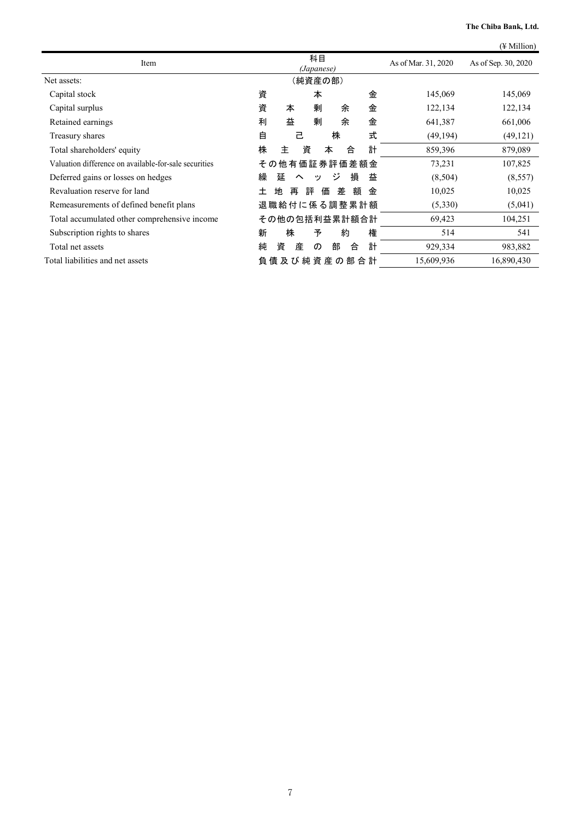|                                                       |                                          |                     | $(\frac{1}{2}$ Million) |
|-------------------------------------------------------|------------------------------------------|---------------------|-------------------------|
| Item                                                  | 科目<br>(Japanese)                         | As of Mar. 31, 2020 | As of Sep. 30, 2020     |
| Net assets:                                           | (純資産の部)                                  |                     |                         |
| Capital stock                                         | 資<br>本<br>金                              | 145,069             | 145,069                 |
| Capital surplus                                       | 資<br>剰<br>金<br>本<br>余                    | 122,134             | 122,134                 |
| Retained earnings                                     | 益<br>剰<br>金<br>利<br>余                    | 641,387             | 661,006                 |
| Treasury shares                                       | 式<br>自<br>己<br>株                         | (49, 194)           | (49, 121)               |
| Total shareholders' equity                            | 計<br>株<br>資<br>主<br>合<br>本               | 859,396             | 879,089                 |
| Valuation difference on available-for-sale securities | その他有価証券評価差額金                             | 73,231              | 107,825                 |
| Deferred gains or losses on hedges                    | 損<br>繰<br>延<br>ジ<br>益<br>$\sim$<br>ッ     | (8,504)             | (8, 557)                |
| Revaluation reserve for land                          | 評<br>額<br>地<br>差<br>金<br>$\pm$<br>再<br>価 | 10,025              | 10,025                  |
| Remeasurements of defined benefit plans               | 退職給付に係る調整累計額                             | (5,330)             | (5,041)                 |
| Total accumulated other comprehensive income          | その他の包括利益累計額合計                            | 69,423              | 104,251                 |
| Subscription rights to shares                         | 株<br>権<br>予<br>約<br>新                    | 514                 | 541                     |
| Total net assets                                      | 計<br>純<br>資<br>部<br>産<br>合<br>$\sigma$   | 929,334             | 983,882                 |
| Total liabilities and net assets                      | 負 債 及 び 純 資 産 の 部 合 計                    | 15,609,936          | 16,890,430              |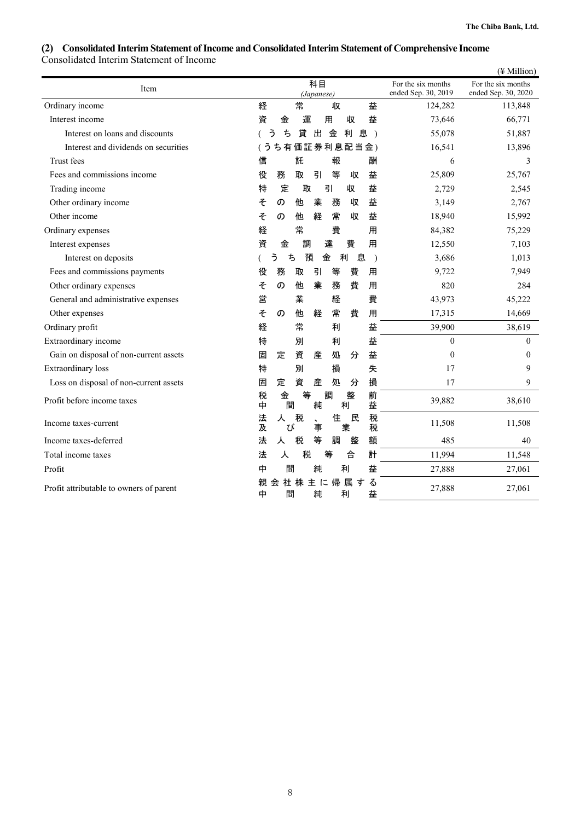### **(2) Consolidated Interim Statement of Income and Consolidated Interim Statement of Comprehensive Income**  Consolidated Interim Statement of Income

|                                         |                                                      | (¥ Million)                                                                            |
|-----------------------------------------|------------------------------------------------------|----------------------------------------------------------------------------------------|
| Item                                    | 科目<br>(Japanese)                                     | For the six months<br>For the six months<br>ended Sep. 30, 2019<br>ended Sep. 30, 2020 |
| Ordinary income                         | 常<br>経<br>益<br>収                                     | 124,282<br>113,848                                                                     |
| Interest income                         | 益<br>資<br>運<br>用<br>収<br>金                           | 73,646<br>66,771                                                                       |
| Interest on loans and discounts         | 貸<br>う<br>ち<br>利<br>出<br>金<br>息)                     | 55,078<br>51,887                                                                       |
| Interest and dividends on securities    | ち有価証券利息配当金)<br>ぅ                                     | 16,541<br>13,896                                                                       |
| Trust fees                              | 託<br>信<br>報<br>酬                                     | 3<br>6                                                                                 |
| Fees and commissions income             | 等<br>役<br>務<br>取<br>引<br>益<br>収                      | 25,809<br>25,767                                                                       |
| Trading income                          | 定<br>取<br>引<br>益<br>特<br>収                           | 2,729<br>2,545                                                                         |
| Other ordinary income                   | そ<br>他<br>業<br>務<br>収<br>益<br>の                      | 3,149<br>2,767                                                                         |
| Other income                            | そ<br>経<br>常<br>他<br>収<br>益<br>の                      | 18,940<br>15,992                                                                       |
| Ordinary expenses                       | 常<br>費<br>経<br>用                                     | 84,382<br>75,229                                                                       |
| Interest expenses                       | 資<br>調<br>達<br>費<br>金<br>用                           | 7,103<br>12,550                                                                        |
| Interest on deposits                    | う<br>利<br>ち<br>預<br>金<br>息<br>$\lambda$              | 3,686<br>1,013                                                                         |
| Fees and commissions payments           | 務<br>引<br>等<br>役<br>取<br>費<br>用                      | 9,722<br>7,949                                                                         |
| Other ordinary expenses                 | 業<br>費<br>そ<br>務<br>用<br>の<br>他                      | 820<br>284                                                                             |
| General and administrative expenses     | 業<br>費<br>営<br>経                                     | 43,973<br>45,222                                                                       |
| Other expenses                          | そ<br>常<br>他<br>費<br>用<br>の<br>経                      | 17,315<br>14,669                                                                       |
| Ordinary profit                         | 常<br>経<br>益<br>利                                     | 39,900<br>38,619                                                                       |
| Extraordinary income                    | 特<br>別<br>益<br>利                                     | $\Omega$<br>$\Omega$                                                                   |
| Gain on disposal of non-current assets  | 資<br>産<br>処<br>分<br>益<br>固<br>定                      | $\theta$<br>$\mathbf{0}$                                                               |
| <b>Extraordinary</b> loss               | 別<br>特<br>損<br>失                                     | 9<br>17                                                                                |
| Loss on disposal of non-current assets  | 損<br>資<br>産<br>固<br>処<br>定<br>分                      | 17<br>9                                                                                |
| Profit before income taxes              | 等<br>税<br>整<br>前<br>金<br>調<br>純<br>中<br>間<br>利<br>益  | 39,882<br>38,610                                                                       |
| Income taxes-current                    | 税<br>税<br>住<br>民<br>法<br>人<br>及<br>税<br>業<br>事<br>び  | 11,508<br>11,508                                                                       |
| Income taxes-deferred                   | 等<br>額<br>法<br>税<br>調<br>整<br>人                      | 485<br>40                                                                              |
| Total income taxes                      | 計<br>法<br>税<br>等<br>合<br>人                           | 11,994<br>11,548                                                                       |
| Profit                                  | 間<br>純<br>利<br>益<br>中                                | 27,888<br>27,061                                                                       |
| Profit attributable to owners of parent | 主に帰属す<br>る<br>社 株<br>親<br>会<br>間<br>純<br>利<br>益<br>中 | 27,888<br>27,061                                                                       |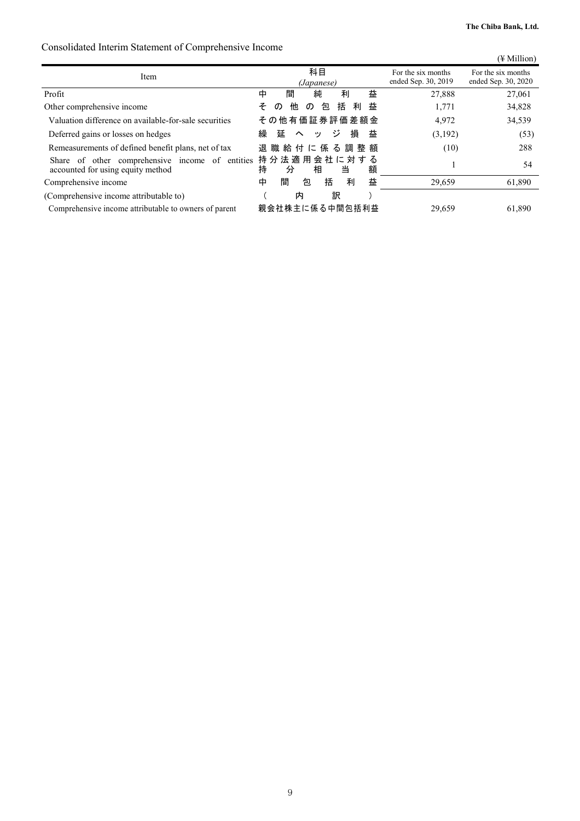### Consolidated Interim Statement of Comprehensive Income

| consonance micrimi statement of comprenensive mechan                                 |                                                    |                                           | $(\frac{1}{2}$ Million)                   |
|--------------------------------------------------------------------------------------|----------------------------------------------------|-------------------------------------------|-------------------------------------------|
| Item                                                                                 | 科目<br>(Japanese)                                   | For the six months<br>ended Sep. 30, 2019 | For the six months<br>ended Sep. 30, 2020 |
| Profit                                                                               | 益<br>間<br>中<br>利<br>純                              | 27,888                                    | 27,061                                    |
| Other comprehensive income                                                           | 括<br>益<br>利<br>包<br>そ<br>他<br>$\sigma$<br>$\sigma$ | 1,771                                     | 34,828                                    |
| Valuation difference on available-for-sale securities                                | その他有価証券評価差額金                                       | 4,972                                     | 34,539                                    |
| Deferred gains or losses on hedges                                                   | 繰<br>損<br>ジ<br>益<br>延<br>$\sim$<br>ツ               | (3,192)                                   | (53)                                      |
| Remeasurements of defined benefit plans, net of tax                                  | 退 職 給 付 に 係 る 調 整 額                                | (10)                                      | 288                                       |
| Share of other comprehensive income of entities<br>accounted for using equity method | 持分法適用会社に対する<br>持<br>額<br>相<br>当<br>分               |                                           | 54                                        |
| Comprehensive income                                                                 | 益<br>間<br>括<br>中<br>利<br>包                         | 29,659                                    | 61,890                                    |
| (Comprehensive income attributable to)                                               | 訳<br>内                                             |                                           |                                           |
| Comprehensive income attributable to owners of parent                                | 親会社株主に係る中間包括利益                                     | 29,659                                    | 61,890                                    |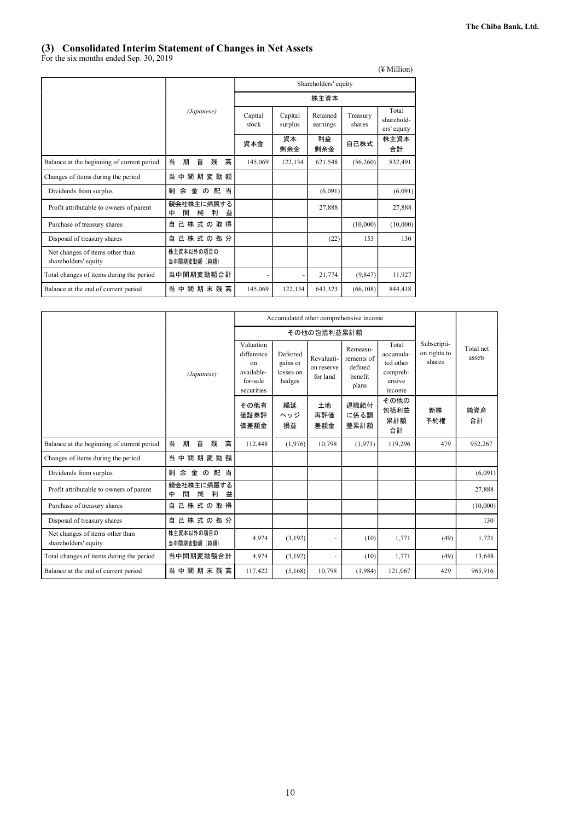### **(3) Consolidated Interim Statement of Changes in Net Assets**

For the six months ended Sep. 30, 2019

|                                                         |                                     |                  |                    |                      |                    | $(\frac{1}{2}$ Million)            |
|---------------------------------------------------------|-------------------------------------|------------------|--------------------|----------------------|--------------------|------------------------------------|
|                                                         |                                     |                  |                    | Shareholders' equity |                    |                                    |
|                                                         |                                     |                  |                    | 株主資本                 |                    |                                    |
|                                                         | (Japanese)                          | Capital<br>stock | Capital<br>surplus | Retained<br>earnings | Treasury<br>shares | Total<br>sharehold-<br>ers' equity |
|                                                         |                                     | 資本金              | 資本<br>剰余金          | 利益<br>剰余金            | 自己株式               | 株主資本<br>合計                         |
| Balance at the beginning of current period              | 当<br>高<br>首<br>残<br>期               | 145,069          | 122,134            | 621,548              | (56,260)           | 832,491                            |
| Changes of items during the period                      | 間期変動額<br>当<br>中                     |                  |                    |                      |                    |                                    |
| Dividends from surplus                                  | 剰 余<br>金<br>の配<br>当                 |                  |                    | (6,091)              |                    | (6,091)                            |
| Profit attributable to owners of parent                 | 親会社株主に帰属する<br>間<br>純<br>利<br>中<br>益 |                  |                    | 27.888               |                    | 27,888                             |
| Purchase of treasury shares                             | 己株式の取得<br>白                         |                  |                    |                      | (10,000)           | (10,000)                           |
| Disposal of treasury shares                             | 己株式の処分<br>白                         |                  |                    | (22)                 | 153                | 130                                |
| Net changes of items other than<br>shareholders' equity | 株主資本以外の項目の<br>当中間期変動額(純額)           |                  |                    |                      |                    |                                    |
| Total changes of items during the period                | 当中間期変動額合計                           |                  |                    | 21,774               | (9, 847)           | 11,927                             |
| Balance at the end of current period                    | 当<br>中<br>間 期 末 残 高                 | 145,069          | 122.134            | 643,323              | (66, 108)          | 844,418                            |

|                                                         |                                     |                                                                       |                                             |                                      | Accumulated other comprehensive income                |                                                                 |                                       |                     |
|---------------------------------------------------------|-------------------------------------|-----------------------------------------------------------------------|---------------------------------------------|--------------------------------------|-------------------------------------------------------|-----------------------------------------------------------------|---------------------------------------|---------------------|
|                                                         |                                     |                                                                       |                                             | その他の包括利益累計額                          |                                                       |                                                                 |                                       |                     |
|                                                         | (Japanese)                          | Valuation<br>difference<br>on<br>available-<br>for-sale<br>securities | Deferred<br>gains or<br>losses on<br>hedges | Revaluati-<br>on reserve<br>for land | Remeasu-<br>rements of<br>defined<br>henefit<br>plans | Total<br>accumula-<br>ted other<br>compreh-<br>ensive<br>income | Subscripti-<br>on rights to<br>shares | Total net<br>assets |
|                                                         |                                     | その他有<br>価証券評<br>価差額金                                                  | 繰延<br>ヘッジ<br>損益                             | 土地<br>再評価<br>差額金                     | 退職給付<br>に係る調<br>整累計額                                  | その他の<br>包括利益<br>累計額<br>合計                                       | 新株<br>予約権                             | 純資産<br>合計           |
| Balance at the beginning of current period              | 当<br>期<br>首<br>残<br>高               | 112,448                                                               | (1,976)                                     | 10,798                               | (1, 973)                                              | 119,296                                                         | 479                                   | 952,267             |
| Changes of items during the period                      | 当<br>間期変動額<br>中                     |                                                                       |                                             |                                      |                                                       |                                                                 |                                       |                     |
| Dividends from surplus                                  | 剰<br>余<br>金<br>配<br>当<br>$\sigma$   |                                                                       |                                             |                                      |                                                       |                                                                 |                                       | (6,091)             |
| Profit attributable to owners of parent                 | 親会社株主に帰属する<br>間<br>純<br>益<br>中<br>利 |                                                                       |                                             |                                      |                                                       |                                                                 |                                       | 27,888              |
| Purchase of treasury shares                             | 己株式の取得<br>自                         |                                                                       |                                             |                                      |                                                       |                                                                 |                                       | (10,000)            |
| Disposal of treasury shares                             | 自己株式の処分                             |                                                                       |                                             |                                      |                                                       |                                                                 |                                       | 130                 |
| Net changes of items other than<br>shareholders' equity | 株主資本以外の項目の<br>当中間期変動額 (純額)          | 4,974                                                                 | (3,192)                                     | ٠                                    | (10)                                                  | 1,771                                                           | (49)                                  | 1,721               |
| Total changes of items during the period                | 当中間期変動額合計                           | 4.974                                                                 | (3,192)                                     | $\sim$                               | (10)                                                  | 1,771                                                           | (49)                                  | 13,648              |
| Balance at the end of current period                    | 当中<br>間期末残高                         | 117,422                                                               | (5,168)                                     | 10,798                               | (1,984)                                               | 121,067                                                         | 429                                   | 965,916             |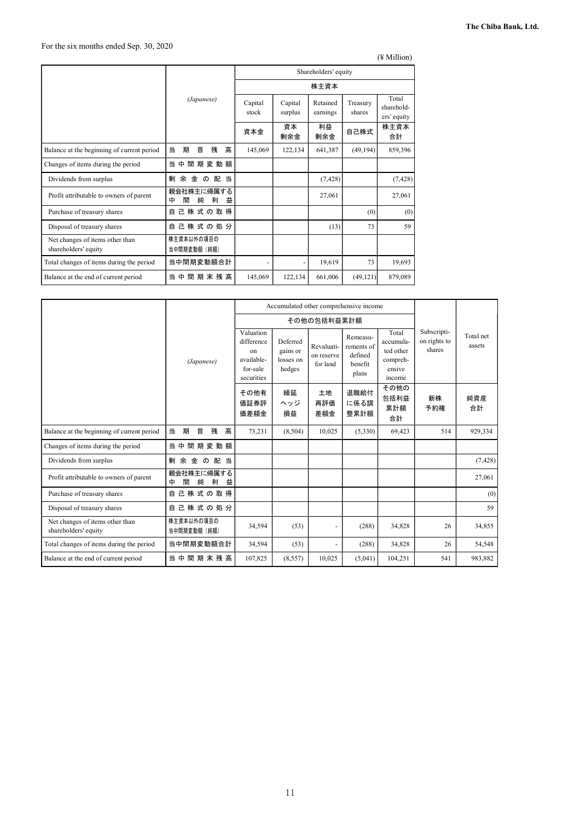(¥ Million)

|                                                         | Shareholders' equity                |                  |                    |                      |                    |                                    |
|---------------------------------------------------------|-------------------------------------|------------------|--------------------|----------------------|--------------------|------------------------------------|
|                                                         |                                     |                  | 株主資本               |                      |                    |                                    |
|                                                         | (Japanese)                          | Capital<br>stock | Capital<br>surplus | Retained<br>earnings | Treasury<br>shares | Total<br>sharehold-<br>ers' equity |
|                                                         |                                     | 資本金              | 資本<br>剰余金          | 利益<br>剰余金            | 自己株式               | 株主資本<br>合計                         |
| Balance at the beginning of current period              | 高<br>当<br>期<br>首<br>残               | 145,069          | 122,134            | 641,387              | (49, 194)          | 859,396                            |
| Changes of items during the period                      | 間期変動額<br>当<br>中                     |                  |                    |                      |                    |                                    |
| Dividends from surplus                                  | 当<br>剰<br>余<br>金<br>配<br>$\sigma$   |                  |                    | (7, 428)             |                    | (7, 428)                           |
| Profit attributable to owners of parent                 | 親会社株主に帰属する<br>間<br>純<br>利<br>中<br>益 |                  |                    | 27,061               |                    | 27,061                             |
| Purchase of treasury shares                             | 己株式の取得<br>自                         |                  |                    |                      | (0)                | (0)                                |
| Disposal of treasury shares                             | 己株式の処分<br>自                         |                  |                    | (13)                 | 73                 | 59                                 |
| Net changes of items other than<br>shareholders' equity | 株主資本以外の項目の<br>当中間期変動額(純額)           |                  |                    |                      |                    |                                    |
| Total changes of items during the period                | 当中間期変動額合計                           |                  |                    | 19,619               | 73                 | 19,693                             |
| Balance at the end of current period                    | 当 中 間 期 末 残 高                       | 145,069          | 122,134            | 661,006              | (49, 121)          | 879,089                            |

|                                                         |                                     |                                                                       |                                             |                                      | Accumulated other comprehensive income                |                                                                 |                                       |                     |
|---------------------------------------------------------|-------------------------------------|-----------------------------------------------------------------------|---------------------------------------------|--------------------------------------|-------------------------------------------------------|-----------------------------------------------------------------|---------------------------------------|---------------------|
|                                                         |                                     |                                                                       |                                             | その他の包括利益累計額                          |                                                       |                                                                 |                                       |                     |
|                                                         | (Japanese)                          | Valuation<br>difference<br>on<br>available-<br>for-sale<br>securities | Deferred<br>gains or<br>losses on<br>hedges | Revaluati-<br>on reserve<br>for land | Remeasu-<br>rements of<br>defined<br>benefit<br>plans | Total<br>accumula-<br>ted other<br>compreh-<br>ensive<br>income | Subscripti-<br>on rights to<br>shares | Total net<br>assets |
|                                                         |                                     | その他有<br>価証券評<br>価差額金                                                  | 繰延<br>ヘッジ<br>損益                             | 土地<br>再評価<br>差額金                     | 退職給付<br>に係る調<br>整累計額                                  | その他の<br>包括利益<br>累計額<br>合計                                       | 新株<br>予約権                             | 純資産<br>合計           |
| Balance at the beginning of current period              | 当<br>首<br>高<br>期<br>残               | 73,231                                                                | (8,504)                                     | 10,025                               | (5,330)                                               | 69,423                                                          | 514                                   | 929,334             |
| Changes of items during the period                      | 当<br>間期変動額<br>中                     |                                                                       |                                             |                                      |                                                       |                                                                 |                                       |                     |
| Dividends from surplus                                  | 配当<br>剰<br>余<br>金<br>$\sigma$       |                                                                       |                                             |                                      |                                                       |                                                                 |                                       | (7, 428)            |
| Profit attributable to owners of parent                 | 親会社株主に帰属する<br>益<br>間<br>純<br>利<br>中 |                                                                       |                                             |                                      |                                                       |                                                                 |                                       | 27,061              |
| Purchase of treasury shares                             | 己株式の取得<br>自                         |                                                                       |                                             |                                      |                                                       |                                                                 |                                       | (0)                 |
| Disposal of treasury shares                             | 自己株式の処分                             |                                                                       |                                             |                                      |                                                       |                                                                 |                                       | 59                  |
| Net changes of items other than<br>shareholders' equity | 株主資本以外の項目の<br>当中間期変動額 (純額)          | 34,594                                                                | (53)                                        | $\overline{\phantom{a}}$             | (288)                                                 | 34,828                                                          | 26                                    | 34,855              |
| Total changes of items during the period                | 当中間期変動額合計                           | 34,594                                                                | (53)                                        | $\blacksquare$                       | (288)                                                 | 34,828                                                          | 26                                    | 54,548              |
| Balance at the end of current period                    | 当中間期末残高                             | 107,825                                                               | (8,557)                                     | 10,025                               | (5,041)                                               | 104,251                                                         | 541                                   | 983,882             |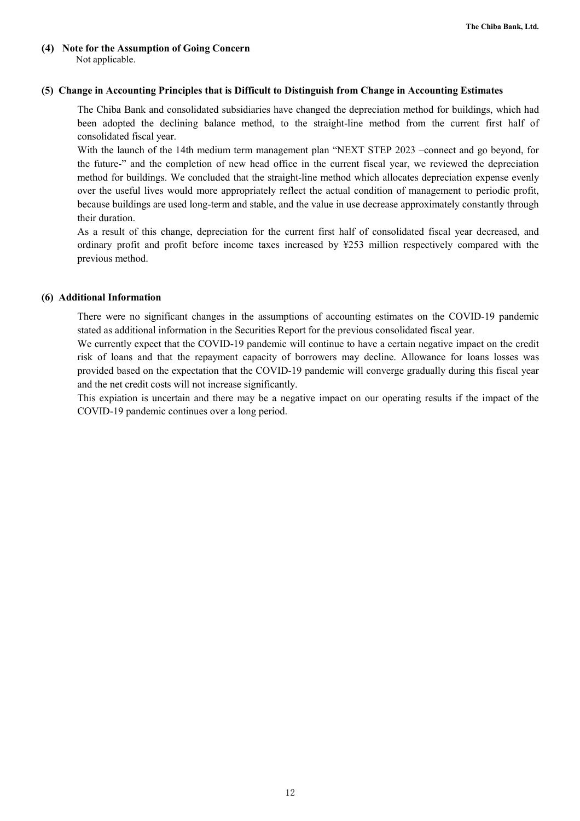### **(4) Note for the Assumption of Going Concern**  Not applicable.

### **(5) Change in Accounting Principles that is Difficult to Distinguish from Change in Accounting Estimates**

The Chiba Bank and consolidated subsidiaries have changed the depreciation method for buildings, which had been adopted the declining balance method, to the straight-line method from the current first half of consolidated fiscal year.

With the launch of the 14th medium term management plan "NEXT STEP 2023 –connect and go beyond, for the future-" and the completion of new head office in the current fiscal year, we reviewed the depreciation method for buildings. We concluded that the straight-line method which allocates depreciation expense evenly over the useful lives would more appropriately reflect the actual condition of management to periodic profit, because buildings are used long-term and stable, and the value in use decrease approximately constantly through their duration.

As a result of this change, depreciation for the current first half of consolidated fiscal year decreased, and ordinary profit and profit before income taxes increased by ¥253 million respectively compared with the previous method.

### **(6) Additional Information**

There were no significant changes in the assumptions of accounting estimates on the COVID-19 pandemic stated as additional information in the Securities Report for the previous consolidated fiscal year.

We currently expect that the COVID-19 pandemic will continue to have a certain negative impact on the credit risk of loans and that the repayment capacity of borrowers may decline. Allowance for loans losses was provided based on the expectation that the COVID-19 pandemic will converge gradually during this fiscal year and the net credit costs will not increase significantly.

This expiation is uncertain and there may be a negative impact on our operating results if the impact of the COVID-19 pandemic continues over a long period.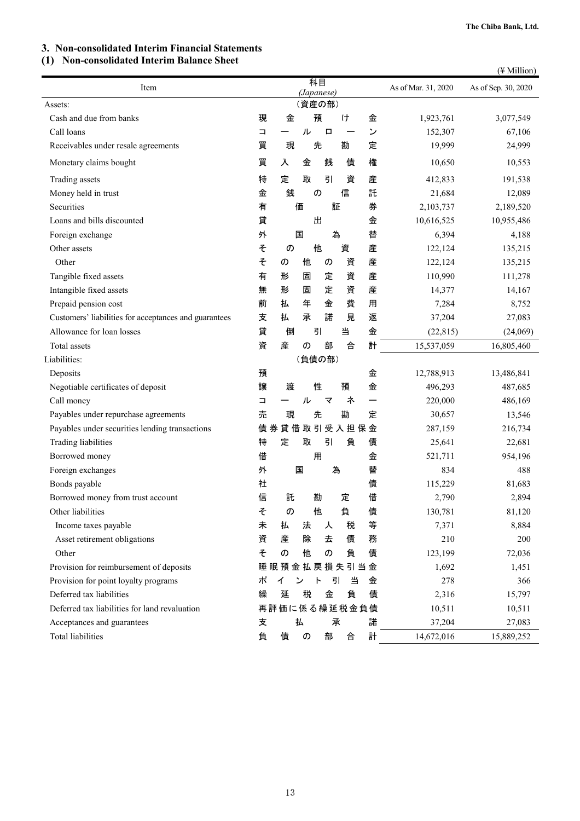### **3. Non-consolidated Interim Financial Statements**

### **(1) Non-consolidated Interim Balance Sheet**

|                                                       |        |              |            |    |          |   |   |                     | (¥ Million)         |
|-------------------------------------------------------|--------|--------------|------------|----|----------|---|---|---------------------|---------------------|
| Item                                                  |        |              | (Japanese) | 科目 |          |   |   | As of Mar. 31, 2020 | As of Sep. 30, 2020 |
| Assets:                                               |        |              | (資産の部)     |    |          |   |   |                     |                     |
| Cash and due from banks                               | 現      | 金            |            | 預  |          | H | 金 | 1,923,761           | 3,077,549           |
| Call loans                                            | $\Box$ |              | ル          |    | 口        |   | ン | 152,307             | 67,106              |
| Receivables under resale agreements                   | 買      | 現            |            | 先  |          | 勘 | 定 | 19,999              | 24,999              |
| Monetary claims bought                                | 買      | 入            | 金          |    | 銭        | 債 | 権 | 10,650              | 10,553              |
| Trading assets                                        | 特      | 定            | 取          |    | 引        | 資 | 産 | 412,833             | 191,538             |
| Money held in trust                                   | 金      | 銭            |            | の  |          | 信 | 託 | 21,684              | 12,089              |
| Securities                                            | 有      |              | 価          |    | 証        |   | 券 | 2,103,737           | 2,189,520           |
| Loans and bills discounted                            | 貸      |              |            | 出  |          |   | 金 | 10,616,525          | 10,955,486          |
| Foreign exchange                                      | 外      |              | 国          |    | 為        |   | 替 | 6,394               | 4,188               |
| Other assets                                          | そ      | の            |            | 他  |          | 資 | 産 | 122,124             | 135,215             |
| Other                                                 | そ      | の            | 他          |    | の        | 資 | 産 | 122,124             | 135,215             |
| Tangible fixed assets                                 | 有      | 形            | 固          |    | 定        | 資 | 産 | 110,990             | 111,278             |
| Intangible fixed assets                               | 無      | 形            | 固          |    | 定        | 資 | 産 | 14,377              | 14,167              |
| Prepaid pension cost                                  | 前      | 払            | 年          |    | 金        | 費 | 用 | 7,284               | 8,752               |
| Customers' liabilities for acceptances and guarantees | 支      | 払            | 承          |    | 諾        | 見 | 返 | 37,204              | 27,083              |
| Allowance for loan losses                             | 貸      | 倒            |            | 引  |          | 当 | 金 | (22, 815)           | (24,069)            |
| Total assets                                          | 資      | 産            | の          |    | 部        | 合 | 計 | 15,537,059          | 16,805,460          |
| Liabilities:                                          |        |              | (負債の部)     |    |          |   |   |                     |                     |
| Deposits                                              | 預      |              |            |    |          |   | 金 | 12,788,913          | 13,486,841          |
| Negotiable certificates of deposit                    | 譲      | 渡            |            | 性  |          | 預 | 金 | 496,293             | 487,685             |
| Call money                                            | $\Box$ |              | ル          |    | マ        | ネ |   | 220,000             | 486,169             |
| Payables under repurchase agreements                  | 売      | 現            |            | 先  |          | 勘 | 定 | 30,657              | 13,546              |
| Payables under securities lending transactions        |        | 債券貸借取引受入担保金  |            |    |          |   |   | 287,159             | 216,734             |
| Trading liabilities                                   | 特      | 定            | 取          |    | 引        | 負 | 債 | 25,641              | 22,681              |
| Borrowed money                                        | 借      |              |            | 用  |          |   | 金 | 521,711             | 954,196             |
| Foreign exchanges                                     | 外      |              | 国          |    | 為        |   | 替 | 834                 | 488                 |
| Bonds payable                                         | 社      |              |            |    |          |   | 債 | 115,229             | 81,683              |
| Borrowed money from trust account                     | 信      | 託            |            | 勘  |          | 定 | 借 | 2,790               | 2,894               |
| Other liabilities                                     | そ      | の            |            | 他  |          | 負 | 債 | 130,781             | 81,120              |
| Income taxes payable                                  | 未      | 払            | 法          |    | 人        | 税 | 等 | 7,371               | 8,884               |
| Asset retirement obligations                          | 資      | 産            | 除          |    | 去        | 債 | 務 | 210                 | 200                 |
| Other                                                 | そ      | の            | 他          |    | $\sigma$ | 負 | 債 | 123,199             | 72,036              |
| Provision for reimbursement of deposits               |        | 睡眠預金払戻損失引当金  |            |    |          |   |   | 1,692               | 1,451               |
| Provision for point loyalty programs                  | ポ      | ィ            | ン          | ь  | 引        | 当 | 金 | 278                 | 366                 |
| Deferred tax liabilities                              | 繰      | 延            | 税          |    | 金        | 負 | 債 | 2,316               | 15,797              |
| Deferred tax liabilities for land revaluation         |        | 再評価に係る繰延税金負債 |            |    |          |   |   | 10,511              | 10,511              |
| Acceptances and guarantees                            | 支      |              | 払          |    | 承        |   | 諾 | 37,204              | 27,083              |
| <b>Total liabilities</b>                              | 負      | 債            | の          |    | 部        | 合 | 計 | 14,672,016          | 15,889,252          |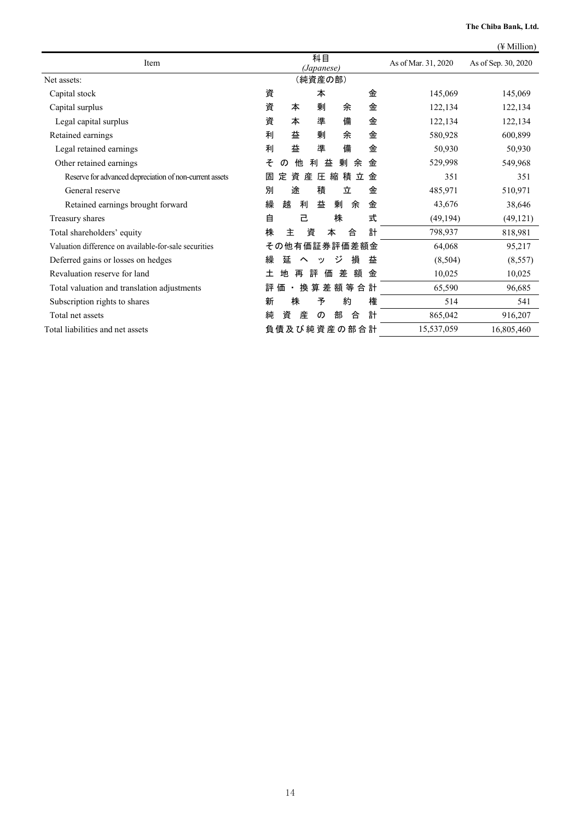|                                                         |                                             | (¥ Million)            |
|---------------------------------------------------------|---------------------------------------------|------------------------|
| Item                                                    | 科目<br>As of Mar. 31, 2020<br>(Japanese)     | As of Sep. 30, 2020    |
| Net assets:                                             | (純資産の部)                                     |                        |
| Capital stock                                           | 資<br>金<br>本                                 | 145,069<br>145,069     |
| Capital surplus                                         | 金<br>資<br>剰<br>本<br>余                       | 122,134<br>122,134     |
| Legal capital surplus                                   | 準<br>備<br>金<br>資<br>本                       | 122,134<br>122,134     |
| Retained earnings                                       | 益<br>剰<br>余<br>金<br>利                       | 580,928<br>600,899     |
| Legal retained earnings                                 | 備<br>益<br>準<br>金<br>利                       | 50,930<br>50,930       |
| Other retained earnings                                 | 他<br>そ<br>剰<br>金<br>利<br>益<br>余<br>$\sigma$ | 529,998<br>549,968     |
| Reserve for advanced depreciation of non-current assets | 資<br>産<br>積<br>定<br>圧<br>縮<br>立<br>金<br>固   | 351<br>351             |
| General reserve                                         | 途<br>積<br>立<br>金<br>別                       | 485,971<br>510,971     |
| Retained earnings brought forward                       | 繰<br>越<br>利<br>益<br>余<br>金<br>剰             | 43,676<br>38,646       |
| Treasury shares                                         | 式<br>自<br>株<br>己                            | (49, 194)<br>(49, 121) |
| Total shareholders' equity                              | 資<br>計<br>株<br>主<br>本<br>合                  | 798,937<br>818,981     |
| Valuation difference on available-for-sale securities   | その他有価証券評価差額金                                | 64,068<br>95,217       |
| Deferred gains or losses on hedges                      | ジ<br>損<br>繰<br>延<br>益<br>$\sim$<br>ッ        | (8,504)<br>(8, 557)    |
| Revaluation reserve for land                            | 差<br>額<br>地<br>評<br>価<br>土<br>再<br>金        | 10,025<br>10,025       |
| Total valuation and translation adjustments             | 算差額等<br>換<br>合計<br>評<br>価                   | 65,590<br>96,685       |
| Subscription rights to shares                           | 株<br>予<br>約<br>権<br>新                       | 514<br>541             |
| Total net assets                                        | 計<br>純<br>産<br>部<br>合<br>資<br>の             | 865,042<br>916,207     |
| Total liabilities and net assets                        | 負債及び純資産の部合計<br>15,537,059                   | 16,805,460             |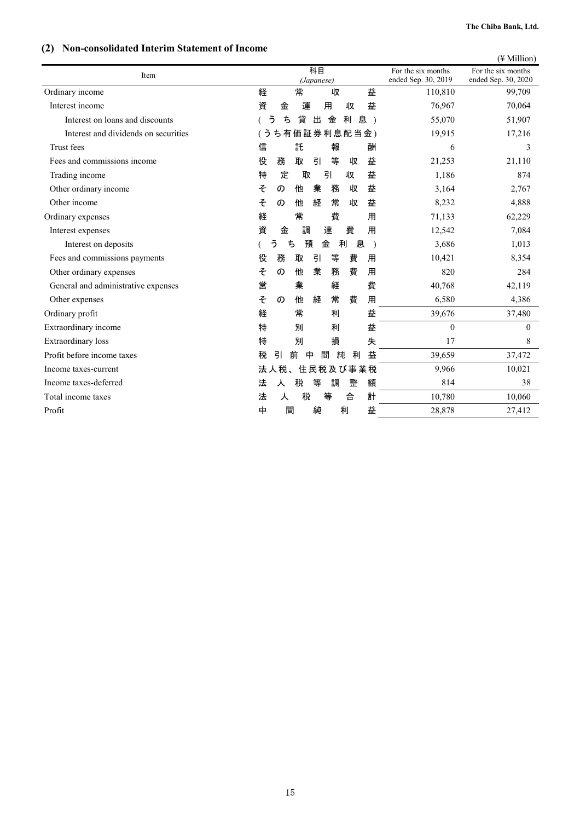### **(2) Non-consolidated Interim Statement of Income**

| <b>TWH-consonauta internal statement of income</b> |                                        | $(\frac{1}{2}$ Million)                                         |          |
|----------------------------------------------------|----------------------------------------|-----------------------------------------------------------------|----------|
| Item                                               | 科目                                     | For the six months<br>For the six months                        |          |
| Ordinary income                                    | (Japanese)<br>常<br>経<br>収<br>益         | ended Sep. 30, 2019<br>ended Sep. 30, 2020<br>110,810<br>99,709 |          |
| Interest income                                    | 益<br>運<br>資<br>金<br>用<br>収             | 76,967<br>70,064                                                |          |
| Interest on loans and discounts                    | 利<br>う<br>ち<br>貸<br>出<br>金<br>息)       | 55,070<br>51,907                                                |          |
| Interest and dividends on securities               | ち有価証券利息配当金)<br>ぅ                       | 19,915<br>17,216                                                |          |
| Trust fees                                         | 託<br>信<br>報<br>酬                       | 6                                                               | 3        |
| Fees and commissions income                        | 等<br>役<br>務<br>取<br>引<br>益<br>収        | 21,253<br>21,110                                                |          |
| Trading income                                     | 定<br>益<br>特<br>取<br>引<br>収             | 1,186<br>874                                                    |          |
| Other ordinary income                              | そ<br>他<br>業<br>益<br>務<br>収<br>の        | 3,164<br>2,767                                                  |          |
| Other income                                       | 常<br>そ<br>他<br>経<br>益<br>収<br>の        | 8,232<br>4,888                                                  |          |
| Ordinary expenses                                  | 経<br>常<br>費<br>用                       | 71,133<br>62,229                                                |          |
| Interest expenses                                  | 費<br>資<br>金<br>達<br>用<br>調             | 12,542<br>7,084                                                 |          |
| Interest on deposits                               | う<br>預<br>利<br>息<br>ち<br>金             | 3,686<br>1,013                                                  |          |
| Fees and commissions payments                      | 費<br>務<br>取<br>引<br>等<br>役<br>用        | 10,421<br>8,354                                                 |          |
| Other ordinary expenses                            | 業<br>費<br>そ<br>他<br>務<br>用<br>の        | 820<br>284                                                      |          |
| General and administrative expenses                | 業<br>経<br>営<br>費                       | 40,768<br>42,119                                                |          |
| Other expenses                                     | そ<br>常<br>費<br>用<br>他<br>経<br>$\sigma$ | 6,580<br>4,386                                                  |          |
| Ordinary profit                                    | 常<br>益<br>経<br>利                       | 39,676<br>37,480                                                |          |
| Extraordinary income                               | 益<br>特<br>別<br>利                       | $\theta$                                                        | $\theta$ |
| <b>Extraordinary</b> loss                          | 特<br>別<br>損<br>失                       | 17                                                              | 8        |
| Profit before income taxes                         | 益<br>税<br>引<br>純<br>前<br>中<br>間<br>利   | 39,659<br>37,472                                                |          |
| Income taxes-current                               | 住民税及び事業税<br>法人税、                       | 9,966<br>10,021                                                 |          |
| Income taxes-deferred                              | 税<br>等<br>額<br>法<br>調<br>整<br>人        | 814<br>38                                                       |          |
| Total income taxes                                 | 税<br>等<br>計<br>法<br>合<br>人             | 10,060<br>10,780                                                |          |
| Profit                                             | 間<br>純<br>利<br>益<br>中                  | 28,878<br>27,412                                                |          |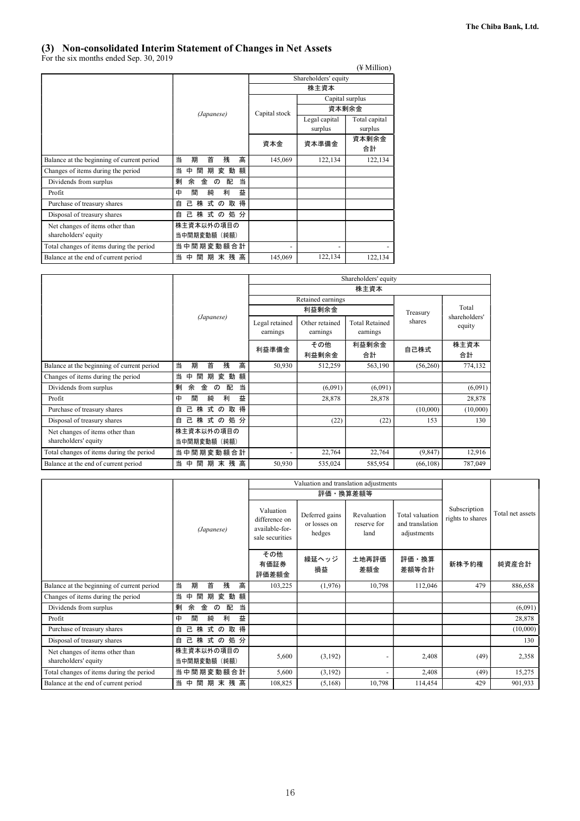### **(3) Non-consolidated Interim Statement of Changes in Net Assets**

For the six months ended Sep. 30, 2019

|                                            |                                 |                      |                 | $(\frac{1}{2}$ Million) |  |  |  |
|--------------------------------------------|---------------------------------|----------------------|-----------------|-------------------------|--|--|--|
|                                            |                                 | Shareholders' equity |                 |                         |  |  |  |
|                                            |                                 | 株主資本                 |                 |                         |  |  |  |
|                                            |                                 |                      | Capital surplus |                         |  |  |  |
|                                            | (Japanese)                      | Capital stock        | 資本剰余金           |                         |  |  |  |
|                                            |                                 |                      | Legal capital   | Total capital           |  |  |  |
|                                            |                                 |                      | surplus         | surplus                 |  |  |  |
|                                            |                                 | 資本金                  | 資本準備金           | 資本剰余金                   |  |  |  |
|                                            |                                 |                      |                 | 合計                      |  |  |  |
| Balance at the beginning of current period | 高<br>当<br>首<br>期<br>残           | 145,069              | 122,134         | 122,134                 |  |  |  |
| Changes of items during the period         | 当<br>動<br>額<br>ф<br>間<br>期<br>変 |                      |                 |                         |  |  |  |
| Dividends from surplus                     | 剰<br>当<br>金<br>配<br>余<br>の      |                      |                 |                         |  |  |  |
| Profit                                     | 益<br>中<br>間<br>純<br>利           |                      |                 |                         |  |  |  |
| Purchase of treasury shares                | 株式の取得<br>己.<br>自                |                      |                 |                         |  |  |  |
| Disposal of treasury shares                | 株 式 の 処 分<br>白<br>己.            |                      |                 |                         |  |  |  |
| Net changes of items other than            | 株主資本以外の項目の                      |                      |                 |                         |  |  |  |
| shareholders' equity                       | 当中間期変動額(純額)                     |                      |                 |                         |  |  |  |
| Total changes of items during the period   | 当中間期変動額合計                       |                      |                 |                         |  |  |  |
| Balance at the end of current period       | 間<br>当<br>期末残高<br>中             | 145,069              | 122,134         | 122,134                 |  |  |  |

|                                                         |                                        |                            |                            | Shareholders' equity              |           |                         |  |
|---------------------------------------------------------|----------------------------------------|----------------------------|----------------------------|-----------------------------------|-----------|-------------------------|--|
|                                                         |                                        |                            |                            | 株主資本                              |           |                         |  |
|                                                         |                                        |                            | Retained earnings          |                                   |           |                         |  |
|                                                         |                                        |                            | 利益剰余金                      |                                   | Treasury  | Total                   |  |
|                                                         | (Japanese)                             | Legal retained<br>earnings | Other retained<br>earnings | <b>Total Retained</b><br>earnings | shares    | shareholders'<br>equity |  |
|                                                         |                                        | 利益準備金                      | その他<br>利益剰余金               | 利益剰余金<br>合計                       | 自己株式      | 株主資本<br>合計              |  |
| Balance at the beginning of current period              | 首<br>高<br>期<br>残<br>当                  | 50,930                     | 512,259                    | 563,190                           | (56, 260) | 774,132                 |  |
| Changes of items during the period                      | 動<br>額<br>当<br>期<br>間<br>変<br>中        |                            |                            |                                   |           |                         |  |
| Dividends from surplus                                  | 剰<br>当<br>余<br>金<br>配<br>$\sigma$      |                            | (6,091)                    | (6,091)                           |           | (6,091)                 |  |
| Profit                                                  | 益<br>中<br>間<br>純<br>利                  |                            | 28,878                     | 28,878                            |           | 28,878                  |  |
| Purchase of treasury shares                             | 株<br>得<br>式<br>取<br>自<br>己<br>$\sigma$ |                            |                            |                                   | (10,000)  | (10,000)                |  |
| Disposal of treasury shares                             | 株<br>式<br>の処分<br>己<br>自                |                            | (22)                       | (22)                              | 153       | 130                     |  |
| Net changes of items other than<br>shareholders' equity | 株主資本以外の項目の<br>当中間期変動額(純額)              |                            |                            |                                   |           |                         |  |
| Total changes of items during the period                | 当中間期変動額合計                              | $\overline{\phantom{0}}$   | 22,764                     | 22,764                            | (9, 847)  | 12,916                  |  |
| Balance at the end of current period                    | 間<br>期末残高<br>当<br>中                    | 50,930                     | 535,024                    | 585,954                           | (66, 108) | 787,049                 |  |

|                                                         |                                   |                                                                 | Valuation and translation adjustments    |                                    |                                                   |                                  |                  |
|---------------------------------------------------------|-----------------------------------|-----------------------------------------------------------------|------------------------------------------|------------------------------------|---------------------------------------------------|----------------------------------|------------------|
|                                                         |                                   |                                                                 |                                          | 評価・換算差額等                           |                                                   |                                  |                  |
|                                                         | (Japanese)                        | Valuation<br>difference on<br>available-for-<br>sale securities | Deferred gains<br>or losses on<br>hedges | Revaluation<br>reserve for<br>land | Total valuation<br>and translation<br>adjustments | Subscription<br>rights to shares | Total net assets |
|                                                         |                                   | その他<br>有価証券<br>評価差額金                                            | 繰延ヘッジ<br>損益                              | 土地再評価<br>差額金                       | 評価・換算<br>差額等合計                                    | 新株予約権                            | 純資産合計            |
| Balance at the beginning of current period              | 首<br>残<br>高<br>当<br>期             | 103,225                                                         | (1,976)                                  | 10,798                             | 112,046                                           | 479                              | 886,658          |
| Changes of items during the period                      | 当<br>間<br>期<br>動<br>額<br>変<br>中   |                                                                 |                                          |                                    |                                                   |                                  |                  |
| Dividends from surplus                                  | 剰<br>余<br>金<br>配<br>当<br>$\sigma$ |                                                                 |                                          |                                    |                                                   |                                  | (6,091)          |
| Profit                                                  | 益<br>純<br>中<br>利<br>間             |                                                                 |                                          |                                    |                                                   |                                  | 28,878           |
| Purchase of treasury shares                             | 株<br>自<br>己<br>式の取得               |                                                                 |                                          |                                    |                                                   |                                  | (10,000)         |
| Disposal of treasury shares                             | 株 式 の 処 分<br>己<br>自               |                                                                 |                                          |                                    |                                                   |                                  | 130              |
| Net changes of items other than<br>shareholders' equity | 株主資本以外の項目の<br>当中間期変動額(純額)         | 5,600                                                           | (3,192)                                  |                                    | 2,408                                             | (49)                             | 2,358            |
| Total changes of items during the period                | 当中間期変動額合計                         | 5,600                                                           | (3,192)                                  | $\overline{\phantom{0}}$           | 2,408                                             | (49)                             | 15,275           |
| Balance at the end of current period                    | 間<br>期末残高<br>当<br>中               | 108,825                                                         | (5,168)                                  | 10,798                             | 114,454                                           | 429                              | 901,933          |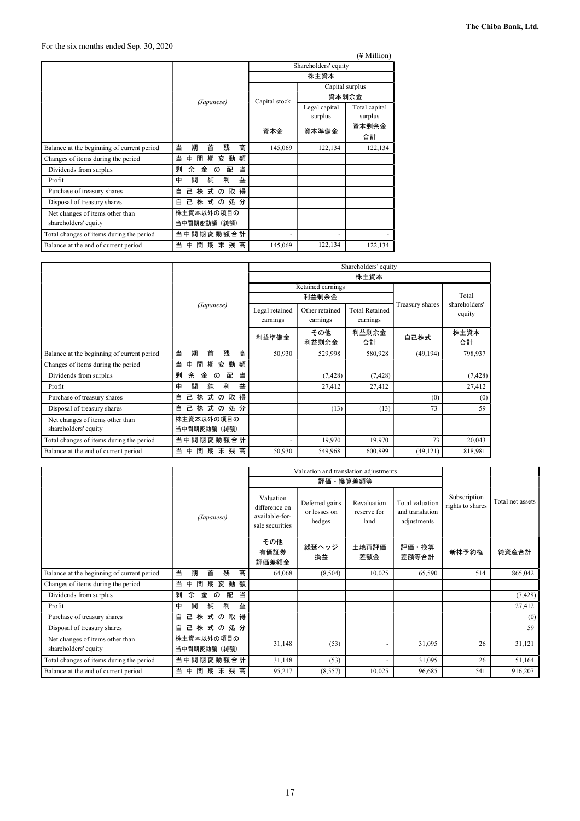|                                            |                                   |               |                          | (¥ Million)              |  |  |
|--------------------------------------------|-----------------------------------|---------------|--------------------------|--------------------------|--|--|
|                                            |                                   |               | Shareholders' equity     |                          |  |  |
|                                            |                                   | 株主資本          |                          |                          |  |  |
|                                            |                                   |               | Capital surplus          |                          |  |  |
|                                            | (Japanese)                        | Capital stock | 資本剰余金                    |                          |  |  |
|                                            |                                   |               | Legal capital<br>surplus | Total capital<br>surplus |  |  |
|                                            |                                   | 資本金           | 資本準備金                    | 資本剰余金<br>合計              |  |  |
| Balance at the beginning of current period | 高<br>当<br>期<br>首<br>残             | 145,069       | 122,134                  | 122,134                  |  |  |
| Changes of items during the period         | 動<br>額<br>当<br>ф<br>間<br>期<br>変   |               |                          |                          |  |  |
| Dividends from surplus                     | 当<br>剰<br>余<br>金<br>配<br>$\sigma$ |               |                          |                          |  |  |
| Profit                                     | 益<br>中<br>間<br>純<br>利             |               |                          |                          |  |  |
| Purchase of treasury shares                | 株式の取得<br>自<br>己                   |               |                          |                          |  |  |
| Disposal of treasury shares                | 式の処分<br>株<br>己.<br>自              |               |                          |                          |  |  |
| Net changes of items other than            | 株主資本以外の項目の                        |               |                          |                          |  |  |
| shareholders' equity                       | 当中間期変動額(純額)                       |               |                          |                          |  |  |
| Total changes of items during the period   | 当中間期変動額合計                         |               |                          |                          |  |  |
| Balance at the end of current period       | 間<br>期末残高<br>当<br>                | 145,069       | 122,134                  | 122,134                  |  |  |

|                                                         |                                        |                            |                            | Shareholders' equity              |                 |                         |
|---------------------------------------------------------|----------------------------------------|----------------------------|----------------------------|-----------------------------------|-----------------|-------------------------|
|                                                         |                                        |                            |                            | 株主資本                              |                 |                         |
|                                                         |                                        |                            | Retained earnings          |                                   |                 |                         |
|                                                         |                                        |                            | 利益剰余金                      |                                   |                 | Total                   |
|                                                         | (Japanese)                             | Legal retained<br>earnings | Other retained<br>earnings | <b>Total Retained</b><br>earnings | Treasury shares | shareholders'<br>equity |
|                                                         |                                        | 利益準備金                      | その他<br>利益剰余金               | 利益剰余金<br>合計                       | 自己株式            | 株主資本<br>合計              |
| Balance at the beginning of current period              | 首<br>高<br>期<br>残<br>当                  | 50,930                     | 529,998                    | 580,928                           | (49, 194)       | 798,937                 |
| Changes of items during the period                      | 額<br>当<br>動<br>間<br>期<br>変<br>中        |                            |                            |                                   |                 |                         |
| Dividends from surplus                                  | 当<br>剰<br>余<br>金<br>配<br>$\sigma$      |                            | (7, 428)                   | (7, 428)                          |                 | (7, 428)                |
| Profit                                                  | 益<br>中<br>間<br>純<br>利                  |                            | 27,412                     | 27,412                            |                 | 27,412                  |
| Purchase of treasury shares                             | 株<br>式<br>取<br>得<br>自<br>己<br>$\sigma$ |                            |                            |                                   | (0)             | (0)                     |
| Disposal of treasury shares                             | 株<br>式<br>の処分<br>自<br>己                |                            | (13)                       | (13)                              | 73              | 59                      |
| Net changes of items other than<br>shareholders' equity | 株主資本以外の項目の<br>当中間期変動額(純額)              |                            |                            |                                   |                 |                         |
| Total changes of items during the period                | 当中間期変動額合計                              | ٠                          | 19,970                     | 19,970                            | 73              | 20,043                  |
| Balance at the end of current period                    | 期末残高<br>当<br>間<br>中                    | 50,930                     | 549,968                    | 600,899                           | (49, 121)       | 818,981                 |

|                                                         |                                   |                                                                 | Valuation and translation adjustments    |                                    |                                                   |                                  |                  |  |
|---------------------------------------------------------|-----------------------------------|-----------------------------------------------------------------|------------------------------------------|------------------------------------|---------------------------------------------------|----------------------------------|------------------|--|
|                                                         |                                   |                                                                 |                                          | 評価・換算差額等                           |                                                   |                                  |                  |  |
|                                                         | (Japanese)                        | Valuation<br>difference on<br>available-for-<br>sale securities | Deferred gains<br>or losses on<br>hedges | Revaluation<br>reserve for<br>land | Total valuation<br>and translation<br>adjustments | Subscription<br>rights to shares | Total net assets |  |
|                                                         |                                   | その他<br>有価証券<br>評価差額金                                            | 繰延ヘッジ<br>損益                              | 土地再評価<br>差額金                       | 評価・換算<br>差額等合計                                    | 新株予約権                            | 純資産合計            |  |
| Balance at the beginning of current period              | 残<br>首<br>高<br>当<br>期             | 64,068                                                          | (8,504)                                  | 10,025                             | 65,590                                            | 514                              | 865,042          |  |
| Changes of items during the period                      | 当<br>間<br>期<br>変<br>動<br>額<br>中   |                                                                 |                                          |                                    |                                                   |                                  |                  |  |
| Dividends from surplus                                  | 当<br>剰<br>余<br>金<br>配<br>$\sigma$ |                                                                 |                                          |                                    |                                                   |                                  | (7, 428)         |  |
| Profit                                                  | 益<br>間<br>純<br>利<br>中             |                                                                 |                                          |                                    |                                                   |                                  | 27,412           |  |
| Purchase of treasury shares                             | 己<br>株<br>式の<br>取<br>得<br>自       |                                                                 |                                          |                                    |                                                   |                                  | (0)              |  |
| Disposal of treasury shares                             | 株<br>式の処分<br>己<br>自               |                                                                 |                                          |                                    |                                                   |                                  | 59               |  |
| Net changes of items other than<br>shareholders' equity | 株主資本以外の項目の<br>当中間期変動額 (純額)        | 31,148                                                          | (53)                                     | -                                  | 31,095                                            | 26                               | 31,121           |  |
| Total changes of items during the period                | 当中間期変動額合計                         | 31,148                                                          | (53)                                     |                                    | 31,095                                            | 26                               | 51,164           |  |
| Balance at the end of current period                    | 当<br>期末残高<br>間<br>中               | 95,217                                                          | (8, 557)                                 | 10,025                             | 96,685                                            | 541                              | 916,207          |  |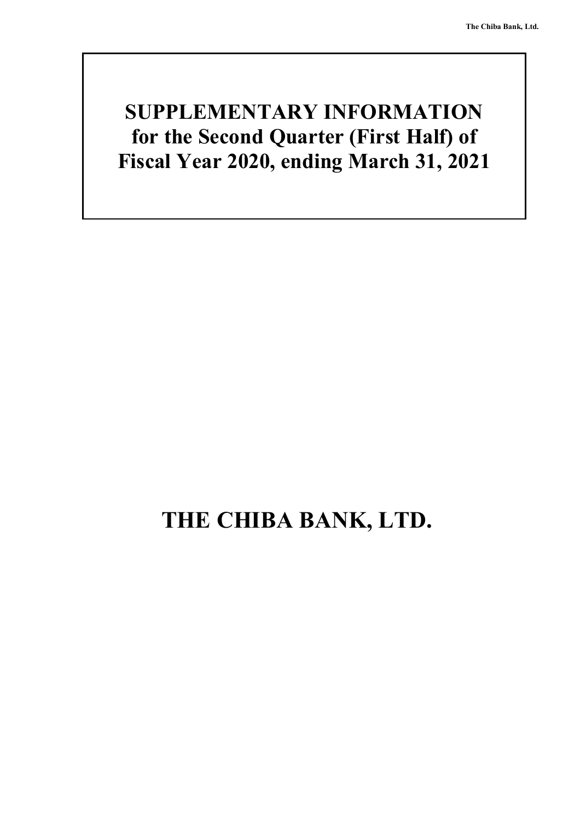# **SUPPLEMENTARY INFORMATION for the Second Quarter (First Half) of Fiscal Year 2020, ending March 31, 2021**

# **THE CHIBA BANK, LTD.**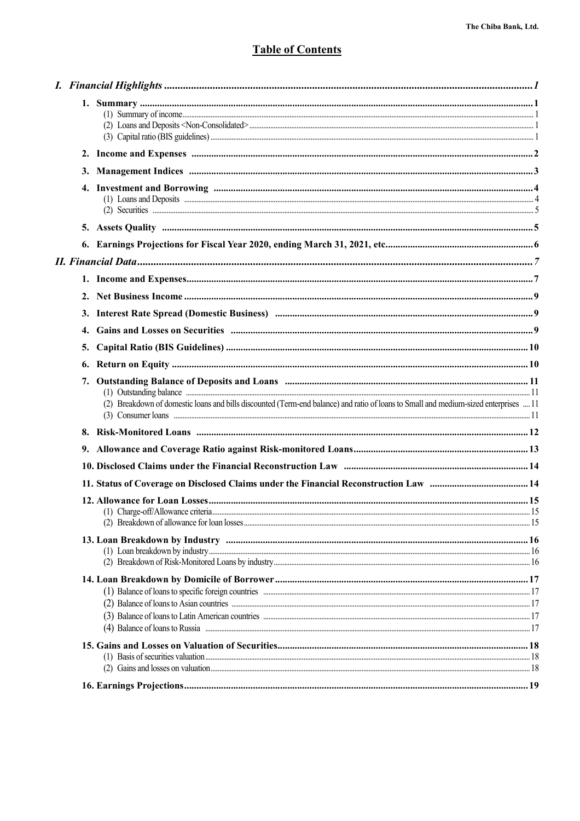### **Table of Contents**

|  | (1) Loans and Deposits <b>much contained the contract of the contract of the contract of the contract of the contract of the contract of the contract of the contract of the contract of the contract of the contract of the con</b> |  |
|--|--------------------------------------------------------------------------------------------------------------------------------------------------------------------------------------------------------------------------------------|--|
|  |                                                                                                                                                                                                                                      |  |
|  |                                                                                                                                                                                                                                      |  |
|  |                                                                                                                                                                                                                                      |  |
|  |                                                                                                                                                                                                                                      |  |
|  |                                                                                                                                                                                                                                      |  |
|  |                                                                                                                                                                                                                                      |  |
|  |                                                                                                                                                                                                                                      |  |
|  |                                                                                                                                                                                                                                      |  |
|  |                                                                                                                                                                                                                                      |  |
|  | (2) Breakdown of domestic loans and bills discounted (Term-end balance) and ratio of loans to Small and medium-sized enterprises  11                                                                                                 |  |
|  |                                                                                                                                                                                                                                      |  |
|  |                                                                                                                                                                                                                                      |  |
|  |                                                                                                                                                                                                                                      |  |
|  |                                                                                                                                                                                                                                      |  |
|  |                                                                                                                                                                                                                                      |  |
|  |                                                                                                                                                                                                                                      |  |
|  |                                                                                                                                                                                                                                      |  |
|  |                                                                                                                                                                                                                                      |  |
|  |                                                                                                                                                                                                                                      |  |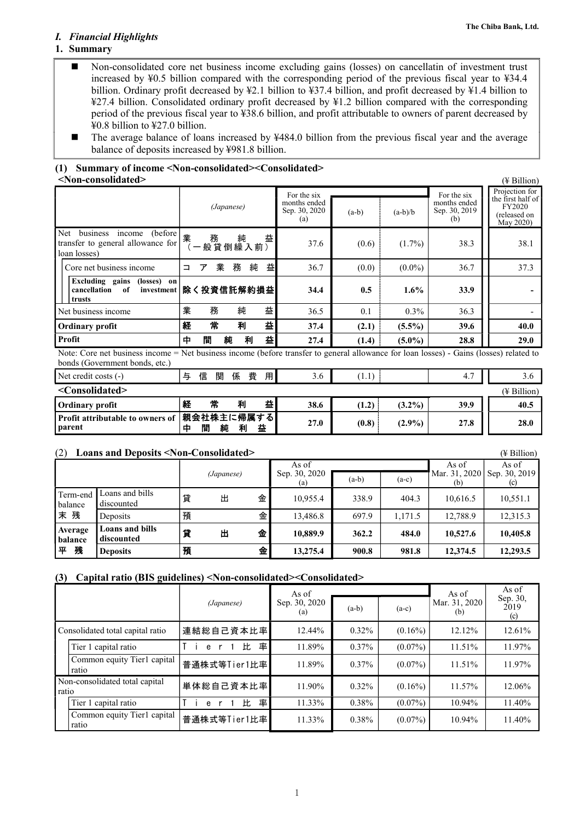### *I. Financial Highlights*

### **1. Summary**

- Non-consolidated core net business income excluding gains (losses) on cancellatin of investment trust increased by ¥0.5 billion compared with the corresponding period of the previous fiscal year to ¥34.4 billion. Ordinary profit decreased by ¥2.1 billion to ¥37.4 billion, and profit decreased by ¥1.4 billion to ¥27.4 billion. Consolidated ordinary profit decreased by ¥1.2 billion compared with the corresponding period of the previous fiscal year to ¥38.6 billion, and profit attributable to owners of parent decreased by ¥0.8 billion to ¥27.0 billion.
- The average balance of loans increased by ¥484.0 billion from the previous fiscal year and the average balance of deposits increased by ¥981.8 billion.

### **(1) Summary of income <Non-consolidated><Consolidated> <Non-consolidated>** (¥ Billion)

|                                                                                            |                                                                                                                                         |                                              |                                                     |         |           |                                                     | $(1 - 2 - 1)$                                                              |  |  |  |
|--------------------------------------------------------------------------------------------|-----------------------------------------------------------------------------------------------------------------------------------------|----------------------------------------------|-----------------------------------------------------|---------|-----------|-----------------------------------------------------|----------------------------------------------------------------------------|--|--|--|
|                                                                                            |                                                                                                                                         | (Japanese)                                   | For the six<br>months ended<br>Sep. 30, 2020<br>(a) | $(a-b)$ | $(a-b)/b$ | For the six<br>months ended<br>Sep. 30, 2019<br>(b) | Projection for<br>the first half of<br>FY2020<br>(released on<br>May 2020) |  |  |  |
| (before)<br>Net<br>business<br>income<br>transfer to general allowance for<br>loan losses) | 業                                                                                                                                       | 益<br>:   務   純 <i>盐</i><br>: 一 般 貸 倒 繰 入 前 ) | 37.6                                                | (0.6)   | $(1.7\%)$ | 38.3                                                | 38.1                                                                       |  |  |  |
| Core net business income                                                                   | 業<br>ア<br>⊐                                                                                                                             | 益<br>務<br>純                                  | 36.7                                                | (0.0)   | $(0.0\%)$ | 36.7                                                | 37.3                                                                       |  |  |  |
| Excluding gains<br>(losses) on<br>cancellation<br>of<br>investment<br>trusts               |                                                                                                                                         | 除く投資信託解約損益                                   | 34.4                                                | 0.5     | $1.6\%$   | 33.9                                                |                                                                            |  |  |  |
| Net business income                                                                        | 業<br>務                                                                                                                                  | 益<br>純                                       | 36.5                                                | 0.1     | $0.3\%$   | 36.3                                                |                                                                            |  |  |  |
| <b>Ordinary profit</b>                                                                     | 常<br>経                                                                                                                                  | 益<br>利                                       | 37.4                                                | (2.1)   | $(5.5\%)$ | 39.6                                                | 40.0                                                                       |  |  |  |
| Profit                                                                                     | 間<br>中                                                                                                                                  | 益<br>純<br>利                                  | 27.4                                                | (1.4)   | $(5.0\%)$ | 28.8                                                | 29.0                                                                       |  |  |  |
| bonds (Government bonds, etc.)                                                             | Note: Core net business income = Net business income (before transfer to general allowance for loan losses) - Gains (losses) related to |                                              |                                                     |         |           |                                                     |                                                                            |  |  |  |
| Net credit costs (-)                                                                       | 与<br>信<br>関                                                                                                                             | 費<br>係<br>用                                  | 3.6                                                 | (1.1)   |           | 4.7                                                 | 3.6                                                                        |  |  |  |

| <b>THAT AND A CONTRATE</b>                                     |   | ≔ | ๛ | <b>Izis</b> | 只 | ,,,, | $\cup$ . $\cup$ | .     |           | . .  | $\cup$ . $\cup$ |
|----------------------------------------------------------------|---|---|---|-------------|---|------|-----------------|-------|-----------|------|-----------------|
| <consolidated></consolidated>                                  |   |   |   |             |   |      |                 |       |           |      | (¥ Billion)     |
| <b>Ordinary profit</b>                                         | 経 |   | 常 | 利           |   |      | 38.6            | (1.2) | $(3.2\%)$ | 39.9 | 40.5            |
| Profit attributable to owners of   親会社株主に帰属する<br><b>parent</b> |   | 閒 | 純 | 利           |   | 益    | 27.0            | (0.8) | $(2.9\%)$ | 27.8 | 28.0            |

(2) **Loans and Deposits <Non-Consolidated>** (¥ Billion) *(Japanese)* As of Sep. 30, 2020 (a) As of Mar. 31, 2020 (b) As of Sep. 30, 2019 (a-b) (a-c)  $\begin{vmatrix} 1 & 0 & 0 \\ 0 & 0 & 0 \\ 0 & 0 & 0 \end{vmatrix}$  (b) Term-end balance 末 残 Loans and bills Loans and only and only at the discounted  $\begin{bmatrix} \frac{338.9}{404.3} \end{bmatrix}$  404.3  $\begin{bmatrix} 10,616.5 \\ 10,551.1 \end{bmatrix}$  10,551.1 Deposits | 預 金 | 13,486.8 | 697.9 | 1,171.5 | 12,788.9 | 12,315.3 **Average balance**  平 残 **Loans and bills discounted** 貸 出 金 **10,889.9 362.2 484.0 10,527.6 10,405.8 Deposits** 預 金 **13,275.4 900.8 981.8 12,374.5 12,293.5**

### **(3) Capital ratio (BIS guidelines) <Non-consolidated><Consolidated>**

|       |                                      |              | As of                |          |            | As of                | As of                   |
|-------|--------------------------------------|--------------|----------------------|----------|------------|----------------------|-------------------------|
|       |                                      | (Japanese)   | Sep. 30, 2020<br>(a) | $(a-b)$  | $(a-c)$    | Mar. 31, 2020<br>(b) | Sep. 30,<br>2019<br>(c) |
|       | Consolidated total capital ratio     | 連結総自己資本比率    | 12.44%               | $0.32\%$ | $(0.16\%)$ | $12.12\%$            | 12.61%                  |
|       | Tier 1 capital ratio                 | 率<br>比<br>e  | 11.89%               | $0.37\%$ | $(0.07\%)$ | 11.51%               | 11.97%                  |
|       | Common equity Tier1 capital<br>ratio | 普通株式等Tier1比率 | 11.89%               | $0.37\%$ | $(0.07\%)$ | 11.51%               | 11.97%                  |
| ratio | Non-consolidated total capital       | 単体総自己資本比率    | 11.90%               | $0.32\%$ | $(0.16\%)$ | 11.57%               | 12.06%                  |
|       | Tier 1 capital ratio                 | 率<br>比<br>e  | 11.33%               | $0.38\%$ | $(0.07\%)$ | 10.94%               | 11.40%                  |
|       | Common equity Tier1 capital<br>ratio | 普通株式等Tier1比率 | 11.33%               | $0.38\%$ | $(0.07\%)$ | 10.94%               | 11.40%                  |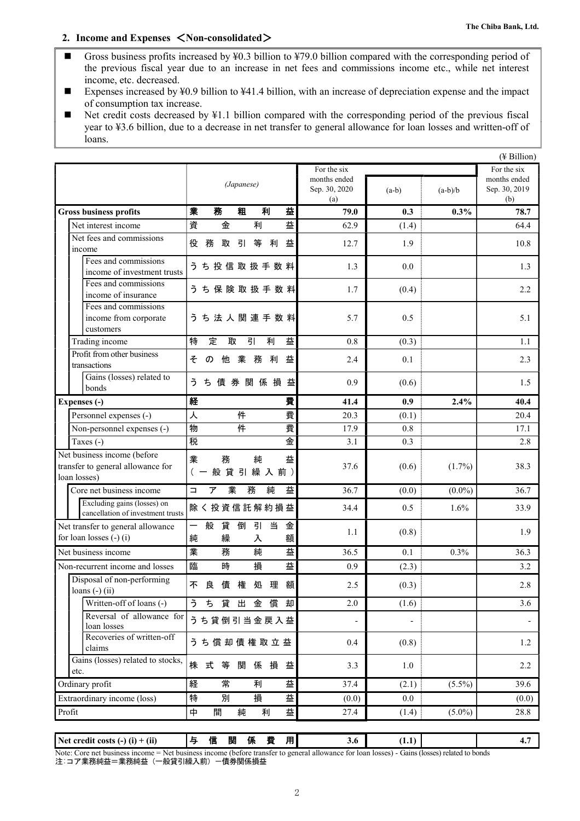### **2. Income and Expenses** <**Non-consolidated**>

- Gross business profits increased by  $\yen$ 0.3 billion to  $\yen$ 79.0 billion compared with the corresponding period of the previous fiscal year due to an increase in net fees and commissions income etc., while net interest income, etc. decreased.
- Expenses increased by ¥0.9 billion to ¥41.4 billion, with an increase of depreciation expense and the impact of consumption tax increase.
- Net credit costs decreased by  $\frac{1}{4}$ .1 billion compared with the corresponding period of the previous fiscal year to ¥3.6 billion, due to a decrease in net transfer to general allowance for loan losses and written-off of loans.

|                                                                                  |                                                     |                                      |         |           | $(4$ Billion)                        |
|----------------------------------------------------------------------------------|-----------------------------------------------------|--------------------------------------|---------|-----------|--------------------------------------|
|                                                                                  |                                                     | For the six                          |         |           | For the six                          |
|                                                                                  | (Japanese)                                          | months ended<br>Sep. 30, 2020<br>(a) | $(a-b)$ | $(a-b)/b$ | months ended<br>Sep. 30, 2019<br>(b) |
| <b>Gross business profits</b>                                                    | 業<br>務<br>利<br>益<br>粗                               | 79.0                                 | 0.3     | 0.3%      | 78.7                                 |
| Net interest income                                                              | 資<br>金<br>益<br>利                                    | 62.9                                 | (1.4)   |           | 64.4                                 |
| Net fees and commissions                                                         |                                                     |                                      |         |           |                                      |
| income                                                                           | 役<br>務<br>取<br>引<br>等<br>利<br>益                     | 12.7                                 | 1.9     |           | 10.8                                 |
| Fees and commissions<br>income of investment trusts                              | う ち 投 信 取 扱 手 数 料                                   | 1.3                                  | 0.0     |           | 1.3                                  |
| Fees and commissions<br>income of insurance                                      | うち保険取扱手数料                                           | 1.7                                  | (0.4)   |           | 2.2                                  |
| Fees and commissions<br>income from corporate<br>customers                       | うち法人関連手数料                                           | 5.7                                  | 0.5     |           | 5.1                                  |
| Trading income                                                                   | 引<br>特<br>定<br>取<br>利<br>益                          | 0.8                                  | (0.3)   |           | 1.1                                  |
| Profit from other business<br>transactions                                       | 他業務<br>利<br>益<br>そ<br>$\sigma$                      | 2.4                                  | 0.1     |           | 2.3                                  |
| Gains (losses) related to<br>bonds                                               | ち 債 券 関 係 損<br>益<br>ぅ                               | 0.9                                  | (0.6)   |           | 1.5                                  |
| Expenses (-)                                                                     | 経<br>費                                              | 41.4                                 | 0.9     | 2.4%      | 40.4                                 |
| Personnel expenses (-)                                                           | 件<br>費<br>人                                         | 20.3                                 | (0.1)   |           | 20.4                                 |
| Non-personnel expenses (-)                                                       | 件<br>費<br>物                                         | 17.9                                 | 0.8     |           | 17.1                                 |
| Taxes (-)                                                                        | 金<br>税                                              | 3.1                                  | 0.3     |           | 2.8                                  |
| Net business income (before<br>transfer to general allowance for<br>loan losses) | 業<br>務<br>純<br>益<br>般 貸 引 繰 入 前)<br>$($ $-$         | 37.6                                 | (0.6)   | $(1.7\%)$ | 38.3                                 |
| Core net business income                                                         | 業<br>務<br>ア<br>純<br>益<br>$\Box$                     | 36.7                                 | (0.0)   | $(0.0\%)$ | 36.7                                 |
| Excluding gains (losses) on<br>cancellation of investment trusts                 | <b>除く投資信託解約損益</b>                                   | 34.4                                 | 0.5     | 1.6%      | 33.9                                 |
| Net transfer to general allowance<br>for loan losses $(-)$ (i)                   | 倒<br>引<br>当<br>般<br>貸<br>金<br>—<br>純<br>繰<br>入<br>額 | 1.1                                  | (0.8)   |           | 1.9                                  |
| Net business income                                                              | 業<br>務<br>益<br>純                                    | 36.5                                 | 0.1     | 0.3%      | 36.3                                 |
| Non-recurrent income and losses                                                  | 臨<br>時<br>損<br>益                                    | 0.9                                  | (2.3)   |           | 3.2                                  |
| Disposal of non-performing<br>loans $(-)$ (ii)                                   | 不<br>良<br>債<br>権<br>処<br>理<br>額                     | 2.5                                  | (0.3)   |           | 2.8                                  |
| Written-off of loans (-)                                                         | 貸出金償却<br>ち<br>ぅ                                     | $2.0\,$                              | (1.6)   |           | 3.6                                  |
| Reversal of allowance for<br>loan losses                                         | うち貸倒引当金戻入益                                          | $\overline{a}$                       |         |           |                                      |
| Recoveries of written-off<br>claims                                              | うち償却債権取立益                                           | 0.4                                  | (0.8)   |           | 1.2                                  |
| Gains (losses) related to stocks,<br>etc.                                        | 株 式<br>等<br>関<br>係<br>損<br>益                        | 3.3                                  | 1.0     |           | 2.2                                  |
| Ordinary profit                                                                  | 常<br>経<br>益<br>利                                    | 37.4                                 | (2.1)   | $(5.5\%)$ | 39.6                                 |
| Extraordinary income (loss)                                                      | 特<br>別<br>損<br>益                                    | (0.0)                                | 0.0     |           | (0.0)                                |
| Profit                                                                           | 益<br>中<br>間<br>純<br>利                               | 27.4                                 | (1.4)   | $(5.0\%)$ | 28.8                                 |
|                                                                                  |                                                     |                                      |         |           |                                      |

| Net credit costs $(-)$ $(i)$ + $(ii)$                                                                                                                                                        |  | 12 |  | ΙЖ |  | . . | э.о | . . |  | т. |
|----------------------------------------------------------------------------------------------------------------------------------------------------------------------------------------------|--|----|--|----|--|-----|-----|-----|--|----|
| Note:<br>s (losses) related to bonds<br>s income (before transfer f<br><b>Jains</b><br>losses) -<br>r to general allowance for .<br>net<br>loan<br>t business income = Net business :<br>ore |  |    |  |    |  |     |     |     |  |    |

注:コア業務純益=業務純益(一般貸引繰入前)ー債券関係損益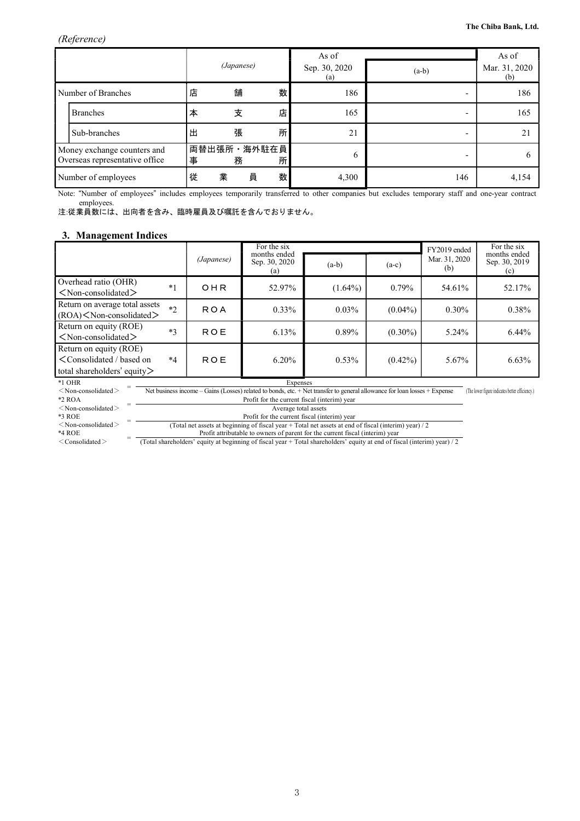|                                                               |                     |   | (Japanese)       |   | As of<br>Sep. 30, 2020<br>(a) | $(a-b)$ | As of<br>Mar. 31, 2020<br>(b) |
|---------------------------------------------------------------|---------------------|---|------------------|---|-------------------------------|---------|-------------------------------|
| Number of Branches                                            |                     | 店 | 舗                | 数 | 186                           |         | 186                           |
|                                                               | <b>Branches</b>     | 本 | 支                | 店 | 165                           |         | 165                           |
|                                                               | Sub-branches        | 出 | 張                | 所 | 21                            |         | 21                            |
| Money exchange counters and<br>Overseas representative office |                     | 事 | 両替出張所·海外駐在員<br>務 | 所 | 6                             |         |                               |
|                                                               | Number of employees |   | 員<br>業           | 数 | 4,300                         | 146     | 4,154                         |

Note: "Number of employees" includes employees temporarily transferred to other companies but excludes temporary staff and one-year contract employees.

注:従業員数には、出向者を含み、臨時雇員及び嘱託を含んでおりません。

### **3. Management Indices**

|                                                                                                                                                                                                                                  |                                              |            | For the six                                                                                           |            |            | FY2019 ended         | For the six                          |  |  |  |
|----------------------------------------------------------------------------------------------------------------------------------------------------------------------------------------------------------------------------------|----------------------------------------------|------------|-------------------------------------------------------------------------------------------------------|------------|------------|----------------------|--------------------------------------|--|--|--|
|                                                                                                                                                                                                                                  |                                              | (Japanese) | months ended<br>Sep. 30, 2020<br>(a)                                                                  | $(a-b)$    | $(a-c)$    | Mar. 31, 2020<br>(b) | months ended<br>Sep. 30, 2019<br>(c) |  |  |  |
| Overhead ratio (OHR)<br>$<$ Non-consolidated $>$                                                                                                                                                                                 | $*1$                                         | OHR        | 52.97%                                                                                                | $(1.64\%)$ | $0.79\%$   | 54.61%               | 52.17%                               |  |  |  |
| Return on average total assets<br>$(ROA)$ < Non-consolidated >                                                                                                                                                                   | $*2$                                         | <b>ROA</b> | $0.33\%$                                                                                              | $0.03\%$   | $(0.04\%)$ | $0.30\%$             | 0.38%                                |  |  |  |
| Return on equity (ROE)<br>$<$ Non-consolidated $>$                                                                                                                                                                               | $*3$                                         | <b>ROE</b> | 6.13%                                                                                                 | 0.89%      | $(0.30\%)$ | 5.24%                | $6.44\%$                             |  |  |  |
| Return on equity (ROE)<br><consolidated based="" on<br="">total shareholders' equity&gt;</consolidated>                                                                                                                          | $*4$                                         | ROE        | 6.20%                                                                                                 | 0.53%      | $(0.42\%)$ | 5.67%                | 6.63%                                |  |  |  |
| $*1$ OHR<br>Expenses<br>Net business income – Gains (Losses) related to bonds, etc. + Net transfer to general allowance for loan losses + Expense<br>$<$ Non-consolidated $>$<br>(The lower figure indicates better efficiency.) |                                              |            |                                                                                                       |            |            |                      |                                      |  |  |  |
| $*2$ ROA                                                                                                                                                                                                                         | Profit for the current fiscal (interim) year |            |                                                                                                       |            |            |                      |                                      |  |  |  |
| $<$ Non-consolidated $>$                                                                                                                                                                                                         | Average total assets                         |            |                                                                                                       |            |            |                      |                                      |  |  |  |
| $*3$ ROE                                                                                                                                                                                                                         | Profit for the current fiscal (interim) year |            |                                                                                                       |            |            |                      |                                      |  |  |  |
| $<$ Non-consolidated $>$                                                                                                                                                                                                         |                                              |            | (Total net assets at beginning of fiscal year + Total net assets at end of fiscal (interim) year) / 2 |            |            |                      |                                      |  |  |  |

\*4 ROE<br>
< Consolidated >

\*4 ROE = Profit attributable to owners of parent for the current fiscal (interim) year < Consolidated >  $=$  Total shareholders' equity at beginning of fiscal year + Total shareholders' equity at end of fiscal (interim) yea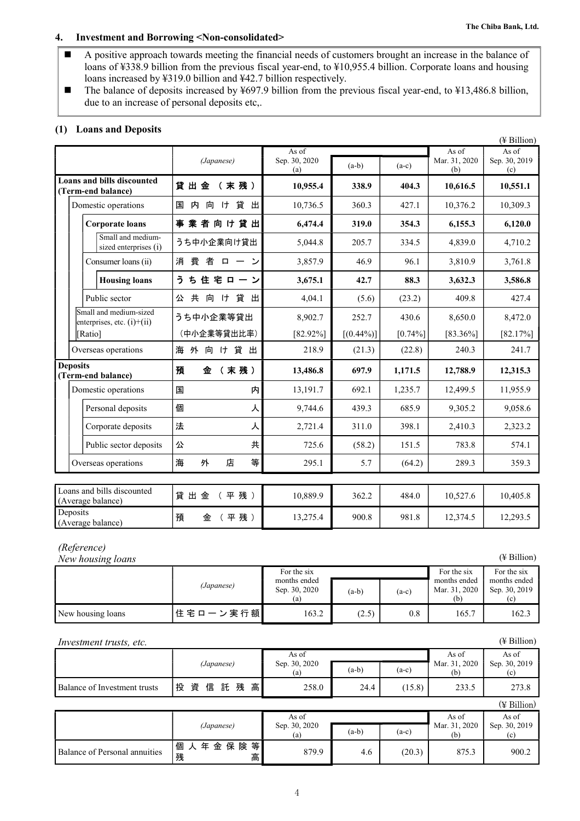### **4. Investment and Borrowing <Non-consolidated>**

- A positive approach towards meeting the financial needs of customers brought an increase in the balance of loans of ¥338.9 billion from the previous fiscal year-end, to ¥10,955.4 billion. Corporate loans and housing loans increased by ¥319.0 billion and ¥42.7 billion respectively.
- The balance of deposits increased by ¥697.9 billion from the previous fiscal year-end, to ¥13,486.8 billion, due to an increase of personal deposits etc,.

### **(1) Loans and Deposits**

|                                                        |                                     |                      |              |            |                      | $(\frac{1}{2}$ Billion) |
|--------------------------------------------------------|-------------------------------------|----------------------|--------------|------------|----------------------|-------------------------|
|                                                        |                                     | As of                |              |            | As of                | As of                   |
|                                                        | (Japanese)                          | Sep. 30, 2020<br>(a) | $(a-b)$      | $(a-c)$    | Mar. 31, 2020<br>(b) | Sep. 30, 2019<br>(c)    |
| Loans and bills discounted<br>(Term-end balance)       | 貸出金<br>(末残)                         | 10,955.4             | 338.9        | 404.3      | 10,616.5             | 10,551.1                |
| Domestic operations                                    | 向け貸出<br>国<br>内                      | 10,736.5             | 360.3        | 427.1      | 10,376.2             | 10,309.3                |
| <b>Corporate loans</b>                                 | 業者向け貸出<br>事                         | 6,474.4              | 319.0        | 354.3      | 6,155.3              | 6,120.0                 |
| Small and medium-<br>sized enterprises (i)             | うち中小企業向け貸出                          | 5,044.8              | 205.7        | 334.5      | 4,839.0              | 4,710.2                 |
| Consumer loans (ii)                                    | 費者<br>消<br>$\Box$<br>$\overline{ }$ | 3,857.9              | 46.9         | 96.1       | 3,810.9              | 3,761.8                 |
| <b>Housing loans</b>                                   | う<br>ち住宅ローン                         | 3,675.1              | 42.7         | 88.3       | 3,632.3              | 3,586.8                 |
| Public sector                                          | け貸出<br>共<br>向<br>公                  | 4,04.1               | (5.6)        | (23.2)     | 409.8                | 427.4                   |
| Small and medium-sized<br>enterprises, etc. $(i)+(ii)$ | うち中小企業等貸出                           | 8,902.7              | 252.7        | 430.6      | 8,650.0              | 8,472.0                 |
| [Ratio]                                                | (中小企業等貸出比率)                         | $[82.92\%]$          | $[(0.44\%)]$ | $[0.74\%]$ | $[83.36\%]$          | $[82.17\%]$             |
| Overseas operations                                    | 海 外 向 け 貸 出                         | 218.9                | (21.3)       | (22.8)     | 240.3                | 241.7                   |
| <b>Deposits</b><br>(Term-end balance)                  | (末残)<br>預<br>金                      | 13,486.8             | 697.9        | 1,171.5    | 12,788.9             | 12,315.3                |
| Domestic operations                                    | 内<br>国                              | 13,191.7             | 692.1        | 1,235.7    | 12,499.5             | 11,955.9                |
| Personal deposits                                      | 個<br>ᄉ                              | 9,744.6              | 439.3        | 685.9      | 9,305.2              | 9,058.6                 |
| Corporate deposits                                     | 法<br>人                              | 2,721.4              | 311.0        | 398.1      | 2,410.3              | 2,323.2                 |
| Public sector deposits                                 | 共<br>公                              | 725.6                | (58.2)       | 151.5      | 783.8                | 574.1                   |
| Overseas operations                                    | 等<br>海<br>外<br>店                    | 295.1                | 5.7          | (64.2)     | 289.3                | 359.3                   |
|                                                        |                                     |                      |              |            |                      |                         |
| Loans and bills discounted<br>(Average balance)        | 貸出金<br>平残)                          | 10,889.9             | 362.2        | 484.0      | 10,527.6             | 10,405.8                |
| Deposits<br>(Average balance)                          | (平残)<br>預<br>金                      | 13,275.4             | 900.8        | 981.8      | 12,374.5             | 12,293.5                |
|                                                        |                                     |                      |              |            |                      |                         |

### *(Reference)*

*New housing loans* (¥ Billion)

|                   | (Japanese)      | For the six<br>months ended<br>Sep. 30, 2020<br>(a) | $(a-b)$ | $(a-c)$ | For the six<br>months ended<br>Mar. 31, 2020<br>(b) | For the six<br>months ended<br>Sep. 30, 2019 |
|-------------------|-----------------|-----------------------------------------------------|---------|---------|-----------------------------------------------------|----------------------------------------------|
| New housing loans | 住 宅 ロ ー ン 実 行 額 | 163.2                                               | (2.5)   | 0.8     | 165.7                                               | 162.3                                        |

| $(4$ Billion)<br><i>Investment trusts, etc.</i> |                        |                               |         |         |                               |                               |  |
|-------------------------------------------------|------------------------|-------------------------------|---------|---------|-------------------------------|-------------------------------|--|
|                                                 | (Japanese)             | As of<br>Sep. 30, 2020<br>(a) | $(a-b)$ | $(a-c)$ | As of<br>Mar. 31, 2020<br>(b) | As of<br>Sep. 30, 2019<br>(c) |  |
| Balance of Investment trusts                    | 投資信託残高                 | 258.0                         | 24.4    | (15.8)  | 233.5                         | 273.8                         |  |
|                                                 |                        |                               |         |         |                               | (¥ Billion)                   |  |
|                                                 |                        | As of                         |         |         | As of                         | As of                         |  |
|                                                 | (Japanese)             | Sep. 30, 2020<br>(a)          | $(a-b)$ | $(a-c)$ | Mar. 31, 2020<br>(b)          | Sep. 30, 2019<br>(c)          |  |
| Balance of Personal annuities                   | 年金保険等<br>個 人<br>残<br>高 | 879.9                         | 4.6     | (20.3)  | 875.3                         | 900.2                         |  |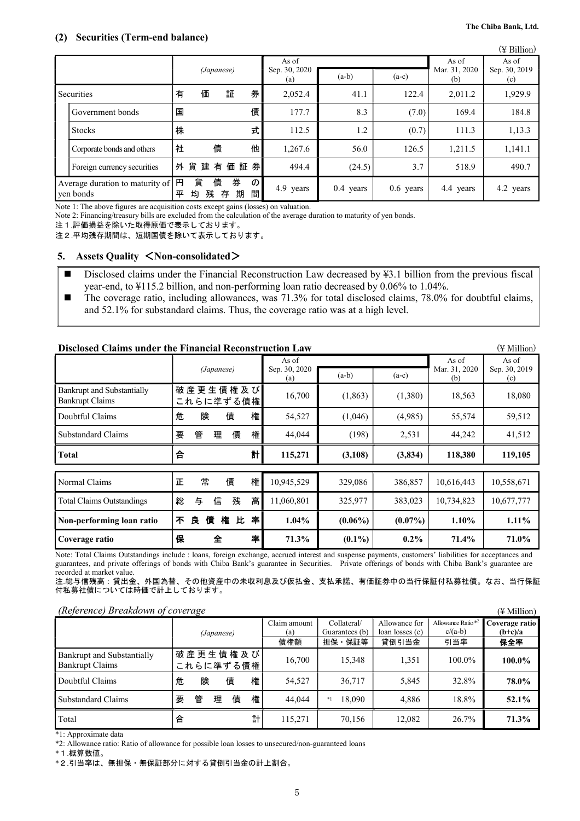|                                              |        |        |            |             |               |                      |             |             |                               | (¥ Billion)          |
|----------------------------------------------|--------|--------|------------|-------------|---------------|----------------------|-------------|-------------|-------------------------------|----------------------|
|                                              |        |        |            |             |               | As of                |             |             | As of<br>Mar. 31, 2020<br>(b) | As of                |
|                                              |        |        | (Japanese) |             |               | Sep. 30, 2020<br>(a) | $(a-b)$     | $(a-c)$     |                               | Sep. 30, 2019<br>(c) |
| Securities                                   | 有      | 価      |            | 証           | 券             | 2,052.4              | 41.1        | 122.4       | 2,011.2                       | 1,929.9              |
| Government bonds                             | 国      |        |            |             | 債             | 177.7                | 8.3         | (7.0)       | 169.4                         | 184.8                |
| <b>Stocks</b>                                | 株      |        |            |             | 式             | 112.5                | 1.2         | (0.7)       | 111.3                         | 1,13.3               |
| Corporate bonds and others                   | 社      |        | 債          |             | 他             | 1,267.6              | 56.0        | 126.5       | 1,211.5                       | 1,141.1              |
| Foreign currency securities                  |        | 外貨建有   |            | 価証券         |               | 494.4                | (24.5)      | 3.7         | 518.9                         | 490.7                |
| Average duration to maturity of<br>yen bonds | 円<br>平 | 貨<br>均 | 債<br>残     | 券<br>期<br>存 | $\sigma$<br>間 | 4.9 years            | $0.4$ years | $0.6$ years | 4.4 years                     | 4.2 years            |

Note 1: The above figures are acquisition costs except gains (losses) on valuation.

Note 2: Financing/treasury bills are excluded from the calculation of the average duration to maturity of yen bonds.

注1.評価損益を除いた取得原価で表示しております。

注2.平均残存期間は、短期国債を除いて表示しております。

### **5. Assets Quality** <**Non-consolidated**>

- Disclosed claims under the Financial Reconstruction Law decreased by ¥3.1 billion from the previous fiscal year-end, to ¥115.2 billion, and non-performing loan ratio decreased by 0.06% to 1.04%.
- $\blacksquare$  The coverage ratio, including allowances, was 71.3% for total disclosed claims, 78.0% for doubtful claims, and 52.1% for substandard claims. Thus, the coverage ratio was at a high level.

| Disclosed Claims under the Financial Reconstruction Law<br>$(\nPsi\text{Million})$ |                        |                               |            |            |                               |                               |  |  |
|------------------------------------------------------------------------------------|------------------------|-------------------------------|------------|------------|-------------------------------|-------------------------------|--|--|
|                                                                                    | (Japanese)             | As of<br>Sep. 30, 2020<br>(a) | $(a-b)$    | $(a-c)$    | As of<br>Mar. 31, 2020<br>(b) | As of<br>Sep. 30, 2019<br>(c) |  |  |
| <b>Bankrupt and Substantially</b><br><b>Bankrupt Claims</b>                        | 破産更生債権及び<br>これらに準ずる債権  | 16,700                        | (1, 863)   | (1,380)    | 18,563                        | 18,080                        |  |  |
| Doubtful Claims                                                                    | 険<br>債<br>権<br>危       | 54,527                        | (1,046)    | (4,985)    | 55,574                        | 59,512                        |  |  |
| <b>Substandard Claims</b>                                                          | 管<br>債<br>権<br>要<br>理  | 44,044                        | (198)      | 2,531      | 44,242                        | 41,512                        |  |  |
| <b>Total</b>                                                                       | 計<br>合                 | 115,271                       | (3,108)    | (3,834)    | 118,380                       | 119,105                       |  |  |
| Normal Claims                                                                      | 常<br>債<br>権<br>正       | 10,945,529                    | 329,086    | 386,857    | 10,616,443                    | 10,558,671                    |  |  |
| <b>Total Claims Outstandings</b>                                                   | 信<br>残<br>高<br>与<br>総  | 11,060,801                    | 325,977    | 383,023    | 10,734,823                    | 10,677,777                    |  |  |
| Non-performing loan ratio                                                          | 権比<br>率<br>不<br>良<br>債 | 1.04%                         | $(0.06\%)$ | $(0.07\%)$ | $1.10\%$                      | $1.11\%$                      |  |  |
| Coverage ratio                                                                     | 保<br>率<br>全            | 71.3%                         | $(0.1\%)$  | $0.2\%$    | 71.4%                         | 71.0%                         |  |  |

Note: Total Claims Outstandings include : loans, foreign exchange, accrued interest and suspense payments, customers' liabilities for acceptances and guarantees, and private offerings of bonds with Chiba Bank's guarantee in Securities. Private offerings of bonds with Chiba Bank's guarantee are recorded at market value.

注.総与信残高:貸出金、外国為替、その他資産中の未収利息及び仮払金、支払承諾、有価証券中の当行保証付私募社債。なお、当行保証 付私募社債については時価で計上しております。

### *(Reference) Breakdown of coverage* (¥ Million)

| $\mu$ c ence) Dicumbril of coverage<br>$+$ 1011111011 |                       |                            |                                         |                                          |                                           |                                    |  |
|-------------------------------------------------------|-----------------------|----------------------------|-----------------------------------------|------------------------------------------|-------------------------------------------|------------------------------------|--|
|                                                       | (Japanese)            | Claim amount<br>(a)<br>債権額 | Collateral/<br>Guarantees (b)<br>担保・保証等 | Allowance for<br>loan losses(c)<br>貸倒引当金 | Allowance Ratio $*^2$<br>$c/(a-b)$<br>引当率 | Coverage ratio<br>$(b+c)/a$<br>保全率 |  |
| Bankrupt and Substantially<br><b>Bankrupt Claims</b>  | 破産更生債権及び<br>これらに準ずる債権 | 16,700                     | 15,348                                  | 1,351                                    | 100.0%                                    | 100.0%                             |  |
| Doubtful Claims                                       | 権<br>険<br>債<br>危      | 54.527                     | 36,717                                  | 5.845                                    | 32.8%                                     | 78.0%                              |  |
| <b>Substandard Claims</b>                             | 管<br>権<br>債<br>要<br>理 | 44,044                     | 18.090<br>$*_{1}$                       | 4,886                                    | 18.8%                                     | 52.1%                              |  |
| Total                                                 | 計<br>合                | 115,271                    | 70,156                                  | 12,082                                   | 26.7%                                     | 71.3%                              |  |

\*1: Approximate data

\*2: Allowance ratio: Ratio of allowance for possible loan losses to unsecured/non-guaranteed loans

\*1.概算数値。

<sup>\*</sup>2.引当率は、無担保・無保証部分に対する貸倒引当金の計上割合。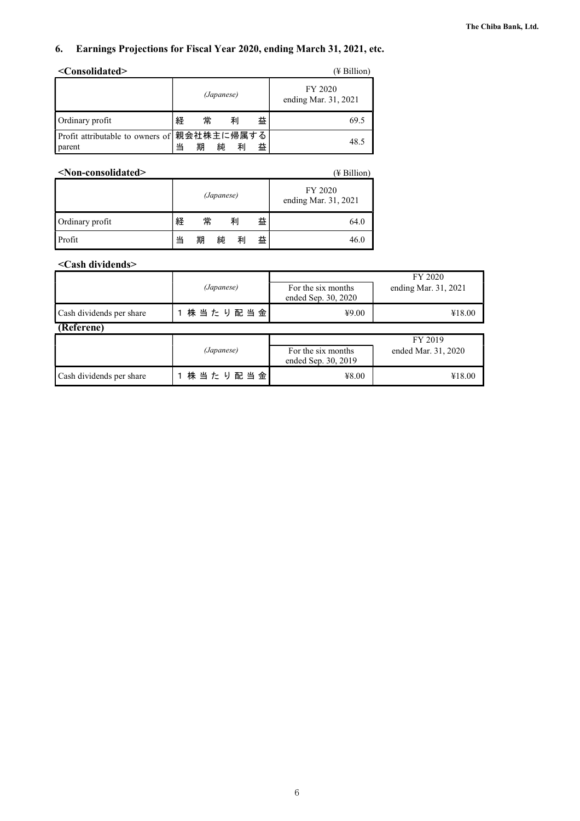### **6. Earnings Projections for Fiscal Year 2020, ending March 31, 2021, etc.**

| <consolidated><br/>(¥ Billion)</consolidated>         |   |            |   |   |                                 |  |  |
|-------------------------------------------------------|---|------------|---|---|---------------------------------|--|--|
|                                                       |   | (Japanese) |   |   | FY 2020<br>ending Mar. 31, 2021 |  |  |
| Ordinary profit                                       | 経 | 常          | 利 | 益 | 69.5                            |  |  |
| Profit attributable to owners of 親会社株主に帰属する<br>parent |   | 期<br>純     | 利 | 益 | 48.5                            |  |  |

| <non-consolidated><br/>(¥ Billion)</non-consolidated> |   |   |            |   |   |                                 |  |  |
|-------------------------------------------------------|---|---|------------|---|---|---------------------------------|--|--|
|                                                       |   |   | (Japanese) |   |   | FY 2020<br>ending Mar. 31, 2021 |  |  |
| Ordinary profit                                       | 経 | 常 |            | 利 | 益 | 64.0                            |  |  |
| Profit                                                | 当 | 期 | 純          | 利 | 益 | 46.0                            |  |  |

### **<Cash dividends>**

|                          |               | FY 2020             |                      |  |  |
|--------------------------|---------------|---------------------|----------------------|--|--|
|                          | (Japanese)    | For the six months  | ending Mar. 31, 2021 |  |  |
|                          |               | ended Sep. 30, 2020 |                      |  |  |
| Cash dividends per share | 株 当 た り 配 当 金 | ¥9.00               | ¥18.00               |  |  |
| (Referene)               |               |                     |                      |  |  |

|                          |               | FY 2019                                   |                     |  |  |
|--------------------------|---------------|-------------------------------------------|---------------------|--|--|
|                          | (Japanese)    | For the six months<br>ended Sep. 30, 2019 | ended Mar. 31, 2020 |  |  |
| Cash dividends per share | 株 当 た り 配 当 金 | ¥8.00                                     | ¥18.00              |  |  |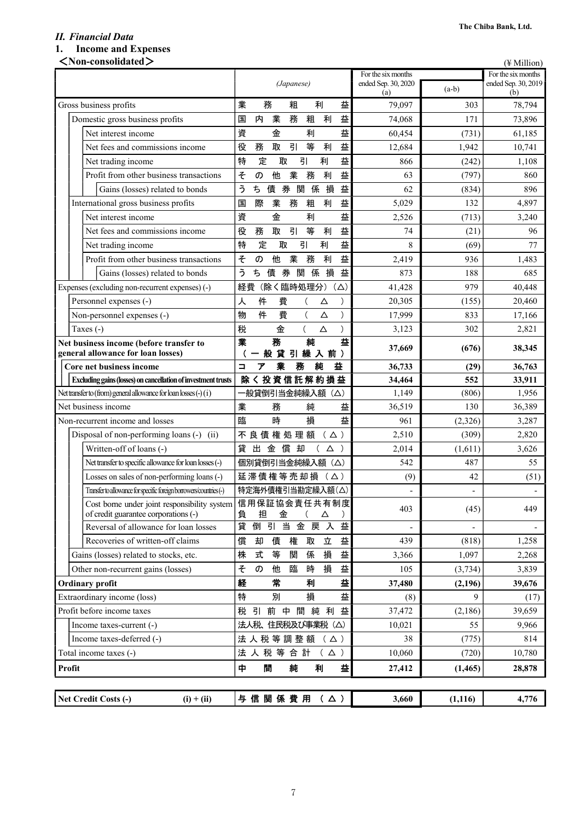### *II. Financial Data*  **1. Income and Expenses**

| $<$ Non-consolidated $>$                                                             |                                                 |                            |          | (¥ Million)                |
|--------------------------------------------------------------------------------------|-------------------------------------------------|----------------------------|----------|----------------------------|
|                                                                                      |                                                 | For the six months         |          | For the six months         |
|                                                                                      | (Japanese)                                      | ended Sep. 30, 2020<br>(a) | $(a-b)$  | ended Sep. 30, 2019<br>(b) |
| Gross business profits                                                               | 業<br>務<br>粗<br>益<br>利                           | 79,097                     | 303      | 78,794                     |
| Domestic gross business profits                                                      | 利<br>益<br>業<br>務<br>粗<br>内<br>国                 | 74,068                     | 171      | 73,896                     |
| Net interest income                                                                  | 益<br>資<br>金<br>利                                | 60,454                     | (731)    | 61,185                     |
| Net fees and commissions income                                                      | 引<br>等<br>役<br>取<br>利<br>益<br>務                 | 12,684                     | 1,942    | 10,741                     |
| Net trading income                                                                   | 益<br>定<br>引<br>利<br>特<br>取                      | 866                        | (242)    | 1,108                      |
| Profit from other business transactions                                              | 益<br>業<br>務<br>利<br>そ<br>他<br>の                 | 63                         | (797)    | 860                        |
| Gains (losses) related to bonds                                                      | う<br>損<br>益<br>関<br>係<br>ち<br>債<br>券            | 62                         | (834)    | 896                        |
| International gross business profits                                                 | 益<br>業<br>利<br>際<br>務<br>粗<br>国                 | 5,029                      | 132      | 4,897                      |
| Net interest income                                                                  | 益<br>資<br>金<br>利                                | 2,526                      | (713)    | 3,240                      |
| Net fees and commissions income                                                      | 引<br>等<br>利<br>益<br>役<br>務<br>取                 | 74                         | (21)     | 96                         |
| Net trading income                                                                   | 益<br>特<br>定<br>取<br>引<br>利                      | 8                          | (69)     | 77                         |
| Profit from other business transactions                                              | 益<br>そ<br>利<br>他<br>業<br>務<br>の                 | 2,419                      | 936      | 1,483                      |
| Gains (losses) related to bonds                                                      | 券<br>損<br>益<br>う<br>ち<br>債<br>関<br>係            | 873                        | 188      | 685                        |
| Expenses (excluding non-recurrent expenses) (-)                                      | 経費<br>(除く臨時処理分)<br>$(\triangle)$                | 41,428                     | 979      | 40,448                     |
| Personnel expenses (-)                                                               | 費<br>人<br>件<br>Δ                                | 20,305                     | (155)    | 20,460                     |
| Non-personnel expenses (-)                                                           | 物<br>件<br>費<br>$\left($<br>$\mathcal{E}$<br>Δ   | 17,999                     | 833      | 17,166                     |
| Taxes (-)                                                                            | 税<br>金<br>$\left($<br>$\Delta$<br>$\mathcal{E}$ | 3,123                      | 302      | 2,821                      |
| Net business income (before transfer to<br>general allowance for loan losses)        | 益<br>純<br>務<br>業<br>引繰入前)<br>般<br>貸             | 37,669                     | (676)    | 38,345                     |
| Core net business income                                                             | 益<br>純<br>$\Box$<br>業<br>務<br>ァ                 | 36,733                     | (29)     | 36,763                     |
| Excluding gains (losses) on cancellation of investment trusts                        | <b>除く投資信託解約損益</b>                               | 34,464                     | 552      | 33,911                     |
| Net transfer to (from) general allowance for loan losses $(\cdot)(i)$                | 一般貸倒引当金純繰入額(△)                                  | 1,149                      | (806)    | 1,956                      |
| Net business income                                                                  | 業<br>益<br>務<br>純                                | 36,519                     | 130      | 36,389                     |
| Non-recurrent income and losses                                                      | 臨<br>時<br>益<br>損                                | 961                        | (2,326)  | 3,287                      |
| Disposal of non-performing loans (-) (ii)                                            | 不良債権処理額<br>$( \Delta )$                         | 2,510                      | (309)    | 2,820                      |
| Written-off of loans (-)                                                             | 貸<br>償<br>出<br>金<br>却<br>Δ)                     | 2,014                      | (1,611)  | 3,626                      |
| Net transfer to specific allowance for loan losses (-)                               | 個別貸倒引当金純繰入額 (△)                                 | 542                        | 487      | 55                         |
| Losses on sales of non-performing loans (-)                                          | 延滞債権等売却損<br>( △ )                               | (9)                        | 42       | (51)                       |
| Transfer to allowance for specific foreign borrowers/countries (-)                   | 特定海外債権引当勘定繰入額(△)                                | $\overline{a}$             |          |                            |
| Cost borne under joint responsibility system<br>of credit guarantee corporations (-) | 信用保証協会責任共有制度<br>担<br>金<br>負<br>Δ                | 403                        | (45)     | 449                        |
| Reversal of allowance for loan losses                                                | 益<br>貸<br>倒<br>引<br>当<br>金<br>戻入                | $\overline{a}$             |          |                            |
| Recoveries of written-off claims                                                     | 立<br>益<br>償<br>債<br>権<br>取<br>却                 | 439                        | (818)    | 1,258                      |
| Gains (losses) related to stocks, etc.                                               | 損<br>益<br>株<br>式<br>等<br>関<br>係                 | 3,366                      | 1.097    | 2,268                      |
| Other non-recurrent gains (losses)                                                   | 損<br>益<br>そ<br>他<br>臨<br>時<br>の                 | 105                        | (3,734)  | 3,839                      |
| <b>Ordinary profit</b>                                                               | 経<br>常<br>益<br>利                                | 37,480                     | (2, 196) | 39,676                     |
| Extraordinary income (loss)                                                          | 損<br>特<br>益<br>別                                | (8)                        | 9        | (17)                       |
| Profit before income taxes                                                           | 間<br>利<br>益<br>前<br>中<br>純<br>税<br>引            | 37,472                     | (2,186)  | 39,659                     |
| Income taxes-current (-)                                                             | 法人税、住民税及び事業税 (△)                                | 10,021                     | 55       | 9,966                      |
| Income taxes-deferred (-)                                                            | 法人税等調整額<br>(Δ)                                  | 38                         | (775)    | 814                        |
| Total income taxes (-)                                                               | 法人税等合計<br>$( \Delta )$                          | 10,060                     | (720)    | 10,780                     |
| Profit                                                                               | 中<br>間<br>純<br>益<br>利                           | 27,412                     | (1, 465) | 28,878                     |
|                                                                                      |                                                 |                            |          |                            |
| Net Credit Costs (-)<br>$(i) + (ii)$                                                 | 与信関係費用 (△)                                      | 3,660                      | (1, 116) | 4,776                      |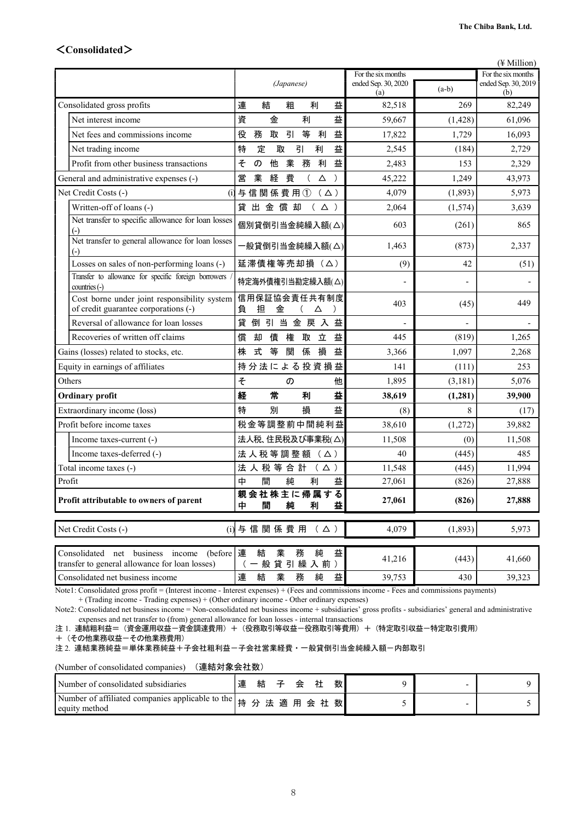### <**Consolidated**>

|                                                                                                            |                                                |                            |          | $(\frac{1}{2}$ Million)    |
|------------------------------------------------------------------------------------------------------------|------------------------------------------------|----------------------------|----------|----------------------------|
|                                                                                                            |                                                | For the six months         |          | For the six months         |
|                                                                                                            | (Japanese)                                     | ended Sep. 30, 2020<br>(a) | $(a-b)$  | ended Sep. 30, 2019<br>(b) |
| Consolidated gross profits                                                                                 | 連<br>益<br>結<br>粗<br>利                          | 82,518                     | 269      | 82,249                     |
| Net interest income                                                                                        | 資<br>益<br>金<br>利                               | 59,667                     | (1, 428) | 61,096                     |
| Net fees and commissions income                                                                            | 益<br>引<br>等<br>役<br>務<br>取<br>利                | 17,822                     | 1,729    | 16,093                     |
| Net trading income                                                                                         | 益<br>定<br>特<br>取<br>引<br>利                     | 2,545                      | (184)    | 2,729                      |
| Profit from other business transactions                                                                    | 益<br>業<br>そ<br>他<br>務<br>利<br>の                | 2,483                      | 153      | 2,329                      |
| General and administrative expenses (-)                                                                    | 営<br>業<br>費<br>経<br>$\left($<br>Δ<br>$\lambda$ | 45,222                     | 1,249    | 43,973                     |
| Net Credit Costs (-)<br>(i)                                                                                | 与信関係費用①<br>( △ )                               | 4,079                      | (1,893)  | 5,973                      |
| Written-off of loans (-)                                                                                   | 貸出金償却<br>( $\triangle$ )                       | 2,064                      | (1,574)  | 3,639                      |
| Net transfer to specific allowance for loan losses                                                         | 個別貸倒引当金純繰入額(△)                                 | 603                        | (261)    | 865                        |
| Net transfer to general allowance for loan losses<br>$(-)$                                                 | 一般貸倒引当金純繰入額(△)                                 | 1,463                      | (873)    | 2,337                      |
| Losses on sales of non-performing loans (-)                                                                | 延滞債権等売却損 (△)                                   | (9)                        | 42       | (51)                       |
| Transfer to allowance for specific foreign borrowers<br>$countries(-)$                                     | 特定海外債権引当勘定繰入額(△)                               |                            |          |                            |
| Cost borne under joint responsibility system<br>of credit guarantee corporations (-)                       | 信用保証協会責任共有制度<br>担<br>金<br>負<br>Δ               | 403                        | (45)     | 449                        |
| Reversal of allowance for loan losses                                                                      | 貸<br>倒引当金戻入益                                   |                            |          |                            |
| Recoveries of written off claims                                                                           | 立<br>益<br>償<br>権<br>取<br>却<br>債                | 445                        | (819)    | 1,265                      |
| Gains (losses) related to stocks, etc.                                                                     | 式<br>等<br>関<br>損<br>株<br>係<br>益                | 3,366                      | 1,097    | 2,268                      |
| Equity in earnings of affiliates                                                                           | 持分法による投資損益                                     | 141                        | (111)    | 253                        |
| Others                                                                                                     | そ<br>他<br>$\sigma$                             | 1,895                      | (3, 181) | 5,076                      |
| <b>Ordinary profit</b>                                                                                     | 益<br>経<br>常<br>利                               | 38,619                     | (1, 281) | 39,900                     |
| Extraordinary income (loss)                                                                                | 特<br>損<br>益<br>別                               | (8)                        | 8        | (17)                       |
| Profit before income taxes                                                                                 | 税金等調整前中間純利益                                    | 38,610                     | (1,272)  | 39,882                     |
| Income taxes-current (-)                                                                                   | 法人税、住民税及び事業税(△)                                | 11,508                     | (0)      | 11,508                     |
| Income taxes-deferred (-)                                                                                  | 法人税等調整額 (△)                                    | 40                         | (445)    | 485                        |
| Total income taxes (-)                                                                                     | 法人税等合計(△)                                      | 11,548                     | (445)    | 11,994                     |
| Profit                                                                                                     | 間<br>純<br>中<br>利<br>益                          | 27,061                     | (826)    | 27,888                     |
| Profit attributable to owners of parent                                                                    | 親会社株主に帰属する<br>益<br>純<br>中<br>間<br>利            | 27,061                     | (826)    | 27,888                     |
| Net Credit Costs (-)                                                                                       | (i) 与信関係費用<br>$( \Delta )$                     | 4,079                      | (1, 893) | 5,973                      |
| (before $ \n \equiv$<br>Consolidated net business income<br>transfer to general allowance for loan losses) | 業<br>純<br>益<br>結<br>務<br>一般貸引繰入前)              | 41,216                     | (443)    | 41,660                     |
| Consolidated net business income                                                                           | 連<br>結<br>業<br>務<br>益<br>純                     | 39,753                     | 430      | 39,323                     |

Note1: Consolidated gross profit = (Interest income - Interest expenses) + (Fees and commissions income - Fees and commissions payments)

+ (Trading income - Trading expenses) + (Other ordinary income - Other ordinary expenses)

Note2: Consolidated net business income = Non-consolidated net business income + subsidiaries' gross profits - subsidiaries' general and administrative expenses and net transfer to (from) general allowance for loan losses - internal transactions

注 1. 連結粗利益=(資金運用収益-資金調達費用)+(役務取引等収益-役務取引等費用)+(特定取引収益-特定取引費用)

+(その他業務収益-その他業務費用)

注 2. 連結業務純益=単体業務純益+子会社粗利益-子会社営業経費・一般貸倒引当金純繰入額-内部取引

(Number of consolidated companies) (連結対象会社数)

| Number of consolidated subsidiaries                                                 | 連 | 結 |  | 会 |  | 数 |  |  |
|-------------------------------------------------------------------------------------|---|---|--|---|--|---|--|--|
| Number of affiliated companies applicable to the   持 分 法 適 用 会 社 数<br>equity method |   |   |  |   |  |   |  |  |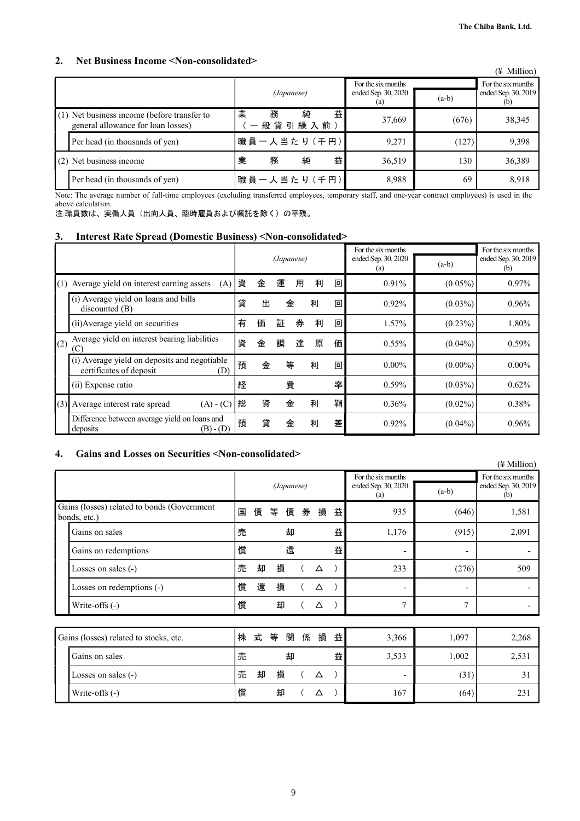### **2. Net Business Income <Non-consolidated>**

| $\sim$ . The moment of the state of $\sim$<br>1000 CONSONAUGU                     |                                  |                                                  |         | (¥ Million)                               |
|-----------------------------------------------------------------------------------|----------------------------------|--------------------------------------------------|---------|-------------------------------------------|
|                                                                                   | (Japanese)                       | For the six months<br>ended Sep. 30, 2020<br>(a) | $(a-b)$ | For the six months<br>ended Sep. 30, 2019 |
| (1) Net business income (before transfer to<br>general allowance for loan losses) | 業<br>益<br>純<br>務<br>般 貸 引 繰 入 前) | 37,669                                           | (676)   | 38,345                                    |
| Per head (in thousands of yen)                                                    | 職員一人当たり (千円)                     | 9,271                                            | (127)   | 9,398                                     |
| (2) Net business income                                                           | 業<br>益<br>純<br>務                 | 36,519                                           | 130     | 36,389                                    |
| Per head (in thousands of yen)                                                    | 職員一人当たり (千円)                     | 8,988                                            | 69      | 8.918                                     |

Note: The average number of full-time employees (excluding transferred employees, temporary staff, and one-year contract employees) is used in the above calculation.

注.職員数は、実働人員(出向人員、臨時雇員および嘱託を除く)の平残。

### **3. Interest Rate Spread (Domestic Business) <Non-consolidated>**

|     |                                                                                |            |                  |   |                            |         |                            | For the six months |            | For the six months |
|-----|--------------------------------------------------------------------------------|------------|------------------|---|----------------------------|---------|----------------------------|--------------------|------------|--------------------|
|     |                                                                                | (Japanese) |                  |   | ended Sep. 30, 2020<br>(a) | $(a-b)$ | ended Sep. 30, 2019<br>(b) |                    |            |                    |
| (1) | Average yield on interest earning assets<br>(A)                                | 資          | 運<br>金<br>利<br>用 |   |                            | 回       | 0.91%                      | $(0.05\%)$         | $0.97\%$   |                    |
|     | (i) Average yield on loans and bills<br>discounted (B)                         | 貸          | 出<br>金<br>利      |   |                            | 回       | $0.92\%$                   | $(0.03\%)$         | $0.96\%$   |                    |
|     | (ii) Average yield on securities                                               | 有          | 券<br>証<br>価      |   | 利                          | 回       | 1.57%                      | $(0.23\%)$         | 1.80%      |                    |
| (2) | Average yield on interest bearing liabilities<br>(C)                           | 資          | 金                | 調 | 達                          | 原       | 価                          | $0.55\%$           | $(0.04\%)$ | $0.59\%$           |
|     | (i) Average yield on deposits and negotiable<br>certificates of deposit<br>(D) | 預          | 金                | 等 |                            | 利       | 回                          | $0.00\%$           | $(0.00\%)$ | $0.00\%$           |
|     | (ii) Expense ratio                                                             | 経          |                  | 費 |                            |         | 率                          | $0.59\%$           | $(0.03\%)$ | 0.62%              |
| (3) | Average interest rate spread<br>$(A) - (C)$                                    | 総          | 資                | 金 |                            | 利       | 鞘                          | $0.36\%$           | $(0.02\%)$ | 0.38%              |
|     | Difference between average yield on loans and<br>$(B) - (D)$<br>deposits       | 預          | 貸                | 金 |                            | 利       | 差                          | $0.92\%$           | $(0.04\%)$ | 0.96%              |

### **4. Gains and Losses on Securities <Non-consolidated>**

|                                                             |   |        |   |            |   |       |       |                                                  |         | $(\frac{1}{2}$ Million)                          |
|-------------------------------------------------------------|---|--------|---|------------|---|-------|-------|--------------------------------------------------|---------|--------------------------------------------------|
|                                                             |   |        |   | (Japanese) |   |       |       | For the six months<br>ended Sep. 30, 2020<br>(a) | $(a-b)$ | For the six months<br>ended Sep. 30, 2019<br>(b) |
| Gains (losses) related to bonds (Government<br>bonds, etc.) | 国 | 債      | 等 | 債          | 券 | 損     | 益     | 935                                              | (646)   | 1,581                                            |
| Gains on sales                                              | 売 | 益<br>却 |   |            |   | 1,176 | (915) | 2,091                                            |         |                                                  |
| Gains on redemptions                                        | 償 |        |   | 還          |   |       | 益     | ۰                                                | -       |                                                  |
| Losses on sales (-)                                         | 売 | 却      | 損 |            |   | Δ     |       | 233                                              | (276)   | 509                                              |
| Losses on redemptions (-)                                   | 償 | 還      | 損 |            |   | Δ     |       | ۰                                                | -       |                                                  |
| Write-offs (-)                                              | 償 |        | 却 |            |   | Δ     |       | 7                                                | 7       |                                                  |
|                                                             |   |        |   |            |   |       |       |                                                  |         |                                                  |
| Gains (losses) related to stocks, etc.                      | 株 | 式      | 等 | 関          | 係 | 損     | 益     | 3,366                                            | 1,097   | 2,268                                            |
| Gains on sales                                              | 売 |        |   | 却          |   |       | 益     | 3,533                                            | 1,002   | 2,531                                            |
| Losses on sales $(-)$                                       | 売 | 却      | 損 |            |   | Δ     |       | ٠                                                | (31)    | 31                                               |
| Write-offs (-)                                              | 償 |        | 却 |            |   | Δ     |       | 167                                              | (64)    | 231                                              |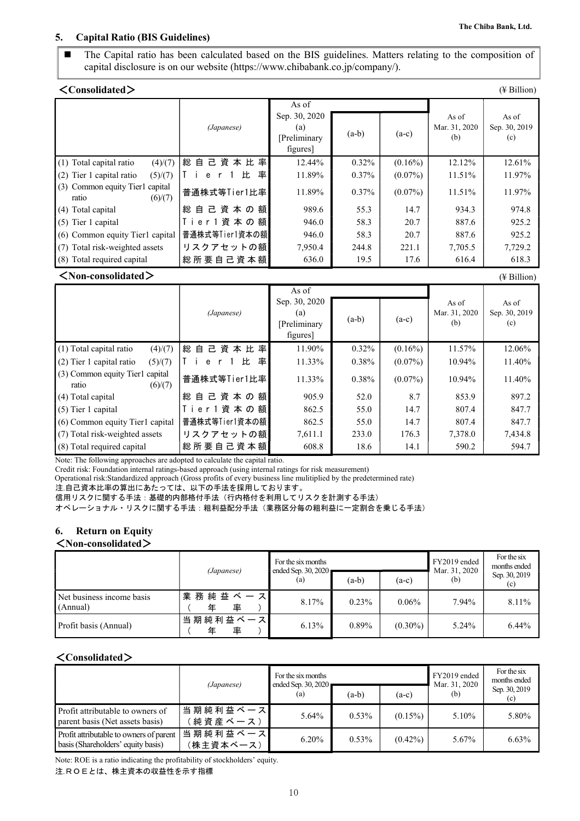### **5. Capital Ratio (BIS Guidelines)**

 The Capital ratio has been calculated based on the BIS guidelines. Matters relating to the composition of capital disclosure is on our website (https://www.chibabank.co.jp/company/).

| $\langle$ Consolidated $\rangle$                    |                   |                                                           |          |            |                               | $(\frac{1}{2}$ Billion)       |
|-----------------------------------------------------|-------------------|-----------------------------------------------------------|----------|------------|-------------------------------|-------------------------------|
|                                                     | (Japanese)        | As of<br>Sep. 30, 2020<br>(a)<br>[Preliminary<br>figures] | $(a-b)$  | $(a-c)$    | As of<br>Mar. 31, 2020<br>(b) | As of<br>Sep. 30, 2019<br>(c) |
| (1) Total capital ratio<br>(4)/(7)                  | 自己資本比率<br>総       | 12.44%                                                    | $0.32\%$ | $(0.16\%)$ | 12.12%                        | 12.61%                        |
| (5)/(7)<br>(2) Tier 1 capital ratio                 | 比<br>率<br>e       | 11.89%                                                    | $0.37\%$ | $(0.07\%)$ | 11.51%                        | 11.97%                        |
| (3) Common equity Tier1 capital<br>(6)/(7)<br>ratio | 普通株式等Tier1比率      | 11.89%                                                    | $0.37\%$ | $(0.07\%)$ | 11.51%                        | 11.97%                        |
| (4) Total capital                                   | 自 己 資 本 の 額 <br>総 | 989.6                                                     | 55.3     | 14.7       | 934.3                         | 974.8                         |
| $(5)$ Tier 1 capital                                | Tier 1 資本の額       | 946.0                                                     | 58.3     | 20.7       | 887.6                         | 925.2                         |
| (6) Common equity Tier1 capital                     | 普通株式等Tier1資本の額    | 946.0                                                     | 58.3     | 20.7       | 887.6                         | 925.2                         |
| (7) Total risk-weighted assets                      | リスクアセットの額         | 7,950.4                                                   | 244.8    | 221.1      | 7,705.5                       | 7,729.2                       |
| (8) Total required capital                          | 総 所 要 自 己 資 本 額   | 636.0                                                     | 19.5     | 17.6       | 616.4                         | 618.3                         |

### <**Non-consolidated**> (¥ Billion)

|                                                     |                 | As of                                            |          |            |                               |                               |
|-----------------------------------------------------|-----------------|--------------------------------------------------|----------|------------|-------------------------------|-------------------------------|
|                                                     | (Japanese)      | Sep. 30, 2020<br>(a)<br>[Preliminary<br>figures] | $(a-b)$  | $(a-c)$    | As of<br>Mar. 31, 2020<br>(b) | As of<br>Sep. 30, 2019<br>(c) |
| (4)/(7)<br>(1) Total capital ratio                  | 総<br>自己資本比率     | 11.90%                                           | $0.32\%$ | $(0.16\%)$ | 11.57%                        | 12.06%                        |
| $(2)$ Tier 1 capital ratio<br>(5)/(7)               | 比<br>率<br>e     | 11.33%                                           | $0.38\%$ | $(0.07\%)$ | 10.94%                        | 11.40%                        |
| (3) Common equity Tier1 capital<br>(6)/(7)<br>ratio | 普通株式等Tier1比率    | 11.33%                                           | 0.38%    | $(0.07\%)$ | 10.94%                        | 11.40%                        |
| (4) Total capital                                   | 総自己資本の額         | 905.9                                            | 52.0     | 8.7        | 853.9                         | 897.2                         |
| $(5)$ Tier 1 capital                                | Tier1資本の額       | 862.5                                            | 55.0     | 14.7       | 807.4                         | 847.7                         |
| (6) Common equity Tier1 capital                     | 普通株式等Tier1資本の額  | 862.5                                            | 55.0     | 14.7       | 807.4                         | 847.7                         |
| (7) Total risk-weighted assets                      | リスクアセットの額       | 7,611.1                                          | 233.0    | 176.3      | 7,378.0                       | 7,434.8                       |
| (8) Total required capital                          | 総 所 要 自 己 資 本 額 | 608.8                                            | 18.6     | 14.1       | 590.2                         | 594.7                         |

Note: The following approaches are adopted to calculate the capital ratio.

Credit risk: Foundation internal ratings-based approach (using internal ratings for risk measurement)

 Operational risk:Standardized approach (Gross profits of every business line mulitiplied by the predetermined rate) 注.自己資本比率の算出にあたっては、以下の手法を採用しております。

信用リスクに関する手法:基礎的内部格付手法(行内格付を利用してリスクを計測する手法)

オペレーショナル・リスクに関する手法:粗利益配分手法(業務区分毎の粗利益に一定割合を乗じる手法)

### **6. Return on Equity**

### <**Non-consolidated**>

|                                       | (Japanese)              | For the six months<br>ended Sep. 30, 2020 |         | FY2019 ended<br>Mar. 31, 2020 | For the six<br>months ended |                      |
|---------------------------------------|-------------------------|-------------------------------------------|---------|-------------------------------|-----------------------------|----------------------|
|                                       |                         | (a)                                       | $(a-b)$ | $(a-c)$                       | (b)                         | Sep. 30, 2019<br>(c) |
| Net business income basis<br>(Annual) | 業 務 純 益 ベ ー ス<br>率<br>年 | 8.17%                                     | 0.23%   | $0.06\%$                      | 7.94%                       | 8.11%                |
| Profit basis (Annual)                 | 当期純利益ベース<br>率<br>年      | 6.13%                                     | 0.89%   | $(0.30\%)$                    | 5.24%                       | $6.44\%$             |

### <**Consolidated**>

|                                                                               | (Japanese)                  | For the six months<br>ended Sep. 30, 2020 |          |            | FY2019 ended<br>Mar. 31, 2020 | For the six<br>months ended |
|-------------------------------------------------------------------------------|-----------------------------|-------------------------------------------|----------|------------|-------------------------------|-----------------------------|
|                                                                               |                             | (a)                                       | $(a-b)$  | $(a-c)$    | (b)                           | Sep. 30, 2019<br>(c)        |
| Profit attributable to owners of<br>parent basis (Net assets basis)           | 当期純利益ベース<br>〔 純 資 産 ベ 一 ス ) | $5.64\%$                                  | $0.53\%$ | $(0.15\%)$ | $5.10\%$                      | 5.80%                       |
| Profit attributable to owners of parent<br>basis (Shareholders' equity basis) | 当期純利益ベース<br>(株主資本ベース)       | $6.20\%$                                  | $0.53\%$ | $(0.42\%)$ | 5.67%                         | $6.63\%$                    |

Note: ROE is a ratio indicating the profitability of stockholders' equity.

注.ROEとは、株主資本の収益性を示す指標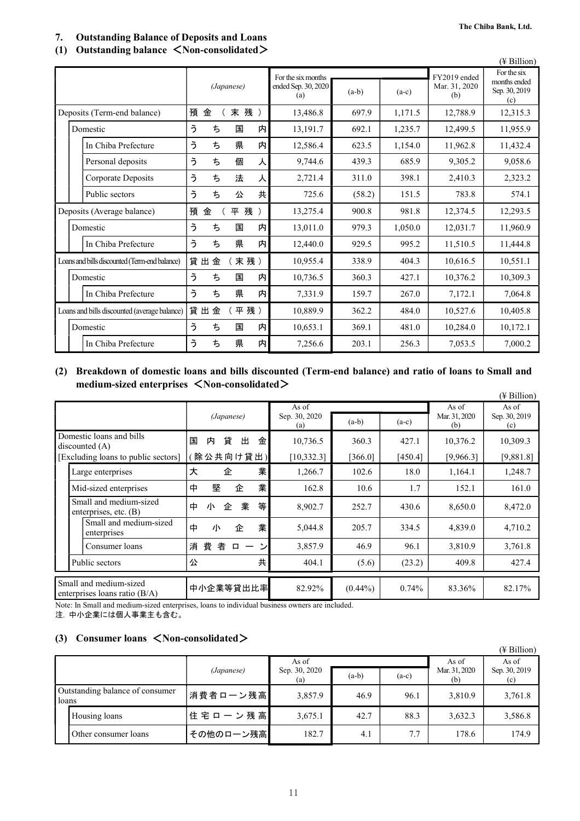### **7. Outstanding Balance of Deposits and Loans**

### **(1) Outstanding balance** <**Non-consolidated**>

|                                               |            |        |                            |         |         |                      | (¥ Billion)                          |
|-----------------------------------------------|------------|--------|----------------------------|---------|---------|----------------------|--------------------------------------|
|                                               |            |        | For the six months         |         |         | FY2019 ended         | For the six                          |
|                                               | (Japanese) |        | ended Sep. 30, 2020<br>(a) | $(a-b)$ | $(a-c)$ | Mar. 31, 2020<br>(b) | months ended<br>Sep. 30, 2019<br>(c) |
| Deposits (Term-end balance)                   | 預<br>金     | 末 残 )  | 13,486.8                   | 697.9   | 1,171.5 | 12,788.9             | 12,315.3                             |
| Domestic                                      | う<br>ち     | 国<br>内 | 13,191.7                   | 692.1   | 1,235.7 | 12,499.5             | 11,955.9                             |
| In Chiba Prefecture                           | う<br>ち     | 県<br>内 | 12,586.4                   | 623.5   | 1,154.0 | 11,962.8             | 11,432.4                             |
| Personal deposits                             | う<br>ち     | 個<br>人 | 9,744.6                    | 439.3   | 685.9   | 9,305.2              | 9,058.6                              |
| Corporate Deposits                            | う<br>ち     | 法<br>人 | 2,721.4                    | 311.0   | 398.1   | 2,410.3              | 2,323.2                              |
| Public sectors                                | う<br>ち     | 共<br>公 | 725.6                      | (58.2)  | 151.5   | 783.8                | 574.1                                |
| Deposits (Average balance)                    | 預<br>金     | 残<br>平 | 13,275.4                   | 900.8   | 981.8   | 12,374.5             | 12,293.5                             |
| Domestic                                      | う<br>ち     | 国<br>内 | 13,011.0                   | 979.3   | 1,050.0 | 12,031.7             | 11,960.9                             |
| In Chiba Prefecture                           | う<br>ち     | 県<br>内 | 12,440.0                   | 929.5   | 995.2   | 11,510.5             | 11,444.8                             |
| Loans and bills discounted (Term-end balance) | 貸出<br>金    | 末残)    | 10,955.4                   | 338.9   | 404.3   | 10,616.5             | 10,551.1                             |
| Domestic                                      | う<br>ち     | 国<br>内 | 10,736.5                   | 360.3   | 427.1   | 10,376.2             | 10,309.3                             |
| In Chiba Prefecture                           | う<br>ち     | 県<br>内 | 7,331.9                    | 159.7   | 267.0   | 7,172.1              | 7,064.8                              |
| Loans and bills discounted (average balance)  | 貸出<br>金    | 平残)    | 10,889.9                   | 362.2   | 484.0   | 10,527.6             | 10,405.8                             |
| Domestic                                      | う<br>ち     | 国<br>内 | 10,653.1                   | 369.1   | 481.0   | 10,284.0             | 10,172.1                             |
| In Chiba Prefecture                           | う<br>ち     | 県<br>内 | 7,256.6                    | 203.1   | 256.3   | 7,053.5              | 7,000.2                              |

### **(2) Breakdown of domestic loans and bills discounted (Term-end balance) and ratio of loans to Small and medium-sized enterprises** <**Non-consolidated**>

|                                                           |                        |                      |            |         |                      | $(\frac{1}{2}$ Billion) |
|-----------------------------------------------------------|------------------------|----------------------|------------|---------|----------------------|-------------------------|
|                                                           |                        | As of                |            |         | As of                | As of                   |
|                                                           | (Japanese)             | Sep. 30, 2020<br>(a) | $(a-b)$    | $(a-c)$ | Mar. 31, 2020<br>(b) | Sep. 30, 2019<br>(c)    |
| Domestic loans and bills<br>discounted(A)                 | 貸<br>出<br>金<br>国<br>内  | 10,736.5             | 360.3      | 427.1   | 10,376.2             | 10,309.3                |
| [Excluding loans to public sectors]                       | 除公共向け貸出)               | [10,332.3]           | [366.0]    | [450.4] | [9,966.3]            | [9,881.8]               |
| Large enterprises                                         | 業<br>大<br>企            | 1,266.7              | 102.6      | 18.0    | 1,164.1              | 1,248.7                 |
| Mid-sized enterprises                                     | 業<br>中<br>堅<br>企       | 162.8                | 10.6       | 1.7     | 152.1                | 161.0                   |
| Small and medium-sized<br>enterprises, etc. $(B)$         | 業<br>等<br>中<br>小<br>企  | 8,902.7              | 252.7      | 430.6   | 8,650.0              | 8,472.0                 |
| Small and medium-sized<br>enterprises                     | 業<br>中<br>企<br>小       | 5,044.8              | 205.7      | 334.5   | 4,839.0              | 4,710.2                 |
| Consumer loans                                            | 費<br>者<br>消<br>٠,<br>口 | 3,857.9              | 46.9       | 96.1    | 3,810.9              | 3,761.8                 |
| Public sectors                                            | 共<br>公                 | 404.1                | (5.6)      | (23.2)  | 409.8                | 427.4                   |
| Small and medium-sized<br>enterprises loans ratio $(B/A)$ | 中小企業等貸出比率              | 82.92%               | $(0.44\%)$ | 0.74%   | 83.36%               | 82.17%                  |

Note: In Small and medium-sized enterprises, loans to individual business owners are included.

注. 中小企業には個人事業主も含む。

### **(3) Consumer loans** <**Non-consolidated**>

| $\sim$ | -----------------               | ,               |                      |         |         |                      | $(\frac{1}{2}$ Billion) |
|--------|---------------------------------|-----------------|----------------------|---------|---------|----------------------|-------------------------|
|        |                                 |                 | As of                |         |         | As of                | As of                   |
|        |                                 | (Japanese)      | Sep. 30, 2020<br>(a) | $(a-b)$ | $(a-c)$ | Mar. 31, 2020<br>(b) | Sep. 30, 2019<br>(c)    |
| loans  | Outstanding balance of consumer | 消費者ローン残高        | 3,857.9              | 46.9    | 96.1    | 3,810.9              | 3,761.8                 |
|        | Housing loans                   | '住 宅 ロ ー ン 残 高┃ | 3,675.1              | 42.7    | 88.3    | 3,632.3              | 3,586.8                 |
|        | Other consumer loans            | その他のローン残高       | 182.7                | 4.1     | 7.7     | 178.6                | 174.9                   |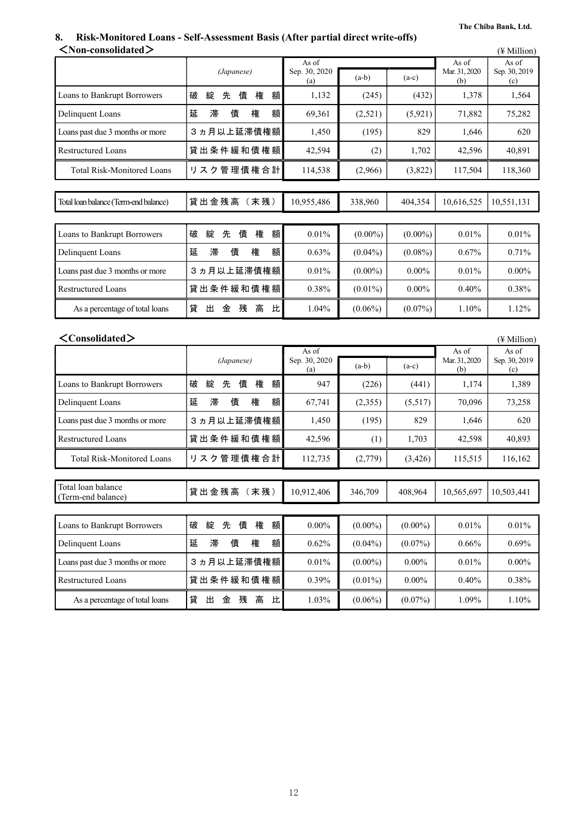# **8. Risk-Monitored Loans - Self-Assessment Basis (After partial direct write-offs)**

| $<$ Non-consolidated $>$                 |                            |                               |            |            |                               | $(\frac{1}{2}$ Million)       |
|------------------------------------------|----------------------------|-------------------------------|------------|------------|-------------------------------|-------------------------------|
|                                          | (Japanese)                 | As of<br>Sep. 30, 2020<br>(a) | $(a-b)$    | $(a-c)$    | As of<br>Mar. 31, 2020<br>(b) | As of<br>Sep. 30, 2019<br>(c) |
| Loans to Bankrupt Borrowers              | 綻<br>額<br>破<br>先<br>債<br>権 | 1,132                         | (245)      | (432)      | 1,378                         | 1,564                         |
| Delinquent Loans                         | 滞<br>延<br>債<br>権<br>額      | 69,361                        | (2,521)    | (5, 921)   | 71,882                        | 75,282                        |
| Loans past due 3 months or more          | 3ヵ月以上延滞債権額                 | 1,450                         | (195)      | 829        | 1,646                         | 620                           |
| <b>Restructured Loans</b>                | 貸出条件緩和債権額                  | 42,594                        | (2)        | 1,702      | 42,596                        | 40,891                        |
| <b>Total Risk-Monitored Loans</b>        | リスク管理債権合計                  | 114,538                       | (2,966)    | (3,822)    | 117,504                       | 118,360                       |
| Total loan balance (Term-end balance)    | 貸出金残高 (末残)                 | 10,955,486                    | 338,960    | 404,354    | 10,616,525                    | 10,551,131                    |
| Loans to Bankrupt Borrowers              | 権<br>破<br>綻<br>先<br>債<br>額 | 0.01%                         | $(0.00\%)$ | $(0.00\%)$ | 0.01%                         | 0.01%                         |
| Delinquent Loans                         | 滞<br>額<br>延<br>債<br>権      | 0.63%                         | $(0.04\%)$ | $(0.08\%)$ | 0.67%                         | 0.71%                         |
| Loans past due 3 months or more          | 3ヵ月以上延滞債権額                 | 0.01%                         | $(0.00\%)$ | $0.00\%$   | 0.01%                         | $0.00\%$                      |
| <b>Restructured Loans</b>                | 貸出条件緩和債権額                  | 0.38%                         | $(0.01\%)$ | $0.00\%$   | 0.40%                         | 0.38%                         |
| As a percentage of total loans           | 貸<br>出<br>残<br>高<br>比<br>金 | 1.04%                         | $(0.06\%)$ | $(0.07\%)$ | 1.10%                         | 1.12%                         |
| $\langle$ Consolidated $\rangle$         |                            |                               |            |            |                               | $(\frac{1}{2}$ Million)       |
|                                          |                            | As of                         |            |            | As of                         | As of                         |
|                                          | (Japanese)                 | Sep. 30, 2020<br>(a)          | $(a-b)$    | $(a-c)$    | Mar. 31, 2020<br>(b)          | Sep. 30, 2019<br>(c)          |
| Loans to Bankrupt Borrowers              | 破<br>綻<br>先<br>債<br>権<br>額 | 947                           | (226)      | (441)      | 1,174                         | 1,389                         |
| Delinquent Loans                         | 延<br>滞<br>権<br>額<br>債      | 67,741                        | (2,355)    | (5,517)    | 70,096                        | 73,258                        |
| Loans past due 3 months or more          | 3ヵ月以上延滞債権額                 | 1,450                         | (195)      | 829        | 1,646                         | 620                           |
| <b>Restructured Loans</b>                | 貸出条件緩和債権額                  | 42,596                        | (1)        | 1,703      | 42,598                        | 40,893                        |
| <b>Total Risk-Monitored Loans</b>        | リスク管理債権合計                  | 112,735                       | (2,779)    | (3, 426)   | 115,515                       | 116,162                       |
|                                          |                            |                               |            |            |                               |                               |
| Total loan balance<br>(Term-end balance) | 貸出金残高 (末残)                 | 10,912,406                    | 346,709    | 408,964    | 10,565,697                    | 10,503,441                    |
| <b>Loans to Bankrupt Borrowers</b>       | 権<br>額<br>破<br>綻<br>先債     | $0.00\%$                      | $(0.00\%)$ | $(0.00\%)$ | 0.01%                         | 0.01%                         |
| Delinquent Loans                         | 権<br>延<br>滞<br>債<br>額      | 0.62%                         | $(0.04\%)$ | $(0.07\%)$ | 0.66%                         | 0.69%                         |
| Loans past due 3 months or more          | 3ヵ月以上延滞債権額                 | $0.01\%$                      | $(0.00\%)$ | $0.00\%$   | $0.01\%$                      | $0.00\%$                      |
| <b>Restructured Loans</b>                | 貸出条件緩和債権額                  | 0.39%                         | $(0.01\%)$ | $0.00\%$   | 0.40%                         | 0.38%                         |
| As a percentage of total loans           | 貸<br>出<br>金 残<br>高<br>比    | 1.03%                         | $(0.06\%)$ | $(0.07\%)$ | 1.09%                         | 1.10%                         |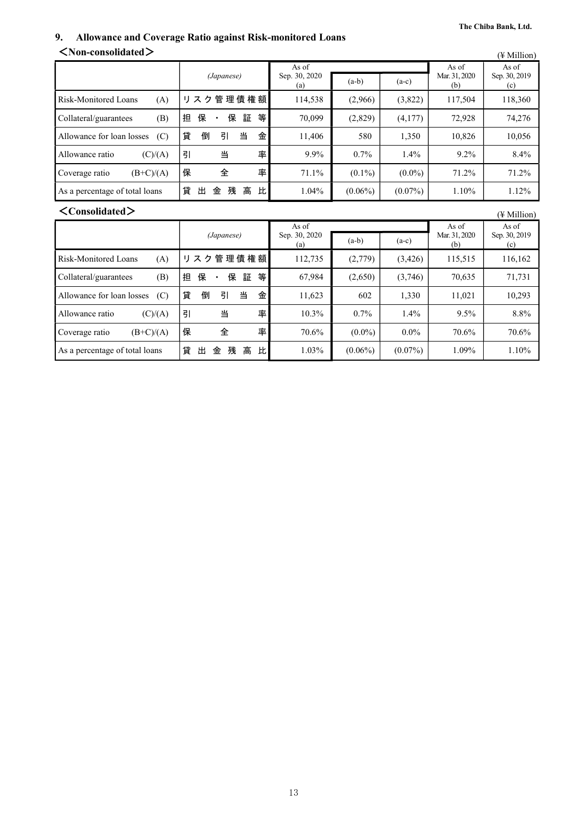### **9. Allowance and Coverage Ratio against Risk-monitored Loans**  <**Non-consolidated**> (¥ Million)

| $\ldots$                         |                            |                               |            |            |                               | (¥ Million)                   |
|----------------------------------|----------------------------|-------------------------------|------------|------------|-------------------------------|-------------------------------|
|                                  | (Japanese)                 | As of<br>Sep. 30, 2020<br>(a) | $(a-b)$    | $(a-c)$    | As of<br>Mar. 31, 2020<br>(b) | As of<br>Sep. 30, 2019<br>(c) |
| Risk-Monitored Loans<br>(A)      | 管理債権額<br>リスク               | 114,538                       | (2,966)    | (3,822)    | 117,504                       | 118,360                       |
| Collateral/guarantees<br>(B)     | 等<br>担<br>保<br>保<br>証      | 70,099                        | (2,829)    | (4,177)    | 72,928                        | 74,276                        |
| Allowance for loan losses<br>(C) | 貸<br>倒<br>当<br>金<br>引      | 11,406                        | 580        | 1,350      | 10,826                        | 10,056                        |
| Allowance ratio<br>(C)/(A)       | 率<br>引<br>当                | 9.9%                          | 0.7%       | $1.4\%$    | 9.2%                          | 8.4%                          |
| $(B+C)/(A)$<br>Coverage ratio    | 率<br>保<br>全                | 71.1%                         | $(0.1\%)$  | $(0.0\%)$  | 71.2%                         | 71.2%                         |
| As a percentage of total loans   | 貸<br>残<br>高<br>比<br>出<br>金 | $1.04\%$                      | $(0.06\%)$ | $(0.07\%)$ | 1.10%                         | 1.12%                         |
| $\langle$ Consolidated $\rangle$ |                            |                               |            |            |                               | $(\frac{1}{2}$ Million)       |
|                                  |                            | As of                         |            |            | As of                         | As of                         |
|                                  | (Japanese)                 | Sep. 30, 2020<br>(a)          | $(a-b)$    | $(a-c)$    | Mar. 31, 2020<br>(b)          | Sep. 30, 2019<br>(c)          |
| Risk-Monitored Loans<br>(A)      | 管理債権額<br>リスク               | 112,735                       | (2,779)    | (3,426)    | 115,515                       | 116,162                       |
| Collateral/guarantees<br>(B)     | 保<br>保<br>等<br>担<br>証      | 67,984                        | (2,650)    | (3,746)    | 70,635                        | 71,731                        |
| Allowance for loan losses<br>(C) | 貸<br>倒<br>引<br>当<br>金      | 11,623                        | 602        | 1,330      | 11,021                        | 10,293                        |
| Allowance ratio<br>(C)/(A)       | 率<br>引<br>当                | $10.3\%$                      | 0.7%       | $1.4\%$    | 9.5%                          | 8.8%                          |
| $(B+C)/(A)$<br>Coverage ratio    | 保<br>全<br>率                | 70.6%                         | $(0.0\%)$  | $0.0\%$    | 70.6%                         | 70.6%                         |

As a percentage of total loans |貸 出 金 残 高 比 | 1.03% | (0.06%) | (0.07%) | 1.09% | 1.10%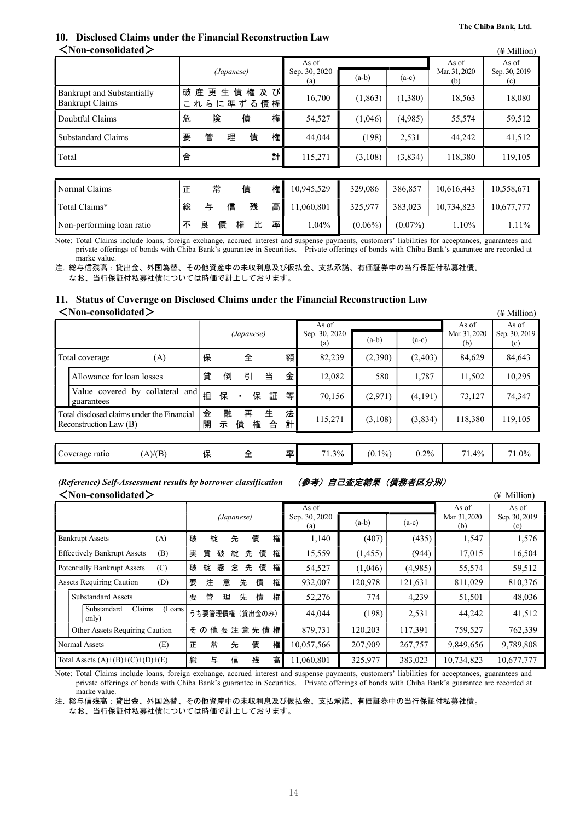#### **The Chiba Bank, Ltd.**

## **10. Disclosed Claims under the Financial Reconstruction Law**

| $\leq$ Non-consolidated $>$                          |   |                     |        |   |                               |            |          |                               |                               | $(\frac{1}{2}$ Million) |
|------------------------------------------------------|---|---------------------|--------|---|-------------------------------|------------|----------|-------------------------------|-------------------------------|-------------------------|
|                                                      |   | (Japanese)          |        |   | As of<br>Sep. 30, 2020<br>(a) | $(a-b)$    | $(a-c)$  | As of<br>Mar. 31, 2020<br>(b) | As of<br>Sep. 30, 2019<br>(c) |                         |
| Bankrupt and Substantially<br><b>Bankrupt Claims</b> | 破 | 産<br>更<br>これらに準ずる債権 | 債<br>生 | 権 | 及び                            | 16,700     | (1, 863) | (1,380)                       | 18,563                        | 18,080                  |
| Doubtful Claims                                      | 危 | 険                   |        | 債 | 権                             | 54,527     | (1,046)  | (4.985)                       | 55,574                        | 59,512                  |
| <b>Substandard Claims</b>                            | 要 | 管                   | 理      | 債 | 権                             | 44.044     | (198)    | 2,531                         | 44,242                        | 41,512                  |
| Total                                                | 合 |                     |        |   | 計                             | 115,271    | (3,108)  | (3,834)                       | 118,380                       | 119,105                 |
|                                                      |   |                     |        |   |                               |            |          |                               |                               |                         |
| Normal Claims                                        | 正 | 常                   |        | 債 | 権                             | 10,945,529 | 329,086  | 386,857                       | 10,616,443                    | 10,558,671              |
| Total Claims*                                        | 総 | 与                   | 信      | 残 | 高                             | 11,060,801 | 325,977  | 383,023                       | 10,734,823                    | 10,677,777              |

Non-performing loan ratio  $|\mathbf{F} \times \mathbf{B}|$  債 権 比 率 1.04% (0.06%) (0.07%) 1.10% 1.11% Note: Total Claims include loans, foreign exchange, accrued interest and suspense payments, customers' liabilities for acceptances, guarantees and private offerings of bonds with Chiba Bank's guarantee in Securities. Private offerings of bonds with Chiba Bank's guarantee are recorded at

marke value. 注. 総与信残高:貸出金、外国為替、その他資産中の未収利息及び仮払金、支払承諾、有価証券中の当行保証付私募社債。 なお、当行保証付私募社債については時価で計上しております。

**11. Status of Coverage on Disclosed Claims under the Financial Reconstruction Law**  <**Non-consolidated**> (¥ Million)

|                                                                      |        |        |             |        |        |                        |           |         |                        | , 1 17111110117        |
|----------------------------------------------------------------------|--------|--------|-------------|--------|--------|------------------------|-----------|---------|------------------------|------------------------|
|                                                                      |        |        | (Japanese)  |        |        | As of<br>Sep. 30, 2020 | $(a-b)$   | $(a-c)$ | As of<br>Mar. 31, 2020 | As of<br>Sep. 30, 2019 |
|                                                                      |        |        |             |        |        | (a)                    |           |         | (b)                    | (c)                    |
| (A)<br>Total coverage                                                | 保      |        | 全           |        | 額      | 82,239                 | (2,390)   | (2,403) | 84,629                 | 84,643                 |
| Allowance for loan losses                                            | 貸      | 倒      | 引           | 当      | 金      | 12,082                 | 580       | 1,787   | 11,502                 | 10,295                 |
| Value covered by collateral and<br>guarantees                        | 担      | 保      | 保           | 証      | 等      | 70,156                 | (2,971)   | (4,191) | 73,127                 | 74,347                 |
| Total disclosed claims under the Financial<br>Reconstruction Law (B) | 金<br>開 | 融<br>示 | 再<br>債<br>権 | 生<br>合 | 法<br>計 | 115,271                | (3,108)   | (3,834) | 118,380                | 119,105                |
|                                                                      |        |        |             |        |        |                        |           |         |                        |                        |
| (A)/(B)<br>Coverage ratio                                            | 保      |        | 全           |        | 率      | 71.3%                  | $(0.1\%)$ | $0.2\%$ | 71.4%                  | 71.0%                  |

*(Reference) Self-Assessment results by borrower classification* (参考)自己査定結果(債務者区分別) <**Non-consolidated**> (¥ Million)

| NINUH-WHSUHUAWU∕                          |                            |                      |         |         |                      | († MIIIIOII)         |
|-------------------------------------------|----------------------------|----------------------|---------|---------|----------------------|----------------------|
|                                           |                            | As of                |         |         | As of                | As of                |
|                                           | (Japanese)                 | Sep. 30, 2020<br>(a) | $(a-b)$ | $(a-c)$ | Mar. 31, 2020<br>(b) | Sep. 30, 2019<br>(c) |
| <b>Bankrupt Assets</b><br>(A)             | 綻<br>権<br>先<br>債<br>破      | 1,140                | (407)   | (435)   | 1,547                | 1,576                |
| <b>Effectively Bankrupt Assets</b><br>(B) | 権<br>15,559                | (1,455)              | (944)   | 17,015  | 16,504               |                      |
| (C)<br><b>Potentially Bankrupt Assets</b> | 権<br>54,527                | (1,046)              | (4,985) | 55,574  | 59,512               |                      |
| <b>Assets Requiring Caution</b><br>(D)    | 意<br>権<br>債<br>注<br>先<br>要 | 932,007              | 120,978 | 121,631 | 811,029              | 810,376              |
| <b>Substandard Assets</b>                 | 権<br>債<br>要<br>管<br>理<br>先 | 52,276               | 774     | 4,239   | 51,501               | 48,036               |
| Claims<br>Substandard<br>(Loans)<br>only) | うち要管理債権 (貸出金のみ)            | 44,044               | (198)   | 2,531   | 44,242               | 41,512               |
| Other Assets Requiring Caution            | その他要注意先債権                  | 879,731              | 120,203 | 117,391 | 759,527              | 762,339              |
| (E)<br>Normal Assets                      | 常<br>権<br>先<br>債<br>正      | 10,057,566           | 207,909 | 267,757 | 9,849,656            | 9,789,808            |
| Total Assets $(A)+(B)+(C)+(D)+(E)$        | 高<br>信<br>残<br>総<br>与      | 11,060,801           | 325,977 | 383,023 | 10,734,823           | 10,677,777           |

Note: Total Claims include loans, foreign exchange, accrued interest and suspense payments, customers' liabilities for acceptances, guarantees and private offerings of bonds with Chiba Bank's guarantee in Securities. Private offerings of bonds with Chiba Bank's guarantee are recorded at marke value.

注. 総与信残高:貸出金、外国為替、その他資産中の未収利息及び仮払金、支払承諾、有価証券中の当行保証付私募社債。 なお、当行保証付私募社債については時価で計上しております。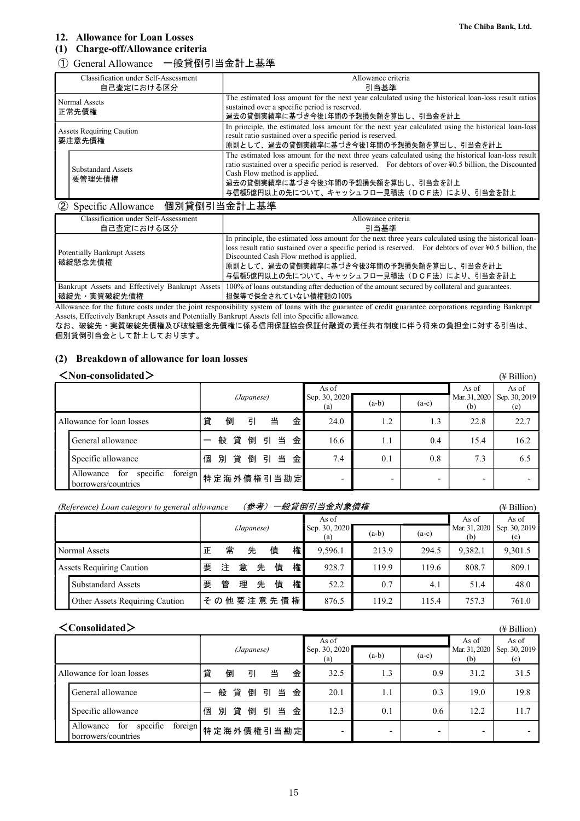### **12. Allowance for Loan Losses**

### **(1) Charge-off/Allowance criteria**

### ① General Allowance 一般貸倒引当金計上基準

| Classification under Self-Assessment      | Allowance criteria                                                                                                                                                                                                                                                                                                              |
|-------------------------------------------|---------------------------------------------------------------------------------------------------------------------------------------------------------------------------------------------------------------------------------------------------------------------------------------------------------------------------------|
| 自己査定における区分                                | 引当基準                                                                                                                                                                                                                                                                                                                            |
| Normal Assets<br>正常先債権                    | The estimated loss amount for the next year calculated using the historical loan-loss result ratios<br>sustained over a specific period is reserved.<br>過去の貸倒実績率に基づき今後1年間の予想損失額を算出し、引当金を計上                                                                                                                                      |
| <b>Assets Requiring Caution</b><br>要注意先債権 | In principle, the estimated loss amount for the next year calculated using the historical loan-loss<br>result ratio sustained over a specific period is reserved.<br>  原則として、過去の貸倒実績率に基づき今後1年間の予想損失額を算出し、引当金を計上                                                                                                                 |
| <b>Substandard Assets</b><br>要管理先債権       | The estimated loss amount for the next three years calculated using the historical loan-loss result<br>ratio sustained over a specific period is reserved. For debtors of over ¥0.5 billion, the Discounted<br>Cash Flow method is applied.<br>過去の貸倒実績率に基づき今後3年間の予想損失額を算出し、引当金を計上<br>与信額5億円以上の先について、キャッシュフロー見積法(DCF法)により、引当金を計上 |

### ② Specific Allowance 個別貸倒引当金計上基準

| Classification under Self-Assessment<br>自己査定における区分 | Allowance criteria<br>리当基準                                                                                                                                                                                                                                                                                                                                       |
|----------------------------------------------------|------------------------------------------------------------------------------------------------------------------------------------------------------------------------------------------------------------------------------------------------------------------------------------------------------------------------------------------------------------------|
| <b>Potentially Bankrupt Assets</b><br>破綻懸念先債権      | In principle, the estimated loss amount for the next three years calculated using the historical loan-<br>loss result ratio sustained over a specific period is reserved. For debtors of over $\frac{1}{2}0.5$ billion, the<br>Discounted Cash Flow method is applied.<br>原則として、過去の貸倒実績率に基づき今後3年間の予想損失額を算出し、引当金を計上<br>与信額5億円以上の先について、キャッシュフロー見積法(DCF法)により、引当金を計上 |
| 破綻先・実質破綻先債権                                        | Bankrupt Assets and Effectively Bankrupt Assets 100% of loans outstanding after deduction of the amount secured by collateral and guarantees.<br>担保等で保全されていない債権額の100%                                                                                                                                                                                            |

Allowance for the future costs under the joint responsibility system of loans with the guarantee of credit guarantee corporations regarding Bankrupt Assets, Effectively Bankrupt Assets and Potentially Bankrupt Assets fell into Specific allowance.

なお、破綻先・実質破綻先債権及び破綻懸念先債権に係る信用保証協会保証付融資の責任共有制度に伴う将来の負担金に対する引当は、 個別貸倒引当金として計上しております。

### **(2) Breakdown of allowance for loan losses**

### <**Non-consolidated**> (¥ Billion)

| $\ldots$                                                       |   |            |   |    |                      |         |         |                      |                      |                          | († DIIIIUII) |
|----------------------------------------------------------------|---|------------|---|----|----------------------|---------|---------|----------------------|----------------------|--------------------------|--------------|
|                                                                |   |            |   |    |                      |         | As of   |                      |                      | As of                    | As of        |
|                                                                |   | (Japanese) |   |    | Sep. 30, 2020<br>(a) | $(a-b)$ | $(a-c)$ | Mar. 31, 2020<br>(b) | Sep. 30, 2019<br>(c) |                          |              |
| Allowance for loan losses                                      | 貸 | 倒          | 引 |    | 当                    | 金       | 24.0    | 1.2                  | 1.3                  | 22.8                     | 22.7         |
| General allowance                                              |   | 般 貸        | 倒 |    | 引当                   | 金       | 16.6    | 1.1                  | 0.4                  | 15.4                     | 16.2         |
| Specific allowance                                             | 個 | 別貸         | 倒 | 引当 |                      | 金       | 7.4     | 0.1                  | 0.8                  | 7.3                      | 6.5          |
| foreign<br>specific<br>for<br>Allowance<br>borrowers/countries |   | 特定海外債権引当勘定 |   |    |                      |         | -       |                      |                      | $\overline{\phantom{0}}$ |              |

### *(Reference) Loan category to general allowance* (参考)一般貸倒引当金対象債権 (¥ Billion)

|                                 |   |            |   |   |                      |         | As of   |                      |                      | As of   | As of   |
|---------------------------------|---|------------|---|---|----------------------|---------|---------|----------------------|----------------------|---------|---------|
|                                 |   | (Japanese) |   |   | Sep. 30, 2020<br>(a) | $(a-b)$ | $(a-c)$ | Mar. 31, 2020<br>(b) | Sep. 30, 2019<br>(c) |         |         |
| Normal Assets                   |   | 常          |   | 先 | 債                    | 権       | 9.596.1 | 213.9                | 294.5                | 9,382.1 | 9,301.5 |
| <b>Assets Requiring Caution</b> | 要 | 注          | 意 | 先 | 債                    | 権       | 928.7   | 119.9                | 119.6                | 808.7   | 809.1   |
| <b>Substandard Assets</b>       | 要 | 管          | 理 | 先 | 債                    | 権       | 52.2    | 0.7                  | 4.1                  | 51.4    | 48.0    |
| Other Assets Requiring Caution  |   |            |   |   | その他要注意先債権            |         | 876.5   | 119.2                | 115.4                | 757.3   | 761.0   |

### <**Consolidated**> (¥ Billion)

|                                                                |   |            |   |                      |         |         |                          |                      |                          | 1.1   |
|----------------------------------------------------------------|---|------------|---|----------------------|---------|---------|--------------------------|----------------------|--------------------------|-------|
|                                                                |   |            |   |                      |         | As of   |                          |                      | As of                    | As of |
|                                                                |   | (Japanese) |   | Sep. 30, 2020<br>(a) | $(a-b)$ | $(a-c)$ | Mar. 31, 2020<br>(b)     | Sep. 30, 2019<br>(c) |                          |       |
| Allowance for loan losses                                      | 貸 | 倒          | 引 | 当                    | 金       | 32.5    | 1.3                      | 0.9                  | 31.2                     | 31.5  |
| General allowance                                              |   | 般 貸        |   | 倒引当                  | 金       | 20.1    | 1.1                      | 0.3                  | 19.0                     | 19.8  |
| Specific allowance                                             | 個 | 貸<br>別     |   |                      | 倒 引 当 金 | 12.3    | 0.1                      | 0.6                  | 12.2                     | 11.7  |
| foreign<br>specific<br>for<br>Allowance<br>borrowers/countries |   | 特定海外債権引当勘定 |   |                      |         | -       | $\overline{\phantom{0}}$ | -                    | $\overline{\phantom{0}}$ |       |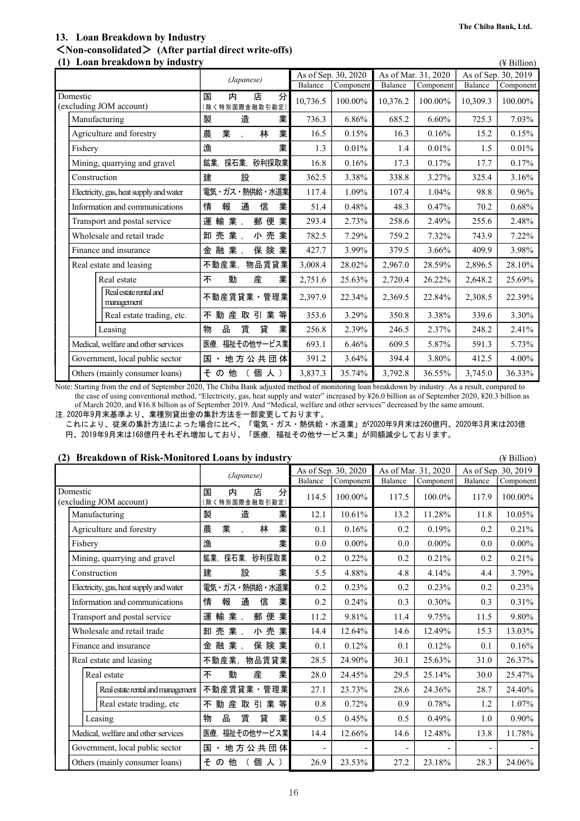### **13. Loan Breakdown by Industry**  <**Non-consolidated**> **(After partial direct write-offs)**

| Loan breakdown by industry<br>(1)       |                                              |          |                     |          |                     |          | $(\frac{1}{2}$ Billion) |
|-----------------------------------------|----------------------------------------------|----------|---------------------|----------|---------------------|----------|-------------------------|
|                                         | (Japanese)                                   |          | As of Sep. 30, 2020 |          | As of Mar. 31, 2020 |          | As of Sep. 30, 2019     |
|                                         |                                              | Balance  | Component           | Balance  | Component           | Balance  | Component               |
| Domestic<br>(excluding JOM account)     | 店<br>分<br>国<br>内<br>(除く特別国際金融取引勘定)           | 10,736.5 | 100.00%             | 10,376.2 | 100.00%             | 10,309.3 | 100.00%                 |
| Manufacturing                           | 製<br>造<br>業                                  | 736.3    | 6.86%               | 685.2    | 6.60%               | 725.3    | 7.03%                   |
| Agriculture and forestry                | 業<br>業<br>農<br>林<br>$\overline{\phantom{a}}$ | 16.5     | 0.15%               | 16.3     | 0.16%               | 15.2     | 0.15%                   |
| Fishery                                 | 業<br>漁                                       | 1.3      | 0.01%               | 1.4      | 0.01%               | 1.5      | 0.01%                   |
| Mining, quarrying and gravel            | 鉱業.<br>採石業,<br>砂利採取業                         | 16.8     | 0.16%               | 17.3     | 0.17%               | 17.7     | 0.17%                   |
| Construction                            | 業<br>設<br>建                                  | 362.5    | 3.38%               | 338.8    | 3.27%               | 325.4    | 3.16%                   |
| Electricity, gas, heat supply and water | 電気・ガス・熱供給・水道業                                | 117.4    | 1.09%               | 107.4    | 1.04%               | 98.8     | 0.96%                   |
| Information and communications          | 業<br>情<br>報<br>通<br>信                        | 51.4     | 0.48%               | 48.3     | 0.47%               | 70.2     | 0.68%                   |
| Transport and postal service            | 運<br>輸<br>業,<br>郵 便<br>業                     | 293.4    | 2.73%               | 258.6    | 2.49%               | 255.6    | 2.48%                   |
| Wholesale and retail trade              | 売業,<br>小売業<br>卸                              | 782.5    | 7.29%               | 759.2    | 7.32%               | 743.9    | 7.22%                   |
| Finance and insurance                   | 融<br>業,<br>保険業<br>金                          | 427.7    | 3.99%               | 379.5    | 3.66%               | 409.9    | 3.98%                   |
| Real estate and leasing                 | 物品賃貸業<br>不動産業,                               | 3,008.4  | 28.02%              | 2,967.0  | 28.59%              | 2,896.5  | 28.10%                  |
| Real estate                             | 産<br>業<br>動<br>不                             | 2,751.6  | 25.63%              | 2,720.4  | 26.22%              | 2,648.2  | 25.69%                  |
| Real estate rental and<br>management    | 不動産賃貸業·管理業                                   | 2,397.9  | 22.34%              | 2,369.5  | 22.84%              | 2,308.5  | 22.39%                  |
| Real estate trading, etc.               | 動産取引業<br>等<br>不                              | 353.6    | 3.29%               | 350.8    | 3.38%               | 339.6    | 3.30%                   |
| Leasing                                 | 物<br>品<br>貸<br>業<br>賃                        | 256.8    | 2.39%               | 246.5    | 2.37%               | 248.2    | 2.41%                   |
| Medical, welfare and other services     | 福祉その他サービス業<br>医療,                            | 693.1    | 6.46%               | 609.5    | 5.87%               | 591.3    | 5.73%                   |
| Government, local public sector         | 地方公共団体<br>国                                  | 391.2    | 3.64%               | 394.4    | 3.80%               | 412.5    | 4.00%                   |
| Others (mainly consumer loans)          | 他<br>そ<br>個人)<br>$\sigma$                    | 3,837.3  | 35.74%              | 3,792.8  | 36.55%              | 3,745.0  | 36.33%                  |

Note: Starting from the end of September 2020, The Chiba Bank adjusted method of monitoring loan breakdown by industry. As a result, compared to the case of using conventional method, "Electricity, gas, heat supply and water" increased by ¥26.0 billion as of September 2020, ¥20.3 billion as of March 2020, and ¥16.8 billion as of September 2019. And "Medical, welfare and other services" decreased by the same amount.

注.2020年9月末基準より、業種別貸出金の集計方法を一部変更しております。

これにより、従来の集計方法によった場合に比べ、「電気・ガス・熱供給・水道業」が2020年9月末は260億円、2020年3月末は203億 円、2019年9月末は168億円それぞれ増加しており、「医療,福祉その他サービス業」が同額減少しております。

### **(2) Breakdown of Risk-Monitored Loans by industry** (¥ Billion)

*(Japanese)* As of Sep. 30, 2020 As of Mar. 31, 2020 As of Sep. 30, 2019<br>Balance Component Balance Component Balance Component  $\Gamma$ Component Domestic (excluding JOM account) 国 内 店 分 |車| M | J右 | フ] | 114.5 | 100.00% | 117.5 | 100.0% | 117.9 | 100.00% |<br>(除く特別国際金融取引勘定) | 114.5 | 100.00% | 117.5 | 100.00 | 117.9 | 100.00 | Manufacturing 11.8 | 製 造 業 | 12.1 | 10.61% | 13.2 | 11.28% | 11.8 | 10.05% Agriculture and forestry |農 業 , 林 業 | 0.1 | 0.16% | 0.2 | 0.19% | 0.2 | 0.21% Fishery 漁 業 0.0 0.00% 0.0 0.00% 0.0 0.00% Mining, quarrying and gravel | 鉱業, 採石業, 砂利採取業 | 0.2 | 0.22% | 0.2 | 0.21% | 0.2 | 0.21% Construction 建 設 業 5.5 4.88% 4.8 4.14% 4.4 3.79% Electricity, gas, heat supply and water |電気・ガス・熱供給・水道業 0.2 | 0.23% 0.2 | 0.23% 0.2 | 0.23% 0.2 | 0.23% Information and communications | 情 報 通 信 業 | 0.2 | 0.24% | 0.3 | 0.30% | 0.3 | 0.31% Transport and postal service | 運 輸 業 , 郵 便 業 | 11.2 | 9.81% | 11.4 | 9.75% | 11.5 | 9.80% Wholesale and retail trade |卸 売 業 , 小 売 業 | 14.4 | 12.64% | 14.6 | 12.49% | 15.3 | 13.03% Finance and insurance  $\hat{z} = \pm \hat{z}$  and  $\hat{z} = \pm \hat{z}$  and  $\hat{z} = \pm \hat{z}$  and  $\hat{z} = \pm \hat{z}$  and  $\hat{z} = \pm \hat{z}$  and  $\hat{z} = \pm \hat{z}$  and  $\hat{z} = \pm \hat{z}$  and  $\hat{z} = \pm \hat{z}$  and  $\hat{z} = \pm \hat{z}$  and  $\hat{z} = \pm \hat{z}$  and Real estate and leasing Table Table Table Table Table Table 28.5 24.90% 30.1 25.63% 31.0 26.37% Real estate 不 動 産 業 28.0 24.45% 29.5 25.14% 30.0 25.47% Real estate rental and management | 不動産賃貸業・管理業 | 27.1 | 23.73% | 28.6 | 24.36% | 28.7 | 24.40% Real estate trading, etc | 不動 産 取 引 業 等| 0.8 | 0.72% | 0.9 | 0.78% | 1.2 | 1.07% |Leasing |物 品 賃 貸 業| 0.5 | 0.45% | 0.5 | 0.49% | 1.0 | 0.90% Medical, welfare and other services | 医療, 福祉その他サービス業 | 14.4 | 12.66% | 14.6 | 12.48% | 13.8 | 11.78% Government, local public sector │国 ・ 地 方 公 共 団 体 ┃ - │ - ┃ - │ - │ -Others (mainly consumer loans) | その他 (個人) | 26.9 | 23.53% | 27.2 | 23.18% | 28.3 | 24.06%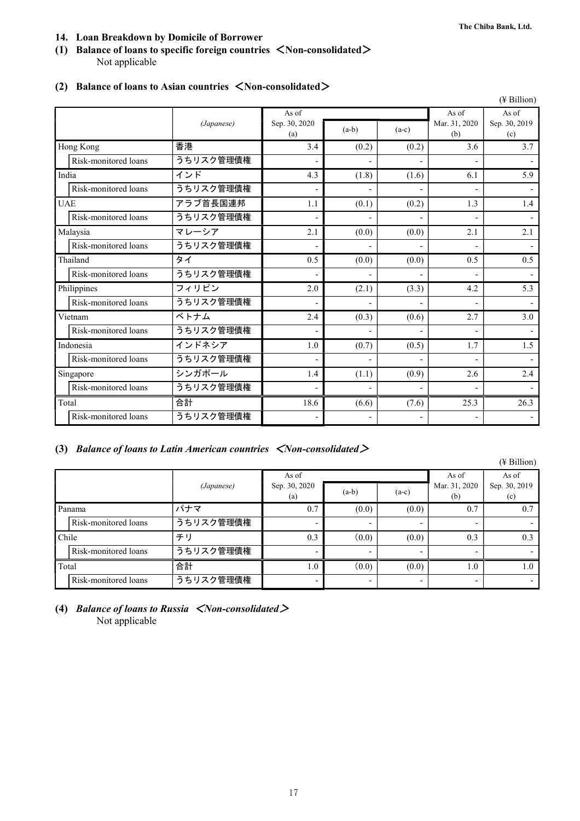### **14. Loan Breakdown by Domicile of Borrower**

### **(1) Balance of loans to specific foreign countries** <**Non-consolidated**> Not applicable

|                      |            |                          |         |                |                      | $($ Billion $)$      |
|----------------------|------------|--------------------------|---------|----------------|----------------------|----------------------|
|                      |            | As of                    |         |                | As of                | As of                |
|                      | (Japanese) | Sep. 30, 2020<br>(a)     | $(a-b)$ | $(a-c)$        | Mar. 31, 2020<br>(b) | Sep. 30, 2019<br>(c) |
| Hong Kong            | 香港         | 3.4                      | (0.2)   | (0.2)          | 3.6                  | 3.7                  |
| Risk-monitored loans | うちリスク管理債権  |                          |         |                |                      |                      |
| India                | インド        | 4.3                      | (1.8)   | (1.6)          | 6.1                  | 5.9                  |
| Risk-monitored loans | うちリスク管理債権  | $\overline{\phantom{a}}$ |         |                |                      |                      |
| <b>UAE</b>           | アラブ首長国連邦   | 1.1                      | (0.1)   | (0.2)          | 1.3                  | 1.4                  |
| Risk-monitored loans | うちリスク管理債権  |                          |         |                |                      |                      |
| Malaysia             | マレーシア      | 2.1                      | (0.0)   | (0.0)          | 2.1                  | 2.1                  |
| Risk-monitored loans | うちリスク管理債権  |                          |         |                |                      |                      |
| Thailand             | タイ         | 0.5                      | (0.0)   | (0.0)          | 0.5                  | 0.5                  |
| Risk-monitored loans | うちリスク管理債権  | $\overline{\phantom{a}}$ |         | $\overline{a}$ |                      |                      |
| Philippines          | フィリピン      | 2.0                      | (2.1)   | (3.3)          | 4.2                  | 5.3                  |
| Risk-monitored loans | うちリスク管理債権  |                          |         |                |                      |                      |
| Vietnam              | ベトナム       | 2.4                      | (0.3)   | (0.6)          | 2.7                  | 3.0                  |
| Risk-monitored loans | うちリスク管理債権  | $\overline{\phantom{a}}$ |         |                |                      |                      |
| Indonesia            | インドネシア     | 1.0                      | (0.7)   | (0.5)          | 1.7                  | 1.5                  |
| Risk-monitored loans | うちリスク管理債権  | $\overline{\phantom{a}}$ |         |                |                      |                      |
| Singapore            | シンガポール     | 1.4                      | (1.1)   | (0.9)          | 2.6                  | 2.4                  |
| Risk-monitored loans | うちリスク管理債権  | $\overline{\phantom{a}}$ |         |                |                      |                      |
| Total                | 合計         | 18.6                     | (6.6)   | (7.6)          | 25.3                 | 26.3                 |
| Risk-monitored loans | うちリスク管理債権  | $\overline{a}$           |         | $\overline{a}$ |                      |                      |

### **(2) Balance of loans to Asian countries** <**Non-consolidated**>

### **(3)** *Balance of loans to Latin American countries* <*Non-consolidated*>

|        |                      |            |                          |         |         |               | $(\frac{1}{2}$ Billion) |
|--------|----------------------|------------|--------------------------|---------|---------|---------------|-------------------------|
|        |                      |            | As of                    |         |         | As of         | As of                   |
|        |                      | (Japanese) | Sep. 30, 2020            | $(a-b)$ | $(a-c)$ | Mar. 31, 2020 | Sep. 30, 2019           |
|        |                      |            | (a)                      |         |         | (b)           | (c)                     |
| Panama |                      | パナマ        | 0.7                      | (0.0)   | (0.0)   | 0.7           | 0.7                     |
|        | Risk-monitored loans | うちリスク管理債権  | $\overline{\phantom{a}}$ |         |         |               |                         |
| Chile  |                      | チリ         | 0.3                      | (0.0)   | (0.0)   | 0.3           | 0.3                     |
|        | Risk-monitored loans | うちリスク管理債権  | $\overline{\phantom{a}}$ |         |         |               |                         |
| Total  |                      | 合計         | 1.0                      | (0.0)   | (0.0)   | 1.0           | 0.1                     |
|        | Risk-monitored loans | うちリスク管理債権  | $\overline{\phantom{0}}$ |         |         |               | $\sim$                  |

### **(4)** *Balance of loans to Russia* <*Non-consolidated*> Not applicable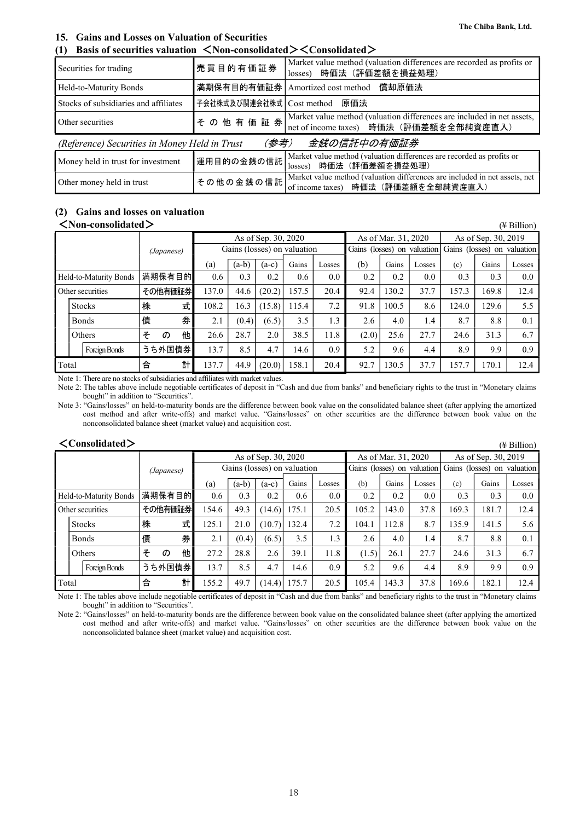### **15. Gains and Losses on Valuation of Securities**

**(1) Basis of securities valuation** <**Non-consolidated**><**Consolidated**>

| Securities for trading                                               | 売買目的有価証券                    | Market value method (valuation differences are recorded as profits or<br>losses) 時価法 (評価差額を損益処理)                       |  |  |  |  |  |  |  |
|----------------------------------------------------------------------|-----------------------------|------------------------------------------------------------------------------------------------------------------------|--|--|--|--|--|--|--|
| Held-to-Maturity Bonds                                               |                             | 満期保有目的有価証券   Amortized cost method<br>償却原価法                                                                            |  |  |  |  |  |  |  |
| Stocks of subsidiaries and affiliates                                | 子会社株式及び関連会社株式   Cost method | 原価法                                                                                                                    |  |  |  |  |  |  |  |
| Other securities                                                     |                             | その他有価証券 Market value method (valuation differences are included in net assets, net of income taxes) 時価法 (評価差額を全部純資産直入) |  |  |  |  |  |  |  |
| 金銭の信託中の有価証券<br>(参考)<br>(Reference) Securities in Money Held in Trust |                             |                                                                                                                        |  |  |  |  |  |  |  |
| Money held in trust for investment                                   | 運用目的の金銭の信託                  | Market value method (valuation differences are recorded as profits or<br>時価法(評価差額を損益処理)<br>losses)                     |  |  |  |  |  |  |  |
| Other money held in trust                                            | その他の金銭の信託                   | Market value method (valuation differences are included in net assets, net<br>of income taxes) 時価法 (評価差額を全部純資産直入)      |  |  |  |  |  |  |  |

### **(2) Gains and losses on valuation**

#### <**Non-consolidated**> (¥ Billion)

| (Japanese)             |               |   | As of Sep. 30, 2020 |                             |         |         |       | As of Mar. 31, 2020 |       |       | As of Sep. 30, 2019 |                                                         |       |        |
|------------------------|---------------|---|---------------------|-----------------------------|---------|---------|-------|---------------------|-------|-------|---------------------|---------------------------------------------------------|-------|--------|
|                        |               |   |                     | Gains (losses) on valuation |         |         |       |                     |       |       |                     | Gains (losses) on valuation Gains (losses) on valuation |       |        |
|                        |               |   |                     | (a)                         | $(a-b)$ | $(a-c)$ | Gains | Losses              | (b)   | Gains | Losses              | (c)                                                     | Gains | Losses |
| Held-to-Maturity Bonds |               |   | 満期保有目的              | 0.6                         | 0.3     | 0.2     | 0.6   | 0.0                 | 0.2   | 0.2   | 0.0                 | 0.3                                                     | 0.3   | 0.0    |
| Other securities       |               |   | その他有価証券             | 137.0                       | 44.6    | (20.2)  | 157.5 | 20.4                | 92.4  | 130.2 | 37.7                | 157.3                                                   | 169.8 | 12.4   |
|                        | <b>Stocks</b> | 株 | 式                   | 108.2                       | 16.3    | (15.8)  | 115.4 | 7.2                 | 91.8  | 100.5 | 8.6                 | 124.0                                                   | 129.6 | 5.5    |
|                        | <b>Bonds</b>  | 債 | 券                   | 2.1                         | (0.4)   | (6.5)   | 3.5   | 1.3                 | 2.6   | 4.0   | 1.4                 | 8.7                                                     | 8.8   | 0.1    |
|                        | Others        | そ | 他<br>$\sigma$       | 26.6                        | 28.7    | 2.0     | 38.5  | 11.8                | (2.0) | 25.6  | 27.7                | 24.6                                                    | 31.3  | 6.7    |
|                        | Foreign Bonds |   | うち外国債券              | 13.7                        | 8.5     | 4.7     | 14.6  | 0.9                 | 5.2   | 9.6   | 4.4                 | 8.9                                                     | 9.9   | 0.9    |
| Total                  |               | 合 | 計                   | 137.7                       | 44.9    | (20.0)  | 158.1 | 20.4                | 92.7  | 130.5 | 37.7                | 157.7                                                   | 170.1 | 12.4   |

Note 1: There are no stocks of subsidiaries and affiliates with market values.

Note 2: The tables above include negotiable certificates of deposit in "Cash and due from banks" and beneficiary rights to the trust in "Monetary claims bought" in addition to "Securities".

Note 3: "Gains/losses" on held-to-maturity bonds are the difference between book value on the consolidated balance sheet (after applying the amortized cost method and after write-offs) and market value. "Gains/losses" on other securities are the difference between book value on the nonconsolidated balance sheet (market value) and acquisition cost.

| $\langle$ Consolidated $\rangle$<br>$(\frac{1}{2}$ Billion) |  |               |   |            |         |                             |       |        |       |       |                             |                     |       |                             |                     |      |  |
|-------------------------------------------------------------|--|---------------|---|------------|---------|-----------------------------|-------|--------|-------|-------|-----------------------------|---------------------|-------|-----------------------------|---------------------|------|--|
|                                                             |  |               |   |            |         | As of Sep. 30, 2020         |       |        |       |       |                             | As of Mar. 31, 2020 |       |                             | As of Sep. 30, 2019 |      |  |
|                                                             |  |               |   | (Japanese) |         | Gains (losses) on valuation |       |        |       |       | Gains (losses) on valuation |                     |       | Gains (losses) on valuation |                     |      |  |
|                                                             |  |               |   | (a)        | $(a-b)$ | $(a-c)$                     | Gains | Losses | (b)   | Gains | Losses                      | (c)                 | Gains | Losses                      |                     |      |  |
| Held-to-Maturity Bonds                                      |  |               |   | 満期保有目的     |         | 0.6                         | 0.3   | 0.2    | 0.6   | 0.0   | 0.2                         | 0.2                 | 0.0   | 0.3                         | 0.3                 | 0.0  |  |
| Other securities                                            |  |               |   | その他有価証券    |         | 154.6                       | 49.3  | (14.6) | 175.1 | 20.5  | 105.2                       | 143.0               | 37.8  | 169.3                       | 181.7               | 12.4 |  |
|                                                             |  | <b>Stocks</b> | 株 |            | 式       | 125.1                       | 21.0  | (10.7) | 132.4 | 7.2   | 104.1                       | 112.8               | 8.7   | 135.9                       | 141.5               | 5.6  |  |
|                                                             |  | <b>Bonds</b>  | 債 |            | 券       | 2.1                         | (0.4) | (6.5)  | 3.5   | 1.3   | 2.6                         | 4.0                 | 1.4   | 8.7                         | 8.8                 | 0.1  |  |
|                                                             |  | Others        | そ | $\sigma$   | 他       | 27.2                        | 28.8  | 2.6    | 39.1  | 11.8  | (1.5)                       | 26.1                | 27.7  | 24.6                        | 31.3                | 6.7  |  |
|                                                             |  | Foreign Bonds |   | うち外国債券     |         | 13.7                        | 8.5   | 4.7    | 14.6  | 0.9   | 5.2                         | 9.6                 | 4.4   | 8.9                         | 9.9                 | 0.9  |  |
| Total                                                       |  |               | 合 |            | 計       | 155.2                       | 49.7  | (14.4) | 175.7 | 20.5  | 105.4                       | 143.3               | 37.8  | 169.6                       | 182.1               | 12.4 |  |

Note 1: The tables above include negotiable certificates of deposit in "Cash and due from banks" and beneficiary rights to the trust in "Monetary claims bought" in addition to "Securities".

Note 2: "Gains/losses" on held-to-maturity bonds are the difference between book value on the consolidated balance sheet (after applying the amortized cost method and after write-offs) and market value. "Gains/losses" on other securities are the difference between book value on the nonconsolidated balance sheet (market value) and acquisition cost.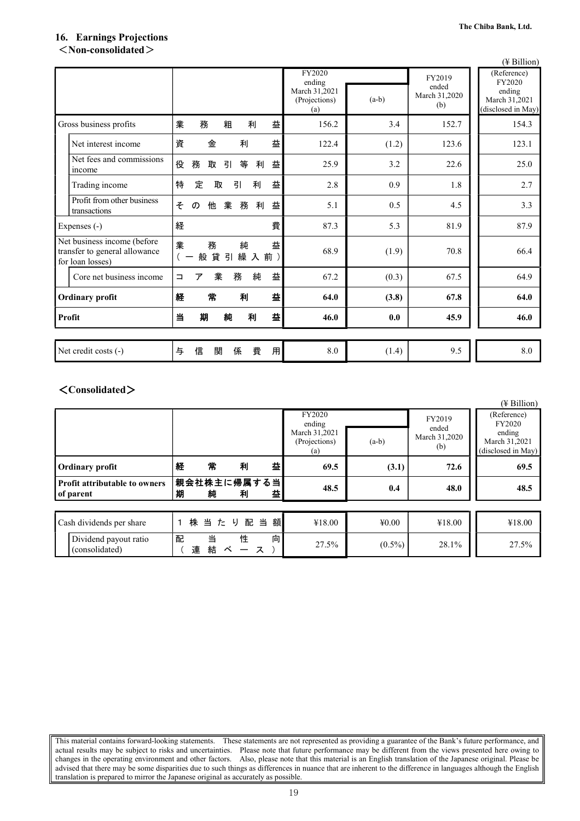### **16. Earnings Projections**  <**Non-consolidated**>

|                                                                                  |                                        |                                   |         |                      | $(\frac{1}{2}$ Billion)             |  |
|----------------------------------------------------------------------------------|----------------------------------------|-----------------------------------|---------|----------------------|-------------------------------------|--|
|                                                                                  |                                        | FY2020<br>ending<br>March 31,2021 |         | FY2019<br>ended      | (Reference)<br>FY2020<br>ending     |  |
|                                                                                  |                                        | (Projections)<br>(a)              | $(a-b)$ | March 31,2020<br>(b) | March 31,2021<br>(disclosed in May) |  |
| Gross business profits                                                           | 務<br>粗<br>益<br>業<br>利                  | 156.2                             | 3.4     | 152.7                | 154.3                               |  |
| Net interest income                                                              | 益<br>資<br>金<br>利                       | 122.4                             | (1.2)   | 123.6                | 123.1                               |  |
| Net fees and commissions<br>income                                               | 役<br>務<br>等<br>益<br>取<br>引<br>利        | 25.9                              | 3.2     | 22.6                 | 25.0                                |  |
| Trading income                                                                   | 特<br>益<br>定<br>引<br>利<br>取             | 2.8                               | 0.9     | $1.8\,$              | 2.7                                 |  |
| Profit from other business<br>transactions                                       | 益<br>他<br>業<br>そ<br>務<br>利<br>$\sigma$ | 5.1                               | 0.5     | 4.5                  | 3.3                                 |  |
| Expenses (-)                                                                     | 費<br>経                                 | 87.3                              | 5.3     | 81.9                 | 87.9                                |  |
| Net business income (before<br>transfer to general allowance<br>for loan losses) | 業<br>益<br>務<br>純<br>般貸引<br>繰入前)        | 68.9                              | (1.9)   | 70.8                 | 66.4                                |  |
| Core net business income                                                         | 益<br>業<br>純<br>務<br>ア<br>$\Box$        | 67.2                              | (0.3)   | 67.5                 | 64.9                                |  |
| <b>Ordinary profit</b>                                                           | 常<br>益<br>利<br>経                       | 64.0                              | (3.8)   | 67.8                 | 64.0                                |  |
| Profit                                                                           | 益<br>期<br>純<br>当<br>利                  | 46.0                              | 0.0     | 45.9                 | 46.0                                |  |
|                                                                                  |                                        |                                   |         |                      |                                     |  |
| Net credit costs (-)                                                             | 信<br>費<br>用<br>関<br>与<br>係             | 8.0                               | (1.4)   | 9.5                  | 8.0                                 |  |

### <**Consolidated**>

|                                                   |   |                  |        |        |                                                           |           |                                         | $(\frac{1}{2}$ Billion)                                                |
|---------------------------------------------------|---|------------------|--------|--------|-----------------------------------------------------------|-----------|-----------------------------------------|------------------------------------------------------------------------|
|                                                   |   |                  |        |        | FY2020<br>ending<br>March 31,2021<br>(Projections)<br>(a) | $(a-b)$   | FY2019<br>ended<br>March 31,2020<br>(b) | (Reference)<br>FY2020<br>ending<br>March 31,2021<br>(disclosed in May) |
| <b>Ordinary profit</b>                            | 経 | 常                | 利      | 益      | 69.5                                                      | (3.1)     | 72.6                                    | 69.5                                                                   |
| <b>Profit attributable to owners</b><br>of parent |   | 親会社株主に帰属する当<br>純 | 利      | 益      | 48.5                                                      | 0.4       | 48.0                                    | 48.5                                                                   |
|                                                   |   |                  |        |        |                                                           |           |                                         |                                                                        |
| Cash dividends per share                          |   | 株 当 た り 配        |        | 当額     | ¥18.00                                                    | 40.00     | ¥18.00                                  | ¥18.00                                                                 |
| Dividend payout ratio<br>(consolidated)           | 配 | 当<br>結<br>連      | 性<br>べ | 向<br>ス | 27.5%                                                     | $(0.5\%)$ | 28.1%                                   | 27.5%                                                                  |

This material contains forward-looking statements. These statements are not represented as providing a guarantee of the Bank's future performance, and actual results may be subject to risks and uncertainties. Please note that future performance may be different from the views presented here owing to changes in the operating environment and other factors. Also, please note that this material is an English translation of the Japanese original. Please be advised that there may be some disparities due to such things as differences in nuance that are inherent to the difference in languages although the English translation is prepared to mirror the Japanese original as accurately as possible.